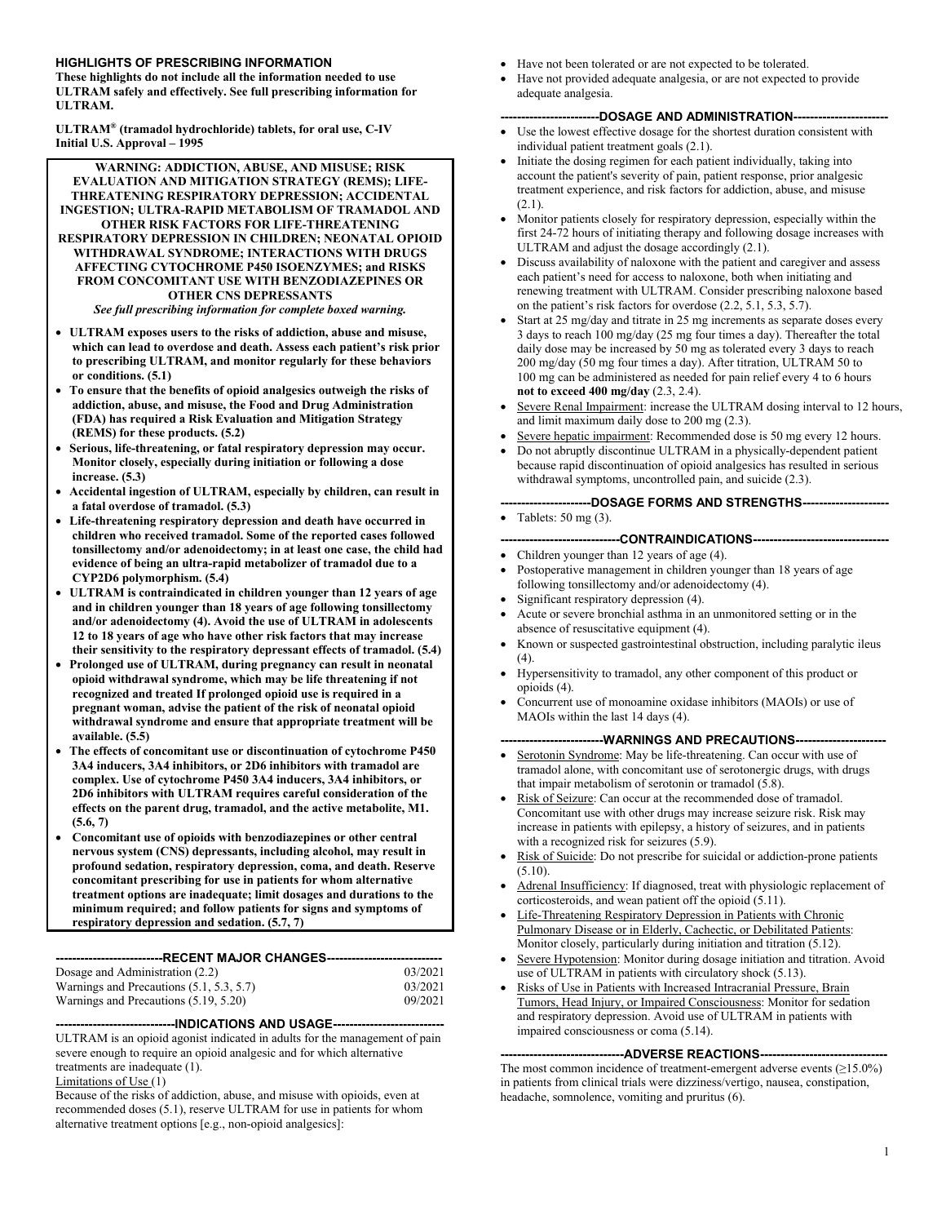#### **HIGHLIGHTS OF PRESCRIBING INFORMATION**

**These highlights do not include all the information needed to use ULTRAM safely and effectively. See full prescribing information for ULTRAM.**

**ULTRAM® (tramadol hydrochloride) tablets, for oral use, C-IV Initial U.S. Approval – 1995**

**WARNING: ADDICTION, ABUSE, AND MISUSE; RISK EVALUATION AND MITIGATION STRATEGY (REMS); LIFE-THREATENING RESPIRATORY DEPRESSION; ACCIDENTAL INGESTION; ULTRA-RAPID METABOLISM OF TRAMADOL AND OTHER RISK FACTORS FOR LIFE-THREATENING RESPIRATORY DEPRESSION IN CHILDREN; NEONATAL OPIOID WITHDRAWAL SYNDROME; INTERACTIONS WITH DRUGS** 

#### **AFFECTING CYTOCHROME P450 ISOENZYMES; and RISKS FROM CONCOMITANT USE WITH BENZODIAZEPINES OR OTHER CNS DEPRESSANTS**

*See full prescribing information for complete boxed warning.*

- **ULTRAM exposes users to the risks of addiction, abuse and misuse, which can lead to overdose and death. Assess each patient's risk prior to prescribing ULTRAM, and monitor regularly for these behaviors or conditions. (5.1)**
- **To ensure that the benefits of opioid analgesics outweigh the risks of addiction, abuse, and misuse, the Food and Drug Administration (FDA) has required a Risk Evaluation and Mitigation Strategy (REMS) for these products. (5.2)**
- **Serious, life-threatening, or fatal respiratory depression may occur. Monitor closely, especially during initiation or following a dose increase. (5.3)**
- **Accidental ingestion of ULTRAM, especially by children, can result in a fatal overdose of tramadol. (5.3)**
- **Life-threatening respiratory depression and death have occurred in children who received tramadol. Some of the reported cases followed tonsillectomy and/or adenoidectomy; in at least one case, the child had evidence of being an ultra-rapid metabolizer of tramadol due to a CYP2D6 polymorphism. (5.4)**
- **ULTRAM is contraindicated in children younger than 12 years of age and in children younger than 18 years of age following tonsillectomy and/or adenoidectomy (4). Avoid the use of ULTRAM in adolescents 12 to 18 years of age who have other risk factors that may increase their sensitivity to the respiratory depressant effects of tramadol. (5.4)**
- **Prolonged use of ULTRAM, during pregnancy can result in neonatal opioid withdrawal syndrome, which may be life threatening if not recognized and treated If prolonged opioid use is required in a pregnant woman, advise the patient of the risk of neonatal opioid withdrawal syndrome and ensure that appropriate treatment will be available. (5.5)**
- **The effects of concomitant use or discontinuation of cytochrome P450 3A4 inducers, 3A4 inhibitors, or 2D6 inhibitors with tramadol are complex. Use of cytochrome P450 3A4 inducers, 3A4 inhibitors, or 2D6 inhibitors with ULTRAM requires careful consideration of the effects on the parent drug, tramadol, and the active metabolite, M1. (5.6, 7)**
- **Concomitant use of opioids with benzodiazepines or other central nervous system (CNS) depressants, including alcohol, may result in profound sedation, respiratory depression, coma, and death. Reserve concomitant prescribing for use in patients for whom alternative treatment options are inadequate; limit dosages and durations to the minimum required; and follow patients for signs and symptoms of respiratory depression and sedation. (5.7, 7)**

| --------------------------RECENT                                MAJOR CHANGES--------------------------- |  |
|----------------------------------------------------------------------------------------------------------|--|
|----------------------------------------------------------------------------------------------------------|--|

| Dosage and Administration (2.2)          | 03/2021 |
|------------------------------------------|---------|
| Warnings and Precautions (5.1, 5.3, 5.7) | 03/2021 |
| Warnings and Precautions (5.19, 5.20)    | 09/2021 |

**-----------------------------INDICATIONS AND USAGE---------------------------**

ULTRAM is an opioid agonist indicated in adults for the management of pain severe enough to require an opioid analgesic and for which alternative treatments are inadequate (1).

Limitations of Use (1)

Because of the risks of addiction, abuse, and misuse with opioids, even at recommended doses (5.1), reserve ULTRAM for use in patients for whom alternative treatment options [e.g., non-opioid analgesics]:

- Have not been tolerated or are not expected to be tolerated.
- Have not provided adequate analgesia, or are not expected to provide adequate analgesia.

#### **------------------------DOSAGE AND ADMINISTRATION-----------------------**

- Use the lowest effective dosage for the shortest duration consistent with individual patient treatment goals (2.1).
- Initiate the dosing regimen for each patient individually, taking into account the patient's severity of pain, patient response, prior analgesic treatment experience, and risk factors for addiction, abuse, and misuse  $(2.1)$ .
- Monitor patients closely for respiratory depression, especially within the first 24-72 hours of initiating therapy and following dosage increases with ULTRAM and adjust the dosage accordingly (2.1).
- Discuss availability of naloxone with the patient and caregiver and assess each patient's need for access to naloxone, both when initiating and renewing treatment with ULTRAM. Consider prescribing naloxone based on the patient's risk factors for overdose (2.2, 5.1, 5.3, 5.7).
- Start at 25 mg/day and titrate in 25 mg increments as separate doses every 3 days to reach 100 mg/day (25 mg four times a day). Thereafter the total daily dose may be increased by 50 mg as tolerated every 3 days to reach 200 mg/day (50 mg four times a day). After titration, ULTRAM 50 to 100 mg can be administered as needed for pain relief every 4 to 6 hours **not to exceed 400 mg/day** (2.3, 2.4).
- Severe Renal Impairment: increase the ULTRAM dosing interval to 12 hours, and limit maximum daily dose to 200 mg (2.3).
- Severe hepatic impairment: Recommended dose is 50 mg every 12 hours.
- Do not abruptly discontinue ULTRAM in a physically-dependent patient because rapid discontinuation of opioid analgesics has resulted in serious withdrawal symptoms, uncontrolled pain, and suicide (2.3).

#### **----------------------DOSAGE FORMS AND STRENGTHS---------------------**

• Tablets:  $50 \text{ mg } (3)$ .

#### ---CONTRAINDICATIONS-----

- Children younger than 12 years of age (4).
- Postoperative management in children younger than 18 years of age following tonsillectomy and/or adenoidectomy (4).
- Significant respiratory depression (4).
- Acute or severe bronchial asthma in an unmonitored setting or in the absence of resuscitative equipment (4).
- Known or suspected gastrointestinal obstruction, including paralytic ileus  $(4)$ .
- Hypersensitivity to tramadol, any other component of this product or opioids (4).
- Concurrent use of monoamine oxidase inhibitors (MAOIs) or use of MAOIs within the last 14 days (4).

#### ---WARNINGS AND PRECAUTIONS----

- Serotonin Syndrome: May be life-threatening. Can occur with use of tramadol alone, with concomitant use of serotonergic drugs, with drugs that impair metabolism of serotonin or tramadol (5.8).
- Risk of Seizure: Can occur at the recommended dose of tramadol. Concomitant use with other drugs may increase seizure risk. Risk may increase in patients with epilepsy, a history of seizures, and in patients with a recognized risk for seizures (5.9).
- Risk of Suicide: Do not prescribe for suicidal or addiction-prone patients (5.10).
- Adrenal Insufficiency: If diagnosed, treat with physiologic replacement of corticosteroids, and wean patient off the opioid (5.11).
- Life-Threatening Respiratory Depression in Patients with Chronic Pulmonary Disease or in Elderly, Cachectic, or Debilitated Patients: Monitor closely, particularly during initiation and titration (5.12).
- Severe Hypotension: Monitor during dosage initiation and titration. Avoid use of ULTRAM in patients with circulatory shock (5.13).
- Risks of Use in Patients with Increased Intracranial Pressure, Br Tumors, Head Injury, or Impaired Consciousness: Monitor for sedation and respiratory depression. Avoid use of ULTRAM in patients with impaired consciousness or coma (5.14).

#### **----ADVERSE REACTIONS---**

The most common incidence of treatment-emergent adverse events  $(\geq 15.0\%)$ in patients from clinical trials were dizziness/vertigo, nausea, constipation, headache, somnolence, vomiting and pruritus (6).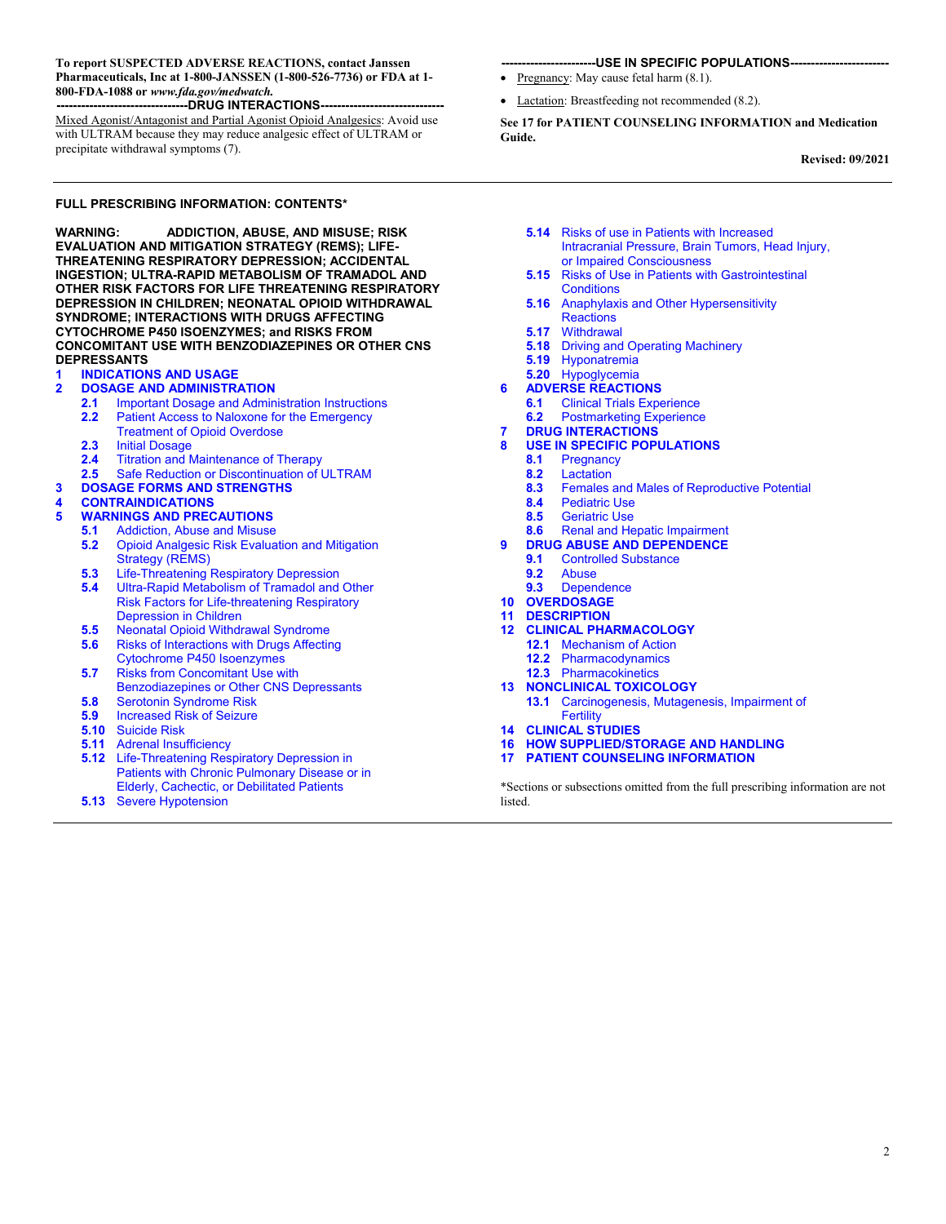**To report SUSPECTED ADVERSE REACTIONS, contact Janssen Pharmaceuticals, Inc at 1-800-JANSSEN (1-800-526-7736) or FDA at 1- 800-FDA-1088 or** *www.fda.gov/medwatch.*

**--------------------------------DRUG INTERACTIONS------------------------------** Mixed Agonist/Antagonist and Partial Agonist Opioid Analgesics: Avoid use with ULTRAM because they may reduce analgesic effect of ULTRAM or precipitate withdrawal symptoms (7).

#### **FULL PRESCRIBING INFORMATION: CONTENTS\***

**WARNING: ADDICTION, ABUSE, AND MISUSE; RISK EVALUATION AND MITIGATION STRATEGY (REMS); LIFE-THREATENING RESPIRATORY DEPRESSION; ACCIDENTAL INGESTION; ULTRA-RAPID METABOLISM OF TRAMADOL AND OTHER RISK FACTORS FOR LIFE THREATENING RESPIRATORY DEPRESSION IN CHILDREN; NEONATAL OPIOID WITHDRAWAL SYNDROME; INTERACTIONS WITH DRUGS AFFECTING CYTOCHROME P450 ISOENZYMES; and RISKS FROM CONCOMITANT USE WITH BENZODIAZEPINES OR OTHER CNS DEPRESSANTS**

#### **1 [INDICATIONS AND USAGE](#page-3-0)**

- **2 [DOSAGE AND ADMINISTRATION](#page-4-2)**
	- **2.1** [Important Dosage and Administration Instructions](#page-4-1)<br>**2.2** Patient Access to Naloxone for the Emergency
	- Patient Access to Naloxone for the Emergency [Treatment of Opioid Overdose](#page-4-0)
	-
	- **2.3** [Initial Dosage](#page-5-1)
	- **2.4** [Titration and Maintenance of Therapy](#page-5-0) **2.5** [Safe Reduction or Discontinuation of ULTRAM](#page-6-0)
- **3 [DOSAGE FORMS AND STRENGTHS](#page-7-3)**

**4 [CONTRAINDICATIONS](#page-7-2) 5 [WARNINGS AND PRECAUTIONS](#page-7-1)**

#### **5.1** [Addiction, Abuse and Misuse](#page-7-0)

- **5.2** [Opioid Analgesic Risk Evaluation and Mitigation](#page-8-1)  [Strategy \(REMS\)](#page-8-1)
- 
- **5.3** [Life-Threatening Respiratory Depression](#page-8-0)<br>**5.4** Ultra-Rapid Metabolism of Tramadol and **5.4** [Ultra-Rapid Metabolism of Tramadol and Other](#page-10-0)  [Risk Factors for Life-threatening Respiratory](#page-10-0)  [Depression in Children](#page-10-0)
- **5.5** [Neonatal Opioid Withdrawal Syndrome](#page-11-1)
- **5.6** [Risks of Interactions with Drugs Affecting](#page-11-0)  [Cytochrome P450 Isoenzymes](#page-11-0)
- **5.7** Risks from Concomitant Use with
- [Benzodiazepines or Other CNS Depressants](#page-12-0)
- **5.8** [Serotonin Syndrome Risk](#page-13-1)<br>**5.9** Increased Risk of Seizure **5.9** [Increased Risk of Seizure](#page-13-0)
- **5.10** [Suicide Risk](#page-14-2)
- **5.11** [Adrenal Insufficiency](#page-14-1)
- **5.12** [Life-Threatening Respiratory Depression in](#page-14-0)  [Patients with Chronic Pulmonary Disease or in](#page-14-0)  [Elderly, Cachectic, or Debilitated Patients](#page-14-0)
- **5.13** [Severe Hypotension](#page-15-3)

#### **-----------------------USE IN SPECIFIC POPULATIONS------------------------**

- Pregnancy: May cause fetal harm  $(8.1)$ .
- Lactation: Breastfeeding not recommended (8.2).

#### **See 17 for PATIENT COUNSELING INFORMATION and Medication Guide.**

**Revised: 09/2021**

- **5.14** [Risks of use in Patients with Increased](#page-15-2)  [Intracranial Pressure, Brain Tumors, Head Injury,](#page-15-2)  [or Impaired Consciousness](#page-15-2)
- **5.15** [Risks of Use in Patients with Gastrointestinal](#page-15-1)  **[Conditions](#page-15-1)**
- **5.16** [Anaphylaxis and Other Hypersensitivity](#page-15-0)
- **[Reactions](#page-15-0)**
- **5.17** [Withdrawal](#page-16-4)
- **5.18** [Driving and Operating Machinery](#page-16-3)
- **5.19** [Hyponatremia](#page-16-2)
- **5.20** [Hypoglycemia](#page-16-1)
- **6 [ADVERSE REACTIONS](#page-16-0)**
	- **6.1** [Clinical Trials Experience](#page-17-0)<br>**6.2** Postmarketing Experience
	- **[Postmarketing Experience](#page-19-0)**
- **7 [DRUG INTERACTIONS](#page-20-0)**
- **8 [USE IN SPECIFIC POPULATIONS](#page-22-1)**
	- 8.1 [Pregnancy](#page-22-0)<br>8.2 Lactation
	- **8.2** [Lactation](#page-24-1)
	- **8.3** [Females and Males of Reproductive Potential](#page-24-0)
	- **8.4** [Pediatric Use](#page-25-1)
	- **8.5** [Geriatric Use](#page-25-0)
- **8.6** [Renal and Hepatic Impairment](#page-26-3)
- **9 [DRUG ABUSE AND DEPENDENCE](#page-26-2)**<br>**9.1** Controlled Substance **9.1** [Controlled Substance](#page-26-1)
	-
	- **9.2** [Abuse](#page-26-0)
- **9.3** [Dependence](#page-27-0) **10 [OVERDOSAGE](#page-28-0)**
- **11 [DESCRIPTION](#page-29-2)**
- **12 [CLINICAL PHARMACOLOGY](#page-29-1)**
	- **12.1** [Mechanism of Action](#page-29-0)
	- **12.2** [Pharmacodynamics](#page-30-0)
	- **12.3** [Pharmacokinetics](#page-31-0)
- **13 [NONCLINICAL TOXICOLOGY](#page-35-2)**
- **13.1** [Carcinogenesis, Mutagenesis, Impairment of](#page-35-1)  **[Fertility](#page-35-1)**
- **14 [CLINICAL STUDIES](#page-35-0)**
- **16 [HOW SUPPLIED/STORAGE](#page-36-0) AND HANDLING**
- **17 [PATIENT COUNSELING INFORMATION](#page-37-0)**

\*Sections or subsections omitted from the full prescribing information are not listed.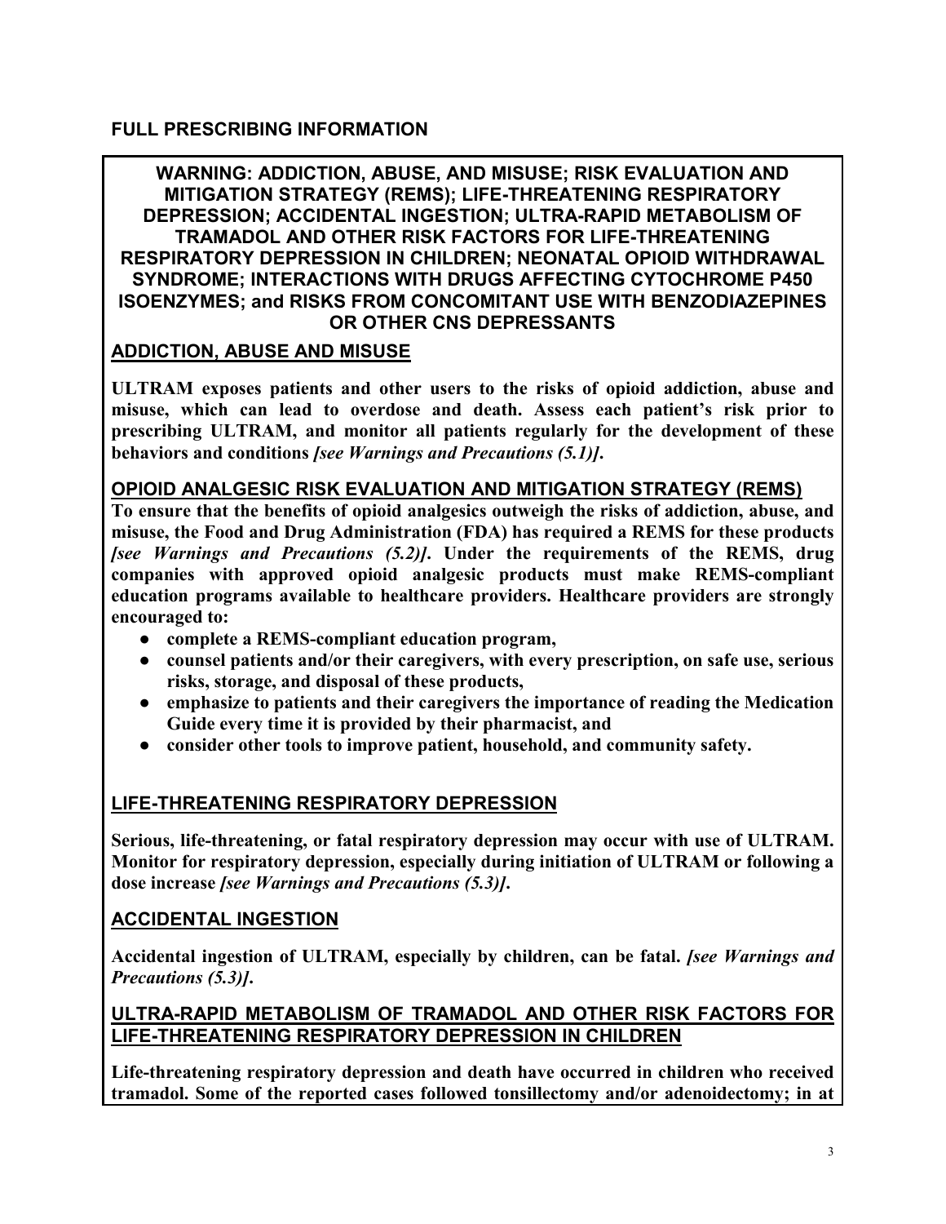#### **FULL PRESCRIBING INFORMATION**

#### **WARNING: ADDICTION, ABUSE, AND MISUSE; RISK EVALUATION AND MITIGATION STRATEGY (REMS); LIFE-THREATENING RESPIRATORY DEPRESSION; ACCIDENTAL INGESTION; ULTRA-RAPID METABOLISM OF TRAMADOL AND OTHER RISK FACTORS FOR LIFE-THREATENING RESPIRATORY DEPRESSION IN CHILDREN; NEONATAL OPIOID WITHDRAWAL SYNDROME; INTERACTIONS WITH DRUGS AFFECTING CYTOCHROME P450 ISOENZYMES; and RISKS FROM CONCOMITANT USE WITH BENZODIAZEPINES OR OTHER CNS DEPRESSANTS**

#### **ADDICTION, ABUSE AND MISUSE**

**ULTRAM exposes patients and other users to the risks of opioid addiction, abuse and misuse, which can lead to overdose and death. Assess each patient's risk prior to prescribing ULTRAM, and monitor all patients regularly for the development of these behaviors and conditions** *[see Warnings and Precautions (5.1)]***.**

#### **OPIOID ANALGESIC RISK EVALUATION AND MITIGATION STRATEGY (REMS)**

**To ensure that the benefits of opioid analgesics outweigh the risks of addiction, abuse, and misuse, the Food and Drug Administration (FDA) has required a REMS for these products**  *[see Warnings and Precautions (5.2)]***. Under the requirements of the REMS, drug companies with approved opioid analgesic products must make REMS-compliant education programs available to healthcare providers. Healthcare providers are strongly encouraged to:**

- **● complete a REMS-compliant education program,**
- **● counsel patients and/or their caregivers, with every prescription, on safe use, serious risks, storage, and disposal of these products,**
- **● emphasize to patients and their caregivers the importance of reading the Medication Guide every time it is provided by their pharmacist, and**
- **● consider other tools to improve patient, household, and community safety.**

# **LIFE-THREATENING RESPIRATORY DEPRESSION**

**Serious, life-threatening, or fatal respiratory depression may occur with use of ULTRAM. Monitor for respiratory depression, especially during initiation of ULTRAM or following a dose increase** *[see Warnings and Precautions (5.3)]***.**

#### **ACCIDENTAL INGESTION**

**Accidental ingestion of ULTRAM, especially by children, can be fatal.** *[see Warnings and Precautions (5.3)]***.**

#### **ULTRA-RAPID METABOLISM OF TRAMADOL AND OTHER RISK FACTORS FOR LIFE-THREATENING RESPIRATORY DEPRESSION IN CHILDREN**

**Life-threatening respiratory depression and death have occurred in children who received tramadol. Some of the reported cases followed tonsillectomy and/or adenoidectomy; in at**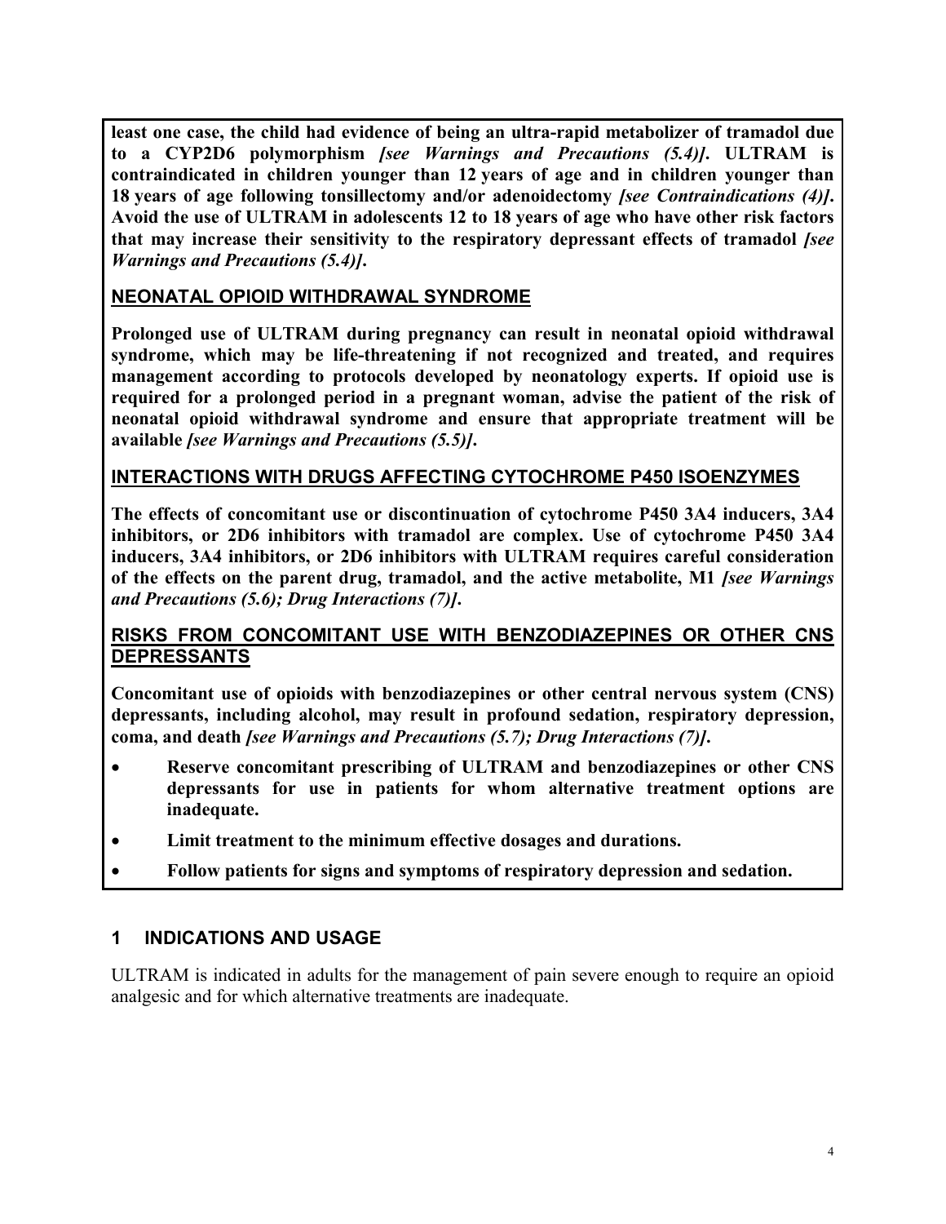**least one case, the child had evidence of being an ultra-rapid metabolizer of tramadol due to a CYP2D6 polymorphism** *[see Warnings and Precautions (5.4)]***. ULTRAM is contraindicated in children younger than 12 years of age and in children younger than 18 years of age following tonsillectomy and/or adenoidectomy** *[see Contraindications (4)]***. Avoid the use of ULTRAM in adolescents 12 to 18 years of age who have other risk factors that may increase their sensitivity to the respiratory depressant effects of tramadol** *[see Warnings and Precautions (5.4)]***.**

# **NEONATAL OPIOID WITHDRAWAL SYNDROME**

**Prolonged use of ULTRAM during pregnancy can result in neonatal opioid withdrawal syndrome, which may be life-threatening if not recognized and treated, and requires management according to protocols developed by neonatology experts. If opioid use is required for a prolonged period in a pregnant woman, advise the patient of the risk of neonatal opioid withdrawal syndrome and ensure that appropriate treatment will be available** *[see Warnings and Precautions (5.5)]***.**

# **INTERACTIONS WITH DRUGS AFFECTING CYTOCHROME P450 ISOENZYMES**

**The effects of concomitant use or discontinuation of cytochrome P450 3A4 inducers, 3A4 inhibitors, or 2D6 inhibitors with tramadol are complex. Use of cytochrome P450 3A4 inducers, 3A4 inhibitors, or 2D6 inhibitors with ULTRAM requires careful consideration of the effects on the parent drug, tramadol, and the active metabolite, M1** *[see Warnings and Precautions (5.6); Drug Interactions (7)]***.**

#### **RISKS FROM CONCOMITANT USE WITH BENZODIAZEPINES OR OTHER CNS DEPRESSANTS**

**Concomitant use of opioids with benzodiazepines or other central nervous system (CNS) depressants, including alcohol, may result in profound sedation, respiratory depression, coma, and death** *[see Warnings and Precautions (5.7); Drug Interactions (7)]***.**

- **Reserve concomitant prescribing of ULTRAM and benzodiazepines or other CNS depressants for use in patients for whom alternative treatment options are inadequate.**
- **Limit treatment to the minimum effective dosages and durations.**
- **Follow patients for signs and symptoms of respiratory depression and sedation.**

# <span id="page-3-0"></span>**1 INDICATIONS AND USAGE**

ULTRAM is indicated in adults for the management of pain severe enough to require an opioid analgesic and for which alternative treatments are inadequate.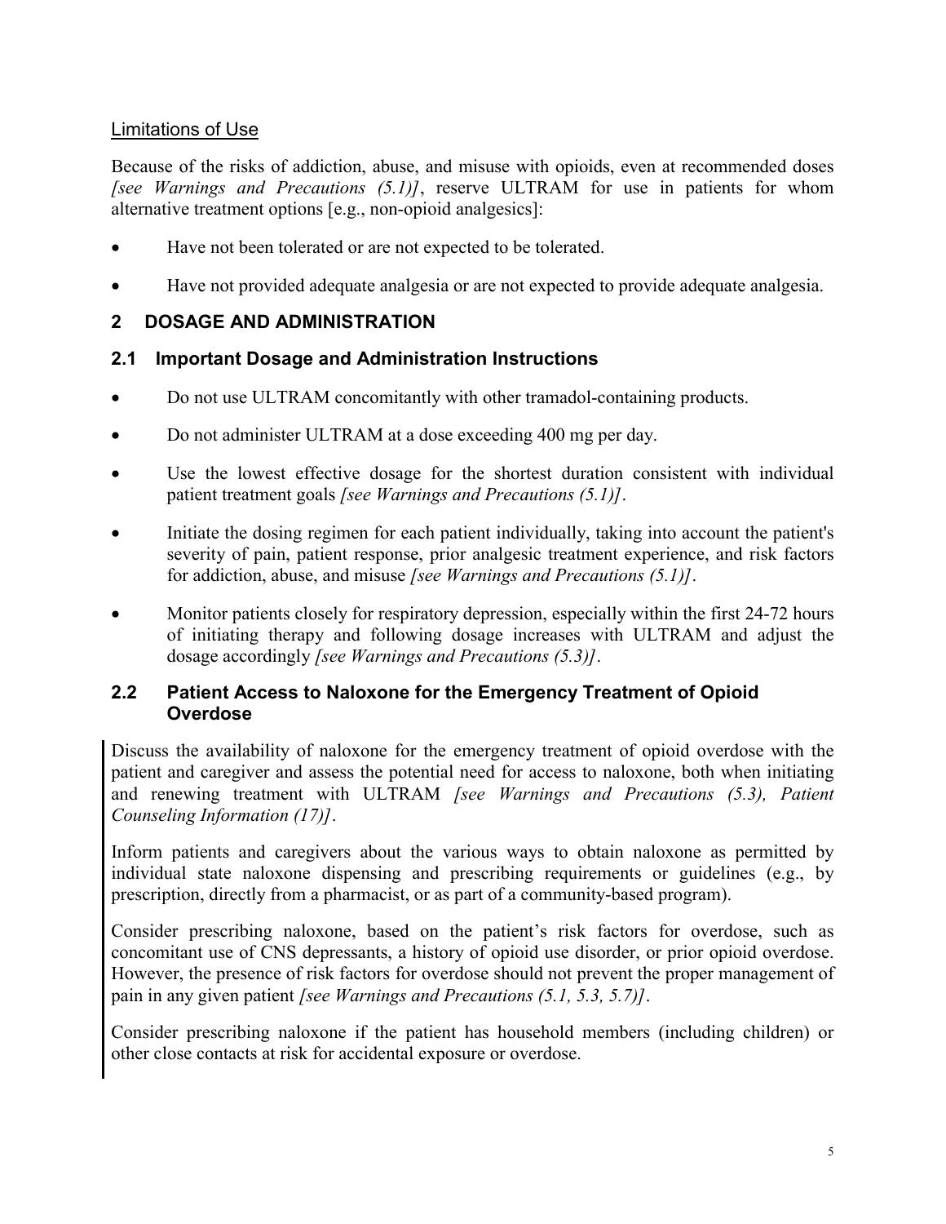#### Limitations of Use

Because of the risks of addiction, abuse, and misuse with opioids, even at recommended doses *[see Warnings and Precautions (5.1)]*, reserve ULTRAM for use in patients for whom alternative treatment options [e.g., non-opioid analgesics]:

- Have not been tolerated or are not expected to be tolerated.
- Have not provided adequate analgesia or are not expected to provide adequate analgesia.

# <span id="page-4-2"></span>**2 DOSAGE AND ADMINISTRATION**

#### <span id="page-4-1"></span>**2.1 Important Dosage and Administration Instructions**

- Do not use ULTRAM concomitantly with other tramadol-containing products.
- Do not administer ULTRAM at a dose exceeding 400 mg per day.
- Use the lowest effective dosage for the shortest duration consistent with individual patient treatment goals *[see Warnings and Precautions (5.1)]*.
- Initiate the dosing regimen for each patient individually, taking into account the patient's severity of pain, patient response, prior analgesic treatment experience, and risk factors for addiction, abuse, and misuse *[see Warnings and Precautions (5.1)]*.
- Monitor patients closely for respiratory depression, especially within the first 24-72 hours of initiating therapy and following dosage increases with ULTRAM and adjust the dosage accordingly *[see Warnings and Precautions (5.3)]*.

# <span id="page-4-0"></span>**2.2 Patient Access to Naloxone for the Emergency Treatment of Opioid Overdose**

Discuss the availability of naloxone for the emergency treatment of opioid overdose with the patient and caregiver and assess the potential need for access to naloxone, both when initiating and renewing treatment with ULTRAM *[see Warnings and Precautions (5.3), Patient Counseling Information (17)]*.

Inform patients and caregivers about the various ways to obtain naloxone as permitted by individual state naloxone dispensing and prescribing requirements or guidelines (e.g., by prescription, directly from a pharmacist, or as part of a community-based program).

Consider prescribing naloxone, based on the patient's risk factors for overdose, such as concomitant use of CNS depressants, a history of opioid use disorder, or prior opioid overdose. However, the presence of risk factors for overdose should not prevent the proper management of pain in any given patient *[see Warnings and Precautions (5.1, 5.3, 5.7)]*.

Consider prescribing naloxone if the patient has household members (including children) or other close contacts at risk for accidental exposure or overdose.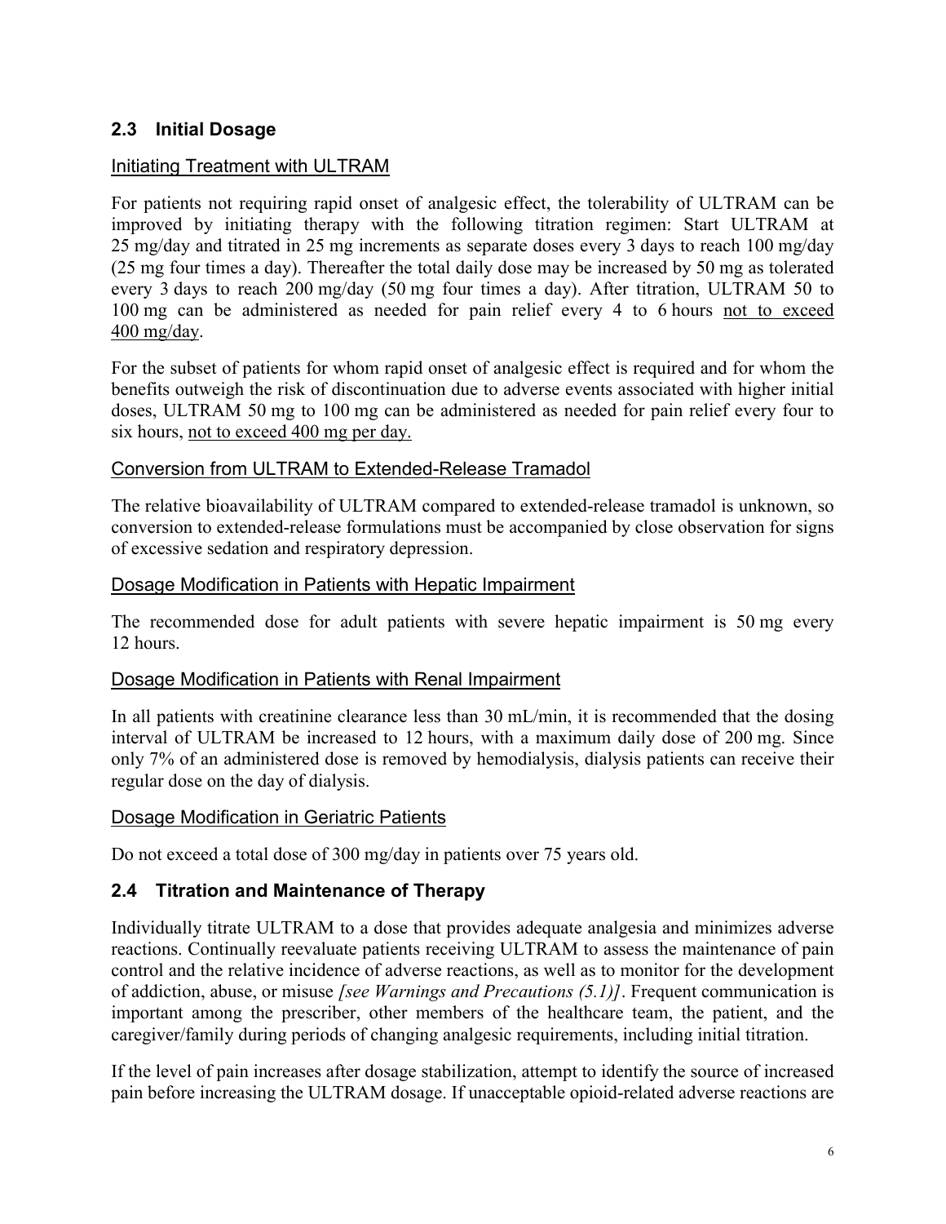# <span id="page-5-1"></span>**2.3 Initial Dosage**

#### Initiating Treatment with ULTRAM

For patients not requiring rapid onset of analgesic effect, the tolerability of ULTRAM can be improved by initiating therapy with the following titration regimen: Start ULTRAM at 25 mg/day and titrated in 25 mg increments as separate doses every 3 days to reach 100 mg/day (25 mg four times a day). Thereafter the total daily dose may be increased by 50 mg as tolerated every 3 days to reach 200 mg/day (50 mg four times a day). After titration, ULTRAM 50 to 100 mg can be administered as needed for pain relief every 4 to 6 hours not to exceed 400 mg/day.

For the subset of patients for whom rapid onset of analgesic effect is required and for whom the benefits outweigh the risk of discontinuation due to adverse events associated with higher initial doses, ULTRAM 50 mg to 100 mg can be administered as needed for pain relief every four to six hours, not to exceed 400 mg per day.

#### Conversion from ULTRAM to Extended-Release Tramadol

The relative bioavailability of ULTRAM compared to extended-release tramadol is unknown, so conversion to extended-release formulations must be accompanied by close observation for signs of excessive sedation and respiratory depression.

#### Dosage Modification in Patients with Hepatic Impairment

The recommended dose for adult patients with severe hepatic impairment is 50 mg every 12 hours.

#### Dosage Modification in Patients with Renal Impairment

In all patients with creatinine clearance less than 30 mL/min, it is recommended that the dosing interval of ULTRAM be increased to 12 hours, with a maximum daily dose of 200 mg. Since only 7% of an administered dose is removed by hemodialysis, dialysis patients can receive their regular dose on the day of dialysis.

#### Dosage Modification in Geriatric Patients

Do not exceed a total dose of 300 mg/day in patients over 75 years old.

# <span id="page-5-0"></span>**2.4 Titration and Maintenance of Therapy**

Individually titrate ULTRAM to a dose that provides adequate analgesia and minimizes adverse reactions. Continually reevaluate patients receiving ULTRAM to assess the maintenance of pain control and the relative incidence of adverse reactions, as well as to monitor for the development of addiction, abuse, or misuse *[see Warnings and Precautions (5.1)]*. Frequent communication is important among the prescriber, other members of the healthcare team, the patient, and the caregiver/family during periods of changing analgesic requirements, including initial titration.

If the level of pain increases after dosage stabilization, attempt to identify the source of increased pain before increasing the ULTRAM dosage. If unacceptable opioid-related adverse reactions are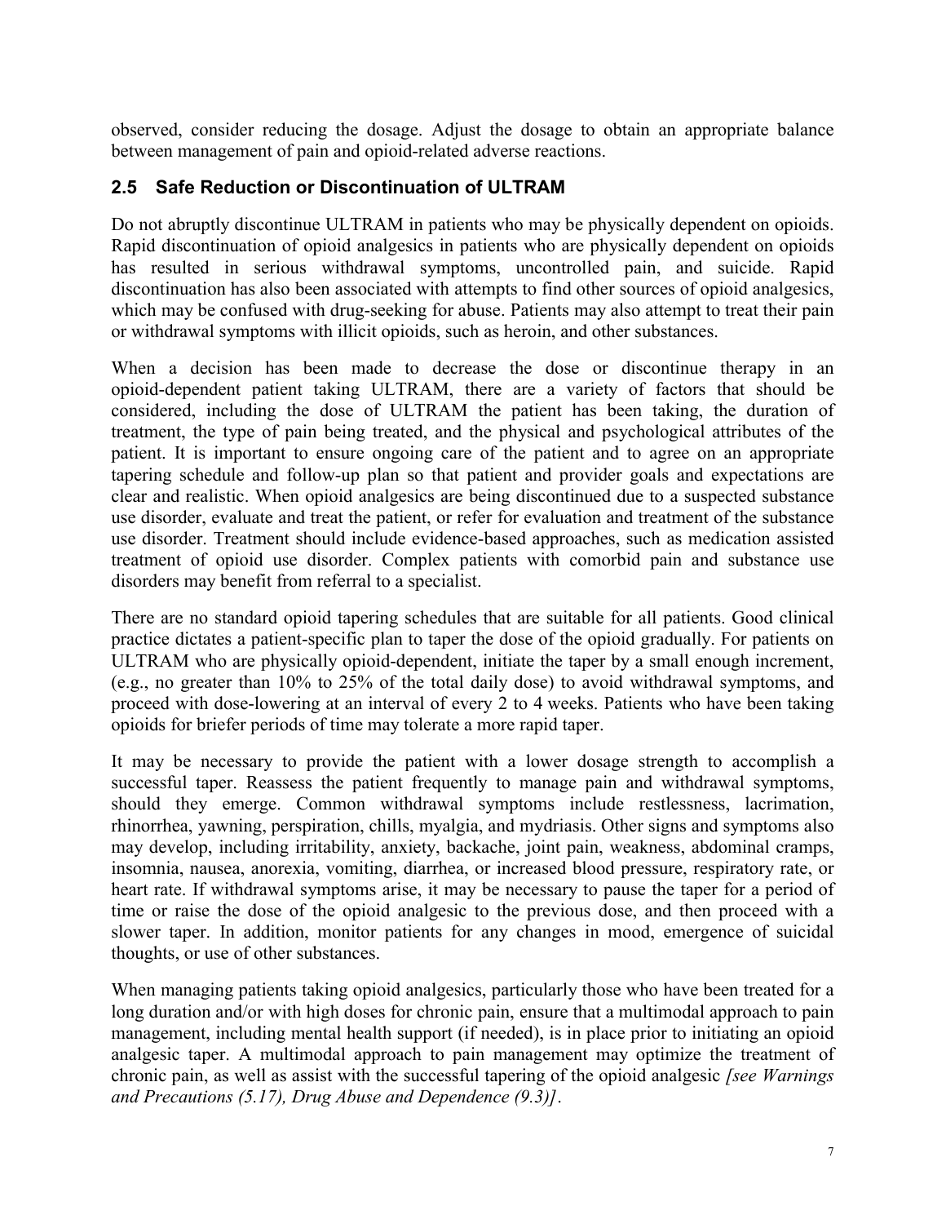observed, consider reducing the dosage. Adjust the dosage to obtain an appropriate balance between management of pain and opioid-related adverse reactions.

# <span id="page-6-0"></span>**2.5 Safe Reduction or Discontinuation of ULTRAM**

Do not abruptly discontinue ULTRAM in patients who may be physically dependent on opioids. Rapid discontinuation of opioid analgesics in patients who are physically dependent on opioids has resulted in serious withdrawal symptoms, uncontrolled pain, and suicide. Rapid discontinuation has also been associated with attempts to find other sources of opioid analgesics, which may be confused with drug-seeking for abuse. Patients may also attempt to treat their pain or withdrawal symptoms with illicit opioids, such as heroin, and other substances.

When a decision has been made to decrease the dose or discontinue therapy in an opioid-dependent patient taking ULTRAM, there are a variety of factors that should be considered, including the dose of ULTRAM the patient has been taking, the duration of treatment, the type of pain being treated, and the physical and psychological attributes of the patient. It is important to ensure ongoing care of the patient and to agree on an appropriate tapering schedule and follow-up plan so that patient and provider goals and expectations are clear and realistic. When opioid analgesics are being discontinued due to a suspected substance use disorder, evaluate and treat the patient, or refer for evaluation and treatment of the substance use disorder. Treatment should include evidence-based approaches, such as medication assisted treatment of opioid use disorder. Complex patients with comorbid pain and substance use disorders may benefit from referral to a specialist.

There are no standard opioid tapering schedules that are suitable for all patients. Good clinical practice dictates a patient-specific plan to taper the dose of the opioid gradually. For patients on ULTRAM who are physically opioid-dependent, initiate the taper by a small enough increment, (e.g., no greater than 10% to 25% of the total daily dose) to avoid withdrawal symptoms, and proceed with dose-lowering at an interval of every 2 to 4 weeks. Patients who have been taking opioids for briefer periods of time may tolerate a more rapid taper.

It may be necessary to provide the patient with a lower dosage strength to accomplish a successful taper. Reassess the patient frequently to manage pain and withdrawal symptoms, should they emerge. Common withdrawal symptoms include restlessness, lacrimation, rhinorrhea, yawning, perspiration, chills, myalgia, and mydriasis. Other signs and symptoms also may develop, including irritability, anxiety, backache, joint pain, weakness, abdominal cramps, insomnia, nausea, anorexia, vomiting, diarrhea, or increased blood pressure, respiratory rate, or heart rate. If withdrawal symptoms arise, it may be necessary to pause the taper for a period of time or raise the dose of the opioid analgesic to the previous dose, and then proceed with a slower taper. In addition, monitor patients for any changes in mood, emergence of suicidal thoughts, or use of other substances.

When managing patients taking opioid analgesics, particularly those who have been treated for a long duration and/or with high doses for chronic pain, ensure that a multimodal approach to pain management, including mental health support (if needed), is in place prior to initiating an opioid analgesic taper. A multimodal approach to pain management may optimize the treatment of chronic pain, as well as assist with the successful tapering of the opioid analgesic *[see Warnings and Precautions (5.17), Drug Abuse and Dependence (9.3)]*.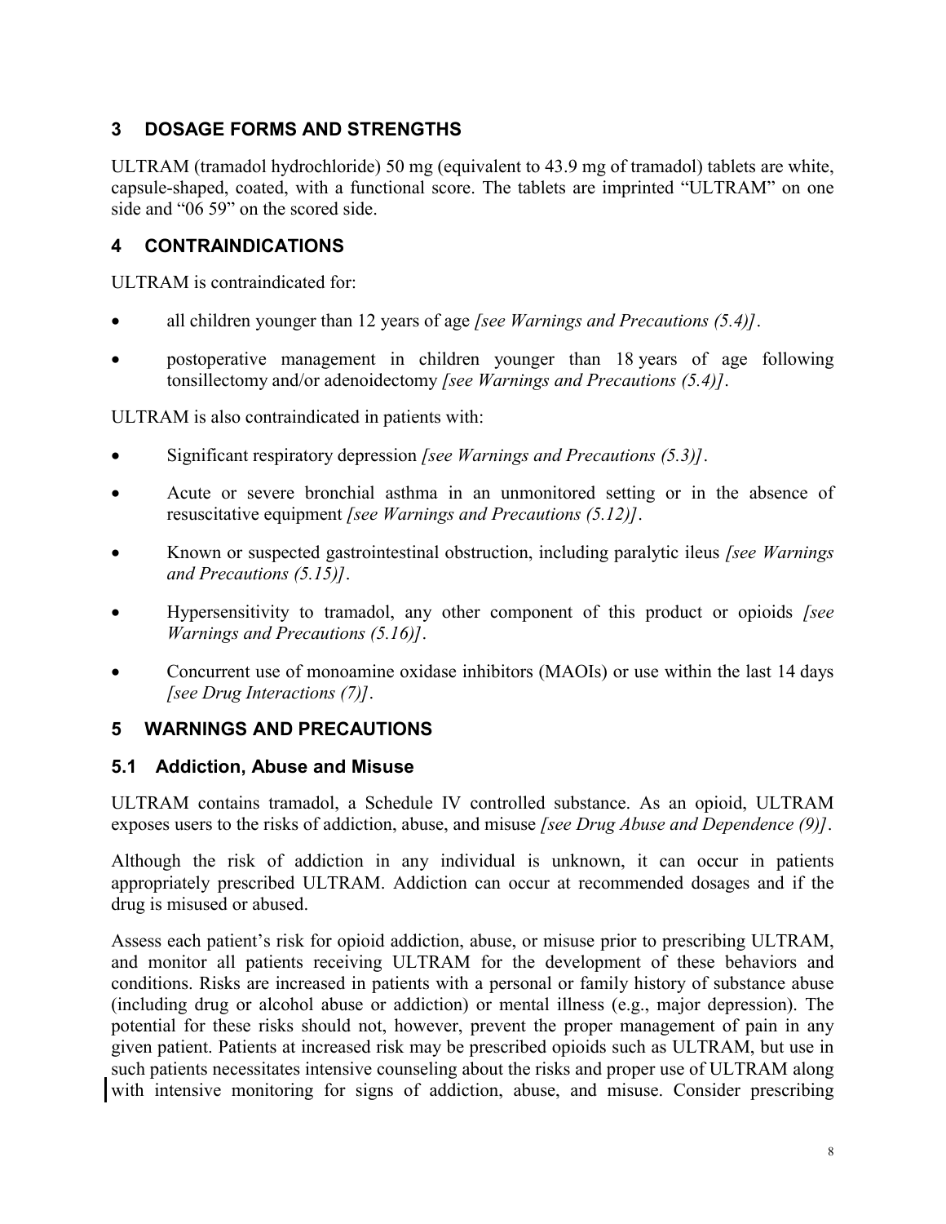# <span id="page-7-3"></span>**3 DOSAGE FORMS AND STRENGTHS**

ULTRAM (tramadol hydrochloride) 50 mg (equivalent to 43.9 mg of tramadol) tablets are white, capsule-shaped, coated, with a functional score. The tablets are imprinted "ULTRAM" on one side and "06 59" on the scored side.

# <span id="page-7-2"></span>**4 CONTRAINDICATIONS**

ULTRAM is contraindicated for:

- all children younger than 12 years of age *[see Warnings and Precautions (5.4)]*.
- postoperative management in children younger than 18 years of age following tonsillectomy and/or adenoidectomy *[see Warnings and Precautions (5.4)]*.

ULTRAM is also contraindicated in patients with:

- Significant respiratory depression *[see Warnings and Precautions (5.3)]*.
- Acute or severe bronchial asthma in an unmonitored setting or in the absence of resuscitative equipment *[see Warnings and Precautions (5.12)]*.
- Known or suspected gastrointestinal obstruction, including paralytic ileus *[see Warnings and Precautions (5.15)]*.
- Hypersensitivity to tramadol, any other component of this product or opioids *[see Warnings and Precautions (5.16)]*.
- Concurrent use of monoamine oxidase inhibitors (MAOIs) or use within the last 14 days *[see Drug Interactions (7)]*.

# <span id="page-7-1"></span>**5 WARNINGS AND PRECAUTIONS**

# <span id="page-7-0"></span>**5.1 Addiction, Abuse and Misuse**

ULTRAM contains tramadol, a Schedule IV controlled substance. As an opioid, ULTRAM exposes users to the risks of addiction, abuse, and misuse *[see Drug Abuse and Dependence (9)]*.

Although the risk of addiction in any individual is unknown, it can occur in patients appropriately prescribed ULTRAM. Addiction can occur at recommended dosages and if the drug is misused or abused.

Assess each patient's risk for opioid addiction, abuse, or misuse prior to prescribing ULTRAM, and monitor all patients receiving ULTRAM for the development of these behaviors and conditions. Risks are increased in patients with a personal or family history of substance abuse (including drug or alcohol abuse or addiction) or mental illness (e.g., major depression). The potential for these risks should not, however, prevent the proper management of pain in any given patient. Patients at increased risk may be prescribed opioids such as ULTRAM, but use in such patients necessitates intensive counseling about the risks and proper use of ULTRAM along with intensive monitoring for signs of addiction, abuse, and misuse. Consider prescribing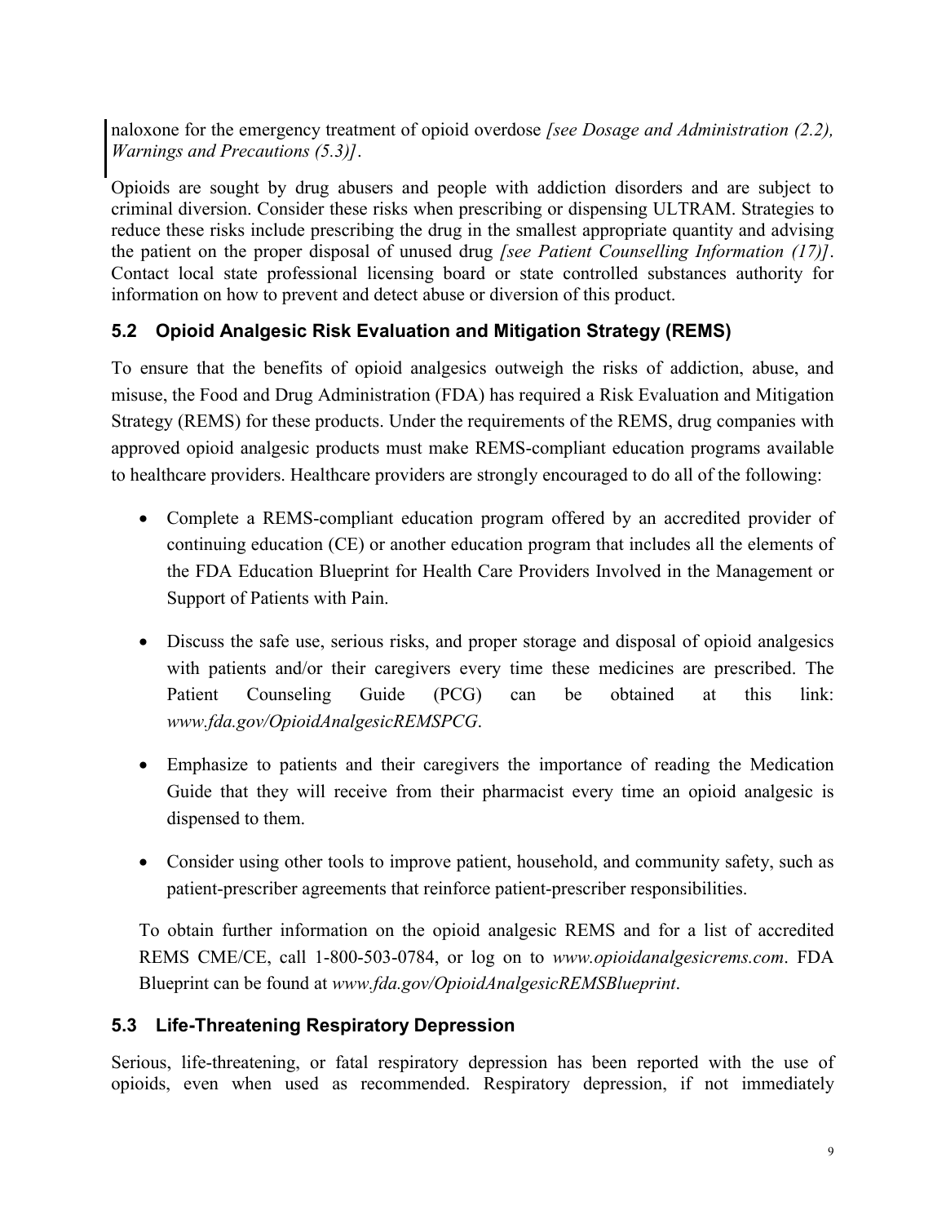naloxone for the emergency treatment of opioid overdose *[see Dosage and Administration (2.2), Warnings and Precautions (5.3)]*.

Opioids are sought by drug abusers and people with addiction disorders and are subject to criminal diversion. Consider these risks when prescribing or dispensing ULTRAM. Strategies to reduce these risks include prescribing the drug in the smallest appropriate quantity and advising the patient on the proper disposal of unused drug *[see Patient Counselling Information (17)]*. Contact local state professional licensing board or state controlled substances authority for information on how to prevent and detect abuse or diversion of this product.

# <span id="page-8-1"></span>**5.2 Opioid Analgesic Risk Evaluation and Mitigation Strategy (REMS)**

To ensure that the benefits of opioid analgesics outweigh the risks of addiction, abuse, and misuse, the Food and Drug Administration (FDA) has required a Risk Evaluation and Mitigation Strategy (REMS) for these products. Under the requirements of the REMS, drug companies with approved opioid analgesic products must make REMS-compliant education programs available to healthcare providers. Healthcare providers are strongly encouraged to do all of the following:

- Complete a REMS-compliant education program offered by an accredited provider of continuing education (CE) or another education program that includes all the elements of the FDA Education Blueprint for Health Care Providers Involved in the Management or Support of Patients with Pain.
- Discuss the safe use, serious risks, and proper storage and disposal of opioid analgesics with patients and/or their caregivers every time these medicines are prescribed. The Patient Counseling Guide (PCG) can be obtained at this link: *www.fda.gov/OpioidAnalgesicREMSPCG*.
- Emphasize to patients and their caregivers the importance of reading the Medication Guide that they will receive from their pharmacist every time an opioid analgesic is dispensed to them.
- Consider using other tools to improve patient, household, and community safety, such as patient-prescriber agreements that reinforce patient-prescriber responsibilities.

To obtain further information on the opioid analgesic REMS and for a list of accredited REMS CME/CE, call 1-800-503-0784, or log on to *www.opioidanalgesicrems.com*. FDA Blueprint can be found at *www.fda.gov/OpioidAnalgesicREMSBlueprint*.

# <span id="page-8-0"></span>**5.3 Life-Threatening Respiratory Depression**

Serious, life-threatening, or fatal respiratory depression has been reported with the use of opioids, even when used as recommended. Respiratory depression, if not immediately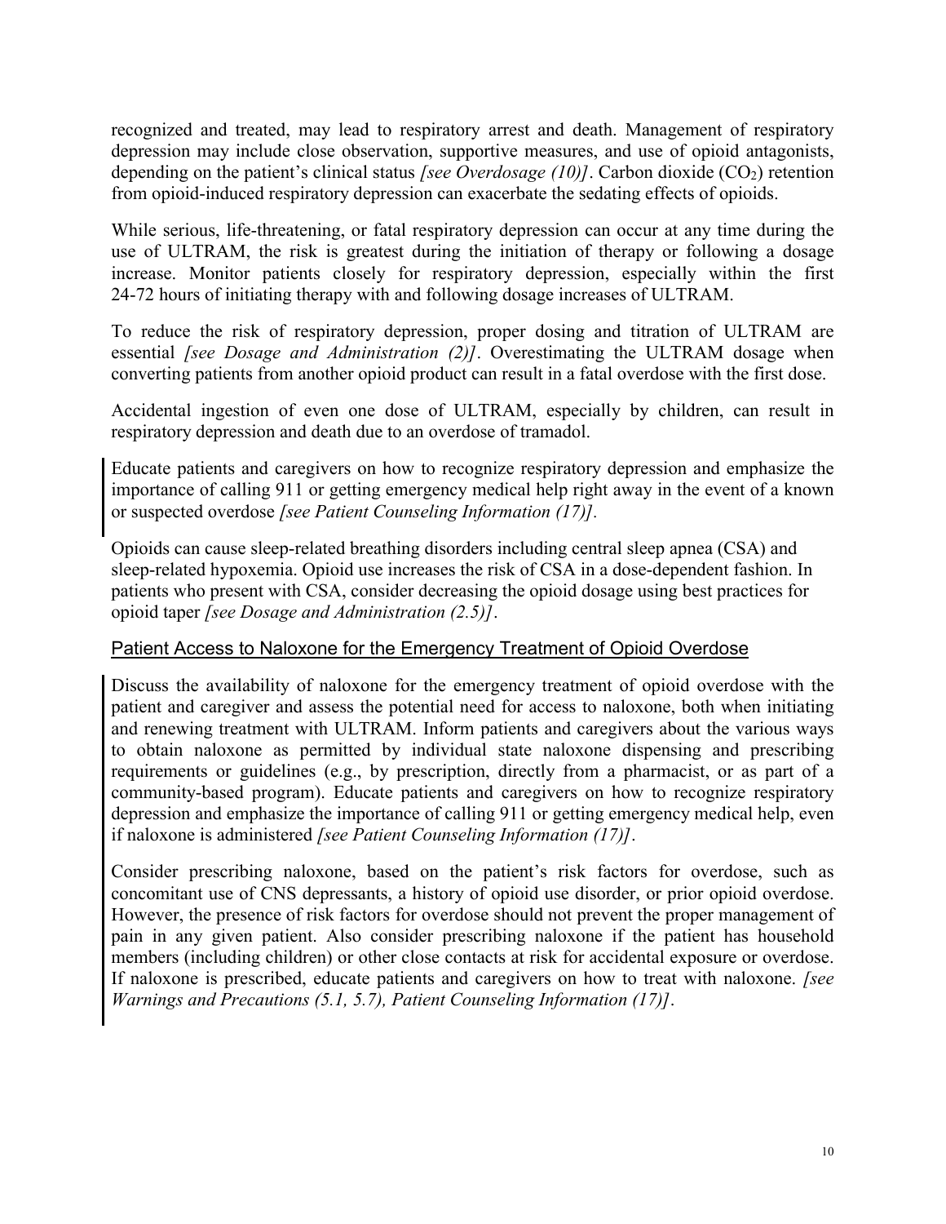recognized and treated, may lead to respiratory arrest and death. Management of respiratory depression may include close observation, supportive measures, and use of opioid antagonists, depending on the patient's clinical status *[see Overdosage (10)]*. Carbon dioxide (CO<sub>2</sub>) retention from opioid-induced respiratory depression can exacerbate the sedating effects of opioids.

While serious, life-threatening, or fatal respiratory depression can occur at any time during the use of ULTRAM, the risk is greatest during the initiation of therapy or following a dosage increase. Monitor patients closely for respiratory depression, especially within the first 24-72 hours of initiating therapy with and following dosage increases of ULTRAM.

To reduce the risk of respiratory depression, proper dosing and titration of ULTRAM are essential *[see Dosage and Administration (2)]*. Overestimating the ULTRAM dosage when converting patients from another opioid product can result in a fatal overdose with the first dose.

Accidental ingestion of even one dose of ULTRAM, especially by children, can result in respiratory depression and death due to an overdose of tramadol.

Educate patients and caregivers on how to recognize respiratory depression and emphasize the importance of calling 911 or getting emergency medical help right away in the event of a known or suspected overdose *[see Patient Counseling Information (17)].*

Opioids can cause sleep-related breathing disorders including central sleep apnea (CSA) and sleep-related hypoxemia. Opioid use increases the risk of CSA in a dose-dependent fashion. In patients who present with CSA, consider decreasing the opioid dosage using best practices for opioid taper *[see Dosage and Administration (2.5)]*.

#### Patient Access to Naloxone for the Emergency Treatment of Opioid Overdose

Discuss the availability of naloxone for the emergency treatment of opioid overdose with the patient and caregiver and assess the potential need for access to naloxone, both when initiating and renewing treatment with ULTRAM. Inform patients and caregivers about the various ways to obtain naloxone as permitted by individual state naloxone dispensing and prescribing requirements or guidelines (e.g., by prescription, directly from a pharmacist, or as part of a community-based program). Educate patients and caregivers on how to recognize respiratory depression and emphasize the importance of calling 911 or getting emergency medical help, even if naloxone is administered *[see Patient Counseling Information (17)]*.

Consider prescribing naloxone, based on the patient's risk factors for overdose, such as concomitant use of CNS depressants, a history of opioid use disorder, or prior opioid overdose. However, the presence of risk factors for overdose should not prevent the proper management of pain in any given patient. Also consider prescribing naloxone if the patient has household members (including children) or other close contacts at risk for accidental exposure or overdose. If naloxone is prescribed, educate patients and caregivers on how to treat with naloxone. *[see Warnings and Precautions (5.1, 5.7), Patient Counseling Information (17)]*.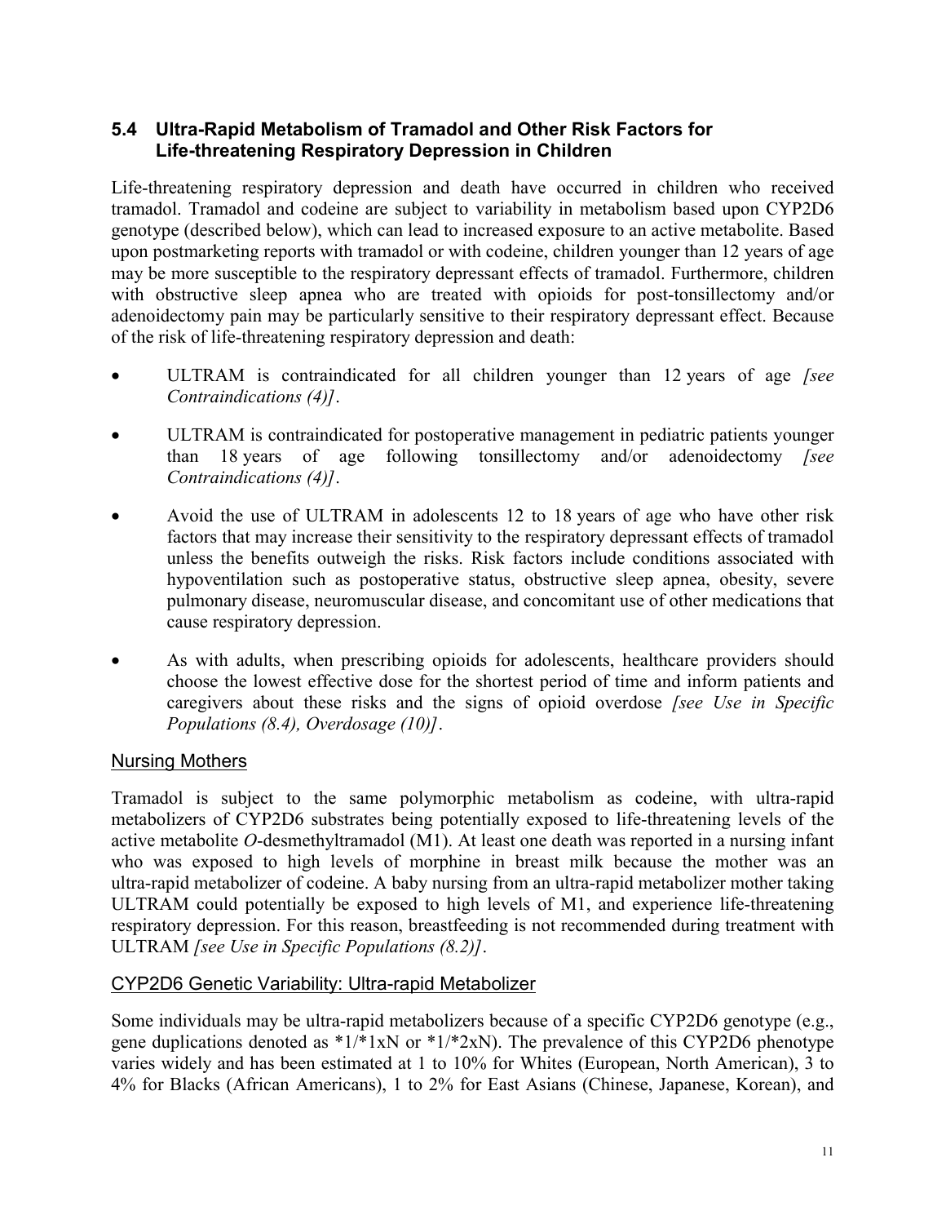# <span id="page-10-0"></span>**5.4 Ultra-Rapid Metabolism of Tramadol and Other Risk Factors for Life-threatening Respiratory Depression in Children**

Life-threatening respiratory depression and death have occurred in children who received tramadol. Tramadol and codeine are subject to variability in metabolism based upon CYP2D6 genotype (described below), which can lead to increased exposure to an active metabolite. Based upon postmarketing reports with tramadol or with codeine, children younger than 12 years of age may be more susceptible to the respiratory depressant effects of tramadol. Furthermore, children with obstructive sleep apnea who are treated with opioids for post-tonsillectomy and/or adenoidectomy pain may be particularly sensitive to their respiratory depressant effect. Because of the risk of life-threatening respiratory depression and death:

- ULTRAM is contraindicated for all children younger than 12 years of age *[see Contraindications (4)]*.
- ULTRAM is contraindicated for postoperative management in pediatric patients younger than 18 years of age following tonsillectomy and/or adenoidectomy *[see Contraindications (4)]*.
- Avoid the use of ULTRAM in adolescents 12 to 18 years of age who have other risk factors that may increase their sensitivity to the respiratory depressant effects of tramadol unless the benefits outweigh the risks. Risk factors include conditions associated with hypoventilation such as postoperative status, obstructive sleep apnea, obesity, severe pulmonary disease, neuromuscular disease, and concomitant use of other medications that cause respiratory depression.
- As with adults, when prescribing opioids for adolescents, healthcare providers should choose the lowest effective dose for the shortest period of time and inform patients and caregivers about these risks and the signs of opioid overdose *[see Use in Specific Populations (8.4), Overdosage (10)]*.

#### Nursing Mothers

Tramadol is subject to the same polymorphic metabolism as codeine, with ultra-rapid metabolizers of CYP2D6 substrates being potentially exposed to life-threatening levels of the active metabolite *O*-desmethyltramadol (M1). At least one death was reported in a nursing infant who was exposed to high levels of morphine in breast milk because the mother was an ultra-rapid metabolizer of codeine. A baby nursing from an ultra-rapid metabolizer mother taking ULTRAM could potentially be exposed to high levels of M1, and experience life-threatening respiratory depression. For this reason, breastfeeding is not recommended during treatment with ULTRAM *[see Use in Specific Populations (8.2)]*.

#### CYP2D6 Genetic Variability: Ultra-rapid Metabolizer

Some individuals may be ultra-rapid metabolizers because of a specific CYP2D6 genotype (e.g., gene duplications denoted as  $*1/*1xN$  or  $*1/*2xN$ ). The prevalence of this CYP2D6 phenotype varies widely and has been estimated at 1 to 10% for Whites (European, North American), 3 to 4% for Blacks (African Americans), 1 to 2% for East Asians (Chinese, Japanese, Korean), and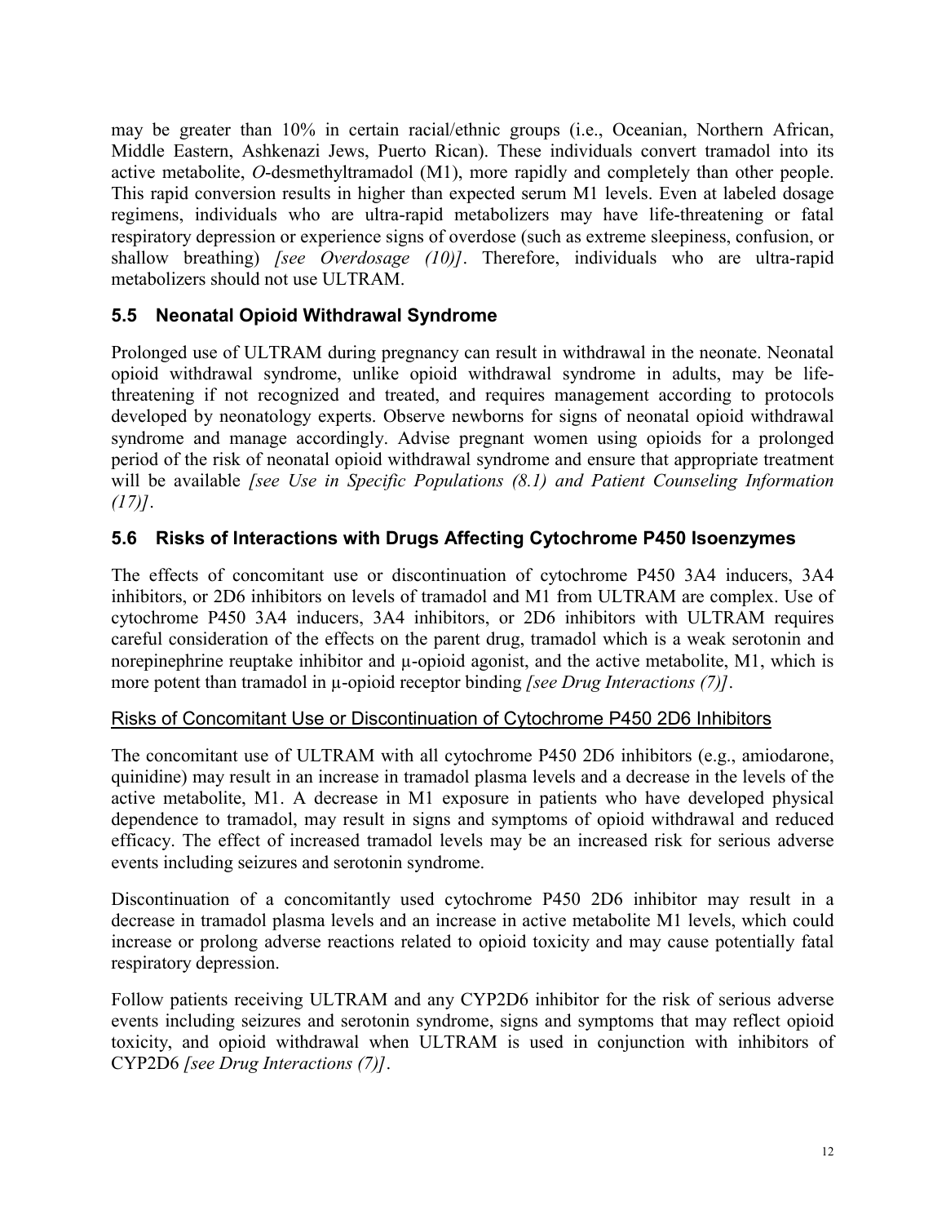may be greater than 10% in certain racial/ethnic groups (i.e., Oceanian, Northern African, Middle Eastern, Ashkenazi Jews, Puerto Rican). These individuals convert tramadol into its active metabolite, *O*-desmethyltramadol (M1), more rapidly and completely than other people. This rapid conversion results in higher than expected serum M1 levels. Even at labeled dosage regimens, individuals who are ultra-rapid metabolizers may have life-threatening or fatal respiratory depression or experience signs of overdose (such as extreme sleepiness, confusion, or shallow breathing) *[see Overdosage (10)]*. Therefore, individuals who are ultra-rapid metabolizers should not use ULTRAM.

# <span id="page-11-1"></span>**5.5 Neonatal Opioid Withdrawal Syndrome**

Prolonged use of ULTRAM during pregnancy can result in withdrawal in the neonate. Neonatal opioid withdrawal syndrome, unlike opioid withdrawal syndrome in adults, may be lifethreatening if not recognized and treated, and requires management according to protocols developed by neonatology experts. Observe newborns for signs of neonatal opioid withdrawal syndrome and manage accordingly. Advise pregnant women using opioids for a prolonged period of the risk of neonatal opioid withdrawal syndrome and ensure that appropriate treatment will be available *[see Use in Specific Populations (8.1) and Patient Counseling Information (17)]*.

# <span id="page-11-0"></span>**5.6 Risks of Interactions with Drugs Affecting Cytochrome P450 Isoenzymes**

The effects of concomitant use or discontinuation of cytochrome P450 3A4 inducers, 3A4 inhibitors, or 2D6 inhibitors on levels of tramadol and M1 from ULTRAM are complex. Use of cytochrome P450 3A4 inducers, 3A4 inhibitors, or 2D6 inhibitors with ULTRAM requires careful consideration of the effects on the parent drug, tramadol which is a weak serotonin and norepinephrine reuptake inhibitor and  $\mu$ -opioid agonist, and the active metabolite, M1, which is more potent than tramadol in µ-opioid receptor binding *[see Drug Interactions (7)]*.

#### Risks of Concomitant Use or Discontinuation of Cytochrome P450 2D6 Inhibitors

The concomitant use of ULTRAM with all cytochrome P450 2D6 inhibitors (e.g., amiodarone, quinidine) may result in an increase in tramadol plasma levels and a decrease in the levels of the active metabolite, M1. A decrease in M1 exposure in patients who have developed physical dependence to tramadol, may result in signs and symptoms of opioid withdrawal and reduced efficacy. The effect of increased tramadol levels may be an increased risk for serious adverse events including seizures and serotonin syndrome.

Discontinuation of a concomitantly used cytochrome P450 2D6 inhibitor may result in a decrease in tramadol plasma levels and an increase in active metabolite M1 levels, which could increase or prolong adverse reactions related to opioid toxicity and may cause potentially fatal respiratory depression.

Follow patients receiving ULTRAM and any CYP2D6 inhibitor for the risk of serious adverse events including seizures and serotonin syndrome, signs and symptoms that may reflect opioid toxicity, and opioid withdrawal when ULTRAM is used in conjunction with inhibitors of CYP2D6 *[see Drug Interactions (7)]*.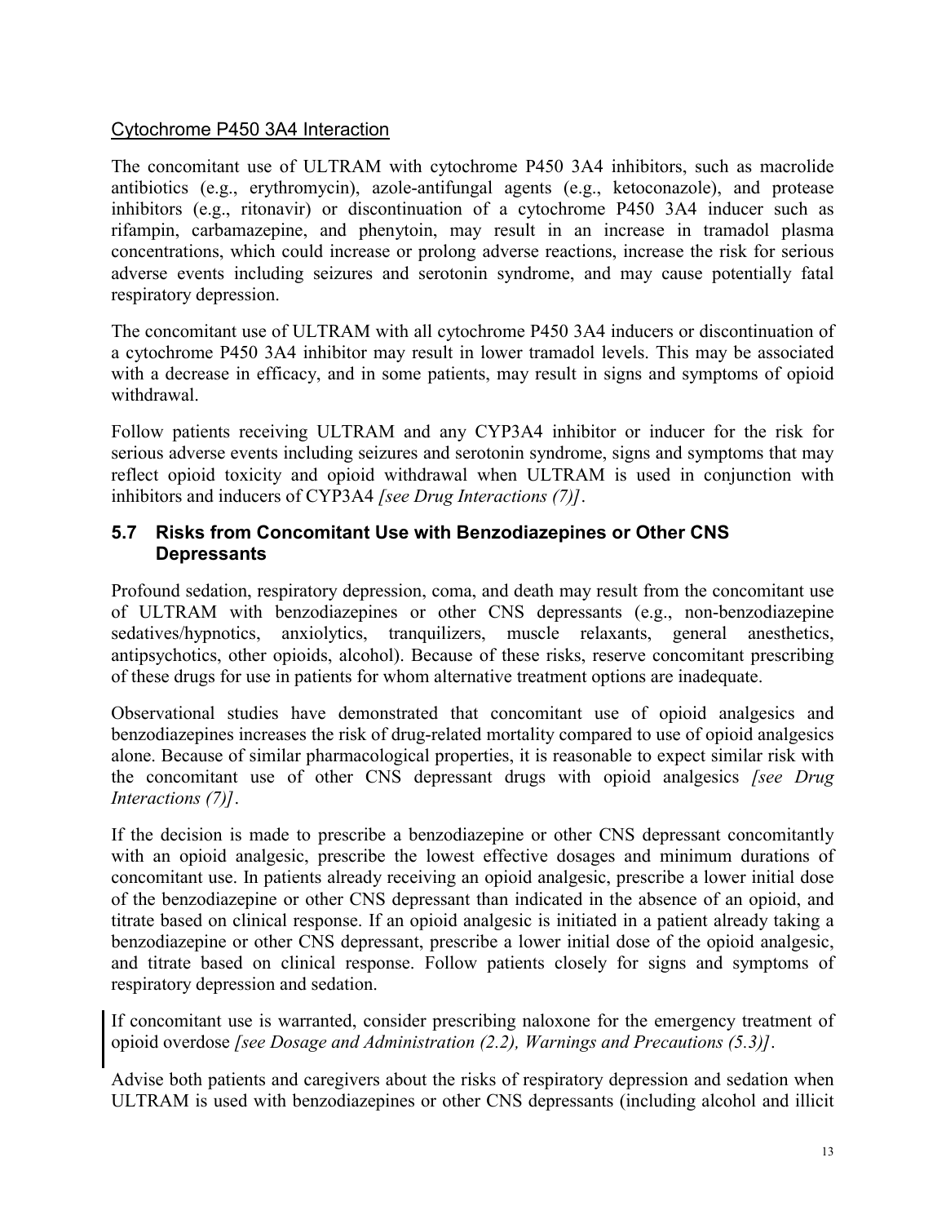#### Cytochrome P450 3A4 Interaction

The concomitant use of ULTRAM with cytochrome P450 3A4 inhibitors, such as macrolide antibiotics (e.g., erythromycin), azole-antifungal agents (e.g., ketoconazole), and protease inhibitors (e.g., ritonavir) or discontinuation of a cytochrome P450 3A4 inducer such as rifampin, carbamazepine, and phenytoin, may result in an increase in tramadol plasma concentrations, which could increase or prolong adverse reactions, increase the risk for serious adverse events including seizures and serotonin syndrome, and may cause potentially fatal respiratory depression.

The concomitant use of ULTRAM with all cytochrome P450 3A4 inducers or discontinuation of a cytochrome P450 3A4 inhibitor may result in lower tramadol levels. This may be associated with a decrease in efficacy, and in some patients, may result in signs and symptoms of opioid withdrawal.

Follow patients receiving ULTRAM and any CYP3A4 inhibitor or inducer for the risk for serious adverse events including seizures and serotonin syndrome, signs and symptoms that may reflect opioid toxicity and opioid withdrawal when ULTRAM is used in conjunction with inhibitors and inducers of CYP3A4 *[see Drug Interactions (7)]*.

#### <span id="page-12-0"></span>**5.7 Risks from Concomitant Use with Benzodiazepines or Other CNS Depressants**

Profound sedation, respiratory depression, coma, and death may result from the concomitant use of ULTRAM with benzodiazepines or other CNS depressants (e.g., non-benzodiazepine sedatives/hypnotics, anxiolytics, tranquilizers, muscle relaxants, general anesthetics, antipsychotics, other opioids, alcohol). Because of these risks, reserve concomitant prescribing of these drugs for use in patients for whom alternative treatment options are inadequate.

Observational studies have demonstrated that concomitant use of opioid analgesics and benzodiazepines increases the risk of drug-related mortality compared to use of opioid analgesics alone. Because of similar pharmacological properties, it is reasonable to expect similar risk with the concomitant use of other CNS depressant drugs with opioid analgesics *[see Drug Interactions (7)]*.

If the decision is made to prescribe a benzodiazepine or other CNS depressant concomitantly with an opioid analgesic, prescribe the lowest effective dosages and minimum durations of concomitant use. In patients already receiving an opioid analgesic, prescribe a lower initial dose of the benzodiazepine or other CNS depressant than indicated in the absence of an opioid, and titrate based on clinical response. If an opioid analgesic is initiated in a patient already taking a benzodiazepine or other CNS depressant, prescribe a lower initial dose of the opioid analgesic, and titrate based on clinical response. Follow patients closely for signs and symptoms of respiratory depression and sedation.

If concomitant use is warranted, consider prescribing naloxone for the emergency treatment of opioid overdose *[see Dosage and Administration (2.2), Warnings and Precautions (5.3)]*.

Advise both patients and caregivers about the risks of respiratory depression and sedation when ULTRAM is used with benzodiazepines or other CNS depressants (including alcohol and illicit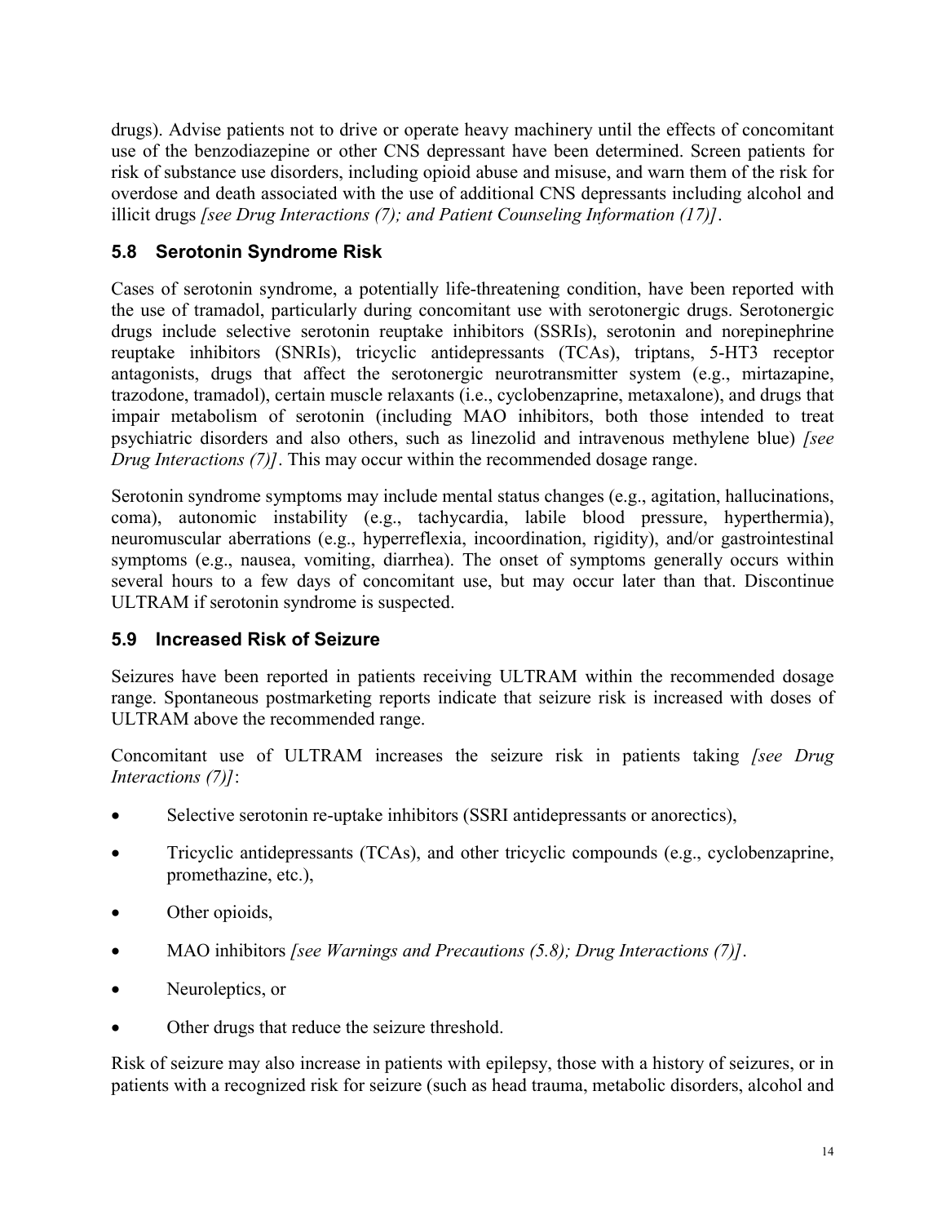drugs). Advise patients not to drive or operate heavy machinery until the effects of concomitant use of the benzodiazepine or other CNS depressant have been determined. Screen patients for risk of substance use disorders, including opioid abuse and misuse, and warn them of the risk for overdose and death associated with the use of additional CNS depressants including alcohol and illicit drugs *[see Drug Interactions (7); and Patient Counseling Information (17)]*.

# <span id="page-13-1"></span>**5.8 Serotonin Syndrome Risk**

Cases of serotonin syndrome, a potentially life-threatening condition, have been reported with the use of tramadol, particularly during concomitant use with serotonergic drugs. Serotonergic drugs include selective serotonin reuptake inhibitors (SSRIs), serotonin and norepinephrine reuptake inhibitors (SNRIs), tricyclic antidepressants (TCAs), triptans, 5-HT3 receptor antagonists, drugs that affect the serotonergic neurotransmitter system (e.g., mirtazapine, trazodone, tramadol), certain muscle relaxants (i.e., cyclobenzaprine, metaxalone), and drugs that impair metabolism of serotonin (including MAO inhibitors, both those intended to treat psychiatric disorders and also others, such as linezolid and intravenous methylene blue) *[see Drug Interactions (7)]*. This may occur within the recommended dosage range.

Serotonin syndrome symptoms may include mental status changes (e.g., agitation, hallucinations, coma), autonomic instability (e.g., tachycardia, labile blood pressure, hyperthermia), neuromuscular aberrations (e.g., hyperreflexia, incoordination, rigidity), and/or gastrointestinal symptoms (e.g., nausea, vomiting, diarrhea). The onset of symptoms generally occurs within several hours to a few days of concomitant use, but may occur later than that. Discontinue ULTRAM if serotonin syndrome is suspected.

# <span id="page-13-0"></span>**5.9 Increased Risk of Seizure**

Seizures have been reported in patients receiving ULTRAM within the recommended dosage range. Spontaneous postmarketing reports indicate that seizure risk is increased with doses of ULTRAM above the recommended range.

Concomitant use of ULTRAM increases the seizure risk in patients taking *[see Drug Interactions (7)]*:

- Selective serotonin re-uptake inhibitors (SSRI antidepressants or anorectics),
- Tricyclic antidepressants (TCAs), and other tricyclic compounds (e.g., cyclobenzaprine, promethazine, etc.),
- Other opioids,
- MAO inhibitors *[see Warnings and Precautions (5.8); Drug Interactions (7)]*.
- Neuroleptics, or
- Other drugs that reduce the seizure threshold.

Risk of seizure may also increase in patients with epilepsy, those with a history of seizures, or in patients with a recognized risk for seizure (such as head trauma, metabolic disorders, alcohol and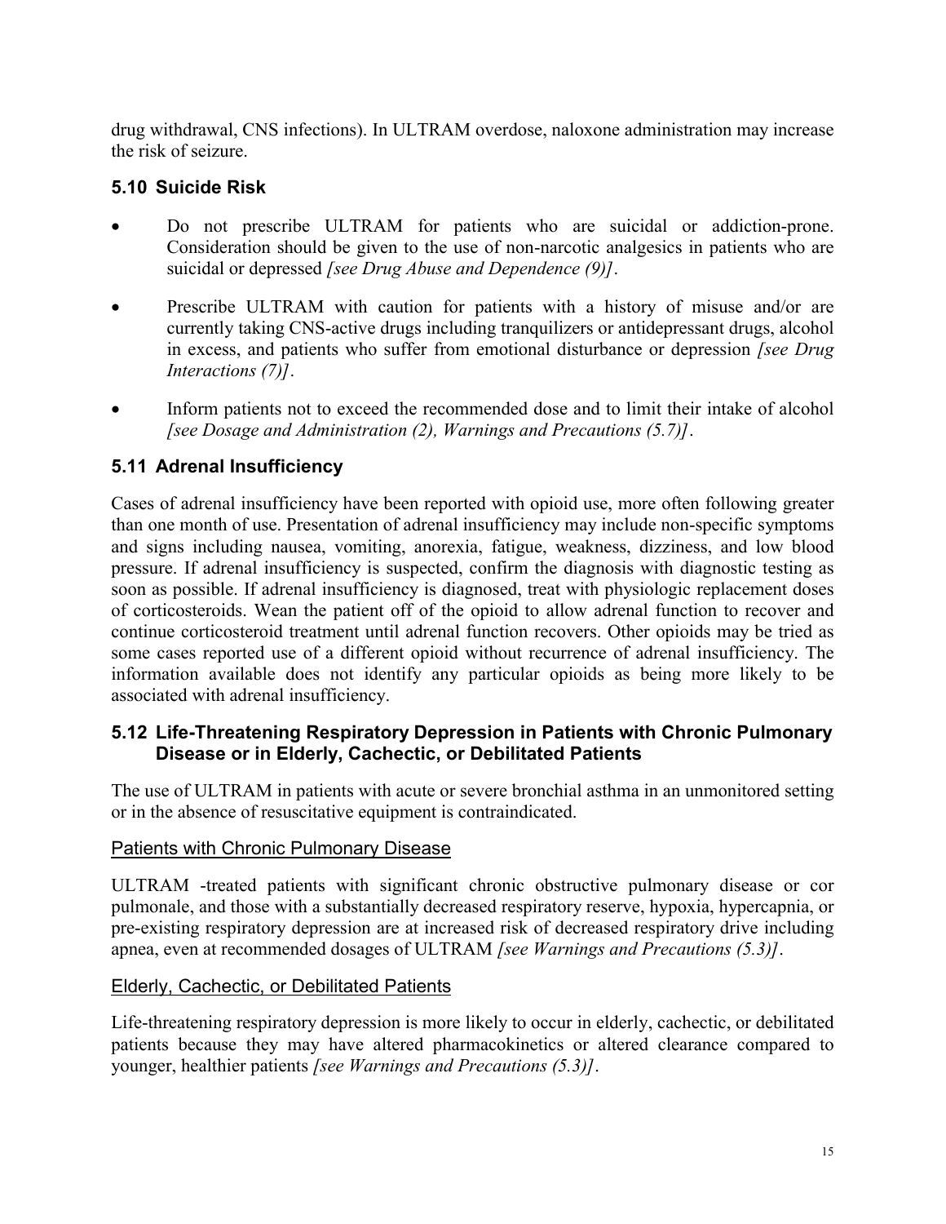drug withdrawal, CNS infections). In ULTRAM overdose, naloxone administration may increase the risk of seizure.

# <span id="page-14-2"></span>**5.10 Suicide Risk**

- Do not prescribe ULTRAM for patients who are suicidal or addiction-prone. Consideration should be given to the use of non-narcotic analgesics in patients who are suicidal or depressed *[see Drug Abuse and Dependence (9)]*.
- Prescribe ULTRAM with caution for patients with a history of misuse and/or are currently taking CNS-active drugs including tranquilizers or antidepressant drugs, alcohol in excess, and patients who suffer from emotional disturbance or depression *[see Drug Interactions (7)]*.
- Inform patients not to exceed the recommended dose and to limit their intake of alcohol *[see Dosage and Administration (2), Warnings and Precautions (5.7)]*.

# <span id="page-14-1"></span>**5.11 Adrenal Insufficiency**

Cases of adrenal insufficiency have been reported with opioid use, more often following greater than one month of use. Presentation of adrenal insufficiency may include non-specific symptoms and signs including nausea, vomiting, anorexia, fatigue, weakness, dizziness, and low blood pressure. If adrenal insufficiency is suspected, confirm the diagnosis with diagnostic testing as soon as possible. If adrenal insufficiency is diagnosed, treat with physiologic replacement doses of corticosteroids. Wean the patient off of the opioid to allow adrenal function to recover and continue corticosteroid treatment until adrenal function recovers. Other opioids may be tried as some cases reported use of a different opioid without recurrence of adrenal insufficiency. The information available does not identify any particular opioids as being more likely to be associated with adrenal insufficiency.

# <span id="page-14-0"></span>**5.12 Life-Threatening Respiratory Depression in Patients with Chronic Pulmonary Disease or in Elderly, Cachectic, or Debilitated Patients**

The use of ULTRAM in patients with acute or severe bronchial asthma in an unmonitored setting or in the absence of resuscitative equipment is contraindicated.

#### Patients with Chronic Pulmonary Disease

ULTRAM -treated patients with significant chronic obstructive pulmonary disease or cor pulmonale, and those with a substantially decreased respiratory reserve, hypoxia, hypercapnia, or pre-existing respiratory depression are at increased risk of decreased respiratory drive including apnea, even at recommended dosages of ULTRAM *[see Warnings and Precautions (5.3)]*.

#### Elderly, Cachectic, or Debilitated Patients

Life-threatening respiratory depression is more likely to occur in elderly, cachectic, or debilitated patients because they may have altered pharmacokinetics or altered clearance compared to younger, healthier patients *[see Warnings and Precautions (5.3)]*.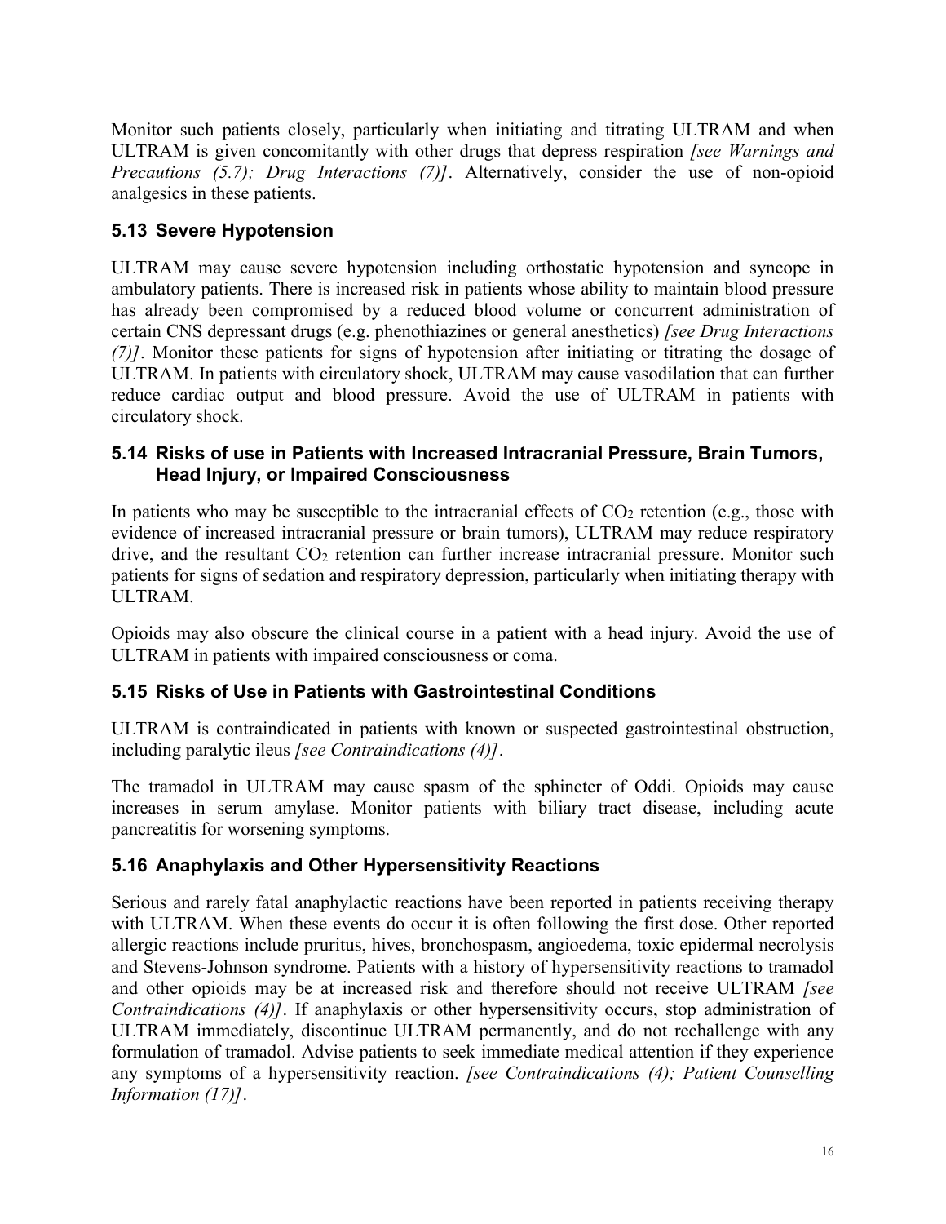Monitor such patients closely, particularly when initiating and titrating ULTRAM and when ULTRAM is given concomitantly with other drugs that depress respiration *[see Warnings and Precautions (5.7); Drug Interactions (7)]*. Alternatively, consider the use of non-opioid analgesics in these patients.

# <span id="page-15-3"></span>**5.13 Severe Hypotension**

ULTRAM may cause severe hypotension including orthostatic hypotension and syncope in ambulatory patients. There is increased risk in patients whose ability to maintain blood pressure has already been compromised by a reduced blood volume or concurrent administration of certain CNS depressant drugs (e.g. phenothiazines or general anesthetics) *[see Drug Interactions (7)]*. Monitor these patients for signs of hypotension after initiating or titrating the dosage of ULTRAM. In patients with circulatory shock, ULTRAM may cause vasodilation that can further reduce cardiac output and blood pressure. Avoid the use of ULTRAM in patients with circulatory shock.

#### <span id="page-15-2"></span>**5.14 Risks of use in Patients with Increased Intracranial Pressure, Brain Tumors, Head Injury, or Impaired Consciousness**

In patients who may be susceptible to the intracranial effects of  $CO<sub>2</sub>$  retention (e.g., those with evidence of increased intracranial pressure or brain tumors), ULTRAM may reduce respiratory drive, and the resultant  $CO<sub>2</sub>$  retention can further increase intracranial pressure. Monitor such patients for signs of sedation and respiratory depression, particularly when initiating therapy with ULTRAM.

Opioids may also obscure the clinical course in a patient with a head injury. Avoid the use of ULTRAM in patients with impaired consciousness or coma.

# <span id="page-15-1"></span>**5.15 Risks of Use in Patients with Gastrointestinal Conditions**

ULTRAM is contraindicated in patients with known or suspected gastrointestinal obstruction, including paralytic ileus *[see Contraindications (4)]*.

The tramadol in ULTRAM may cause spasm of the sphincter of Oddi. Opioids may cause increases in serum amylase. Monitor patients with biliary tract disease, including acute pancreatitis for worsening symptoms.

#### <span id="page-15-0"></span>**5.16 Anaphylaxis and Other Hypersensitivity Reactions**

Serious and rarely fatal anaphylactic reactions have been reported in patients receiving therapy with ULTRAM. When these events do occur it is often following the first dose. Other reported allergic reactions include pruritus, hives, bronchospasm, angioedema, toxic epidermal necrolysis and Stevens-Johnson syndrome. Patients with a history of hypersensitivity reactions to tramadol and other opioids may be at increased risk and therefore should not receive ULTRAM *[see Contraindications (4)]*. If anaphylaxis or other hypersensitivity occurs, stop administration of ULTRAM immediately, discontinue ULTRAM permanently, and do not rechallenge with any formulation of tramadol. Advise patients to seek immediate medical attention if they experience any symptoms of a hypersensitivity reaction. *[see Contraindications (4); Patient Counselling Information (17)]*.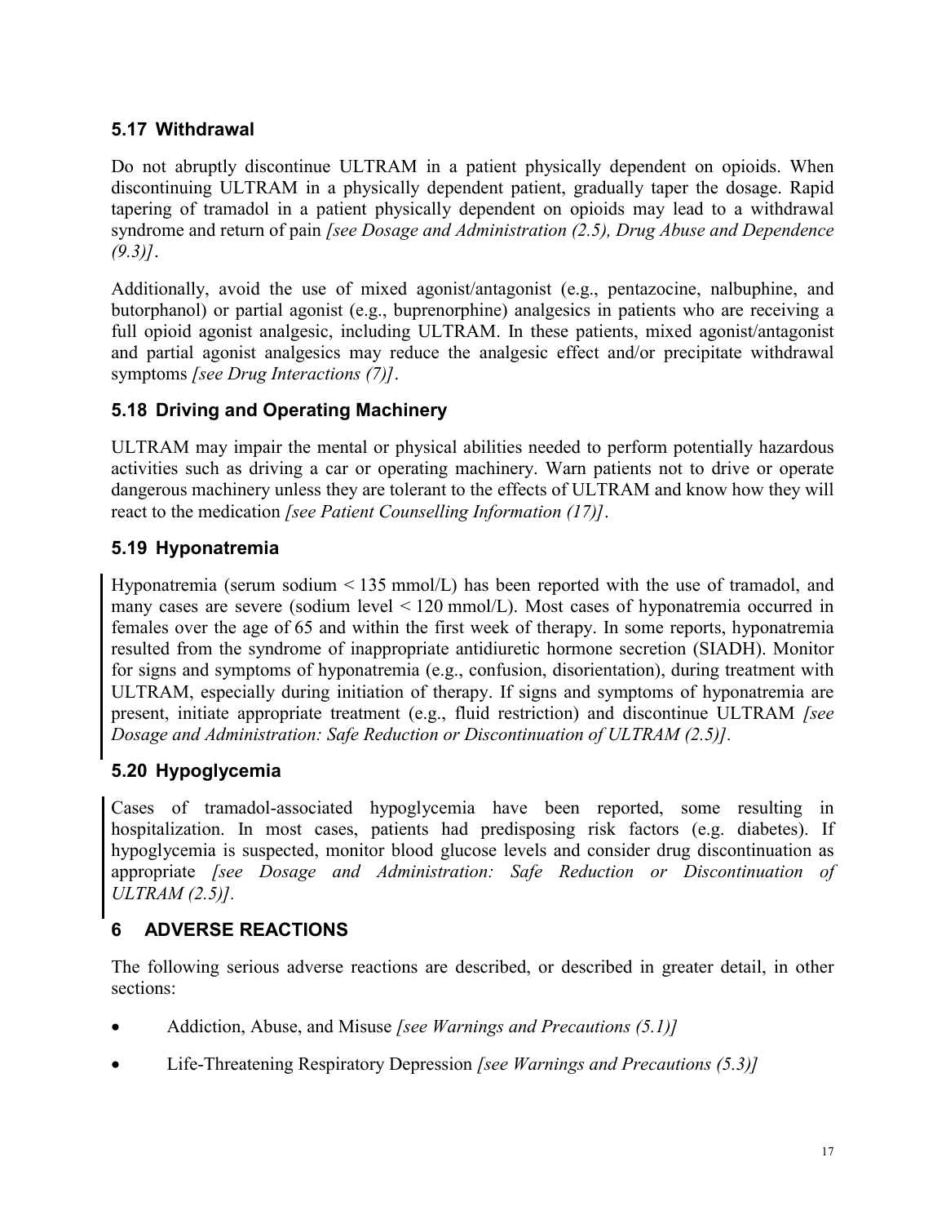# <span id="page-16-4"></span>**5.17 Withdrawal**

Do not abruptly discontinue ULTRAM in a patient physically dependent on opioids. When discontinuing ULTRAM in a physically dependent patient, gradually taper the dosage. Rapid tapering of tramadol in a patient physically dependent on opioids may lead to a withdrawal syndrome and return of pain *[see Dosage and Administration (2.5), Drug Abuse and Dependence (9.3)]*.

Additionally, avoid the use of mixed agonist/antagonist (e.g., pentazocine, nalbuphine, and butorphanol) or partial agonist (e.g., buprenorphine) analgesics in patients who are receiving a full opioid agonist analgesic, including ULTRAM. In these patients, mixed agonist/antagonist and partial agonist analgesics may reduce the analgesic effect and/or precipitate withdrawal symptoms *[see Drug Interactions (7)]*.

# <span id="page-16-3"></span>**5.18 Driving and Operating Machinery**

ULTRAM may impair the mental or physical abilities needed to perform potentially hazardous activities such as driving a car or operating machinery. Warn patients not to drive or operate dangerous machinery unless they are tolerant to the effects of ULTRAM and know how they will react to the medication *[see Patient Counselling Information (17)]*.

# <span id="page-16-2"></span>**5.19 Hyponatremia**

Hyponatremia (serum sodium  $\leq$  135 mmol/L) has been reported with the use of tramadol, and many cases are severe (sodium level < 120 mmol/L). Most cases of hyponatremia occurred in females over the age of 65 and within the first week of therapy. In some reports, hyponatremia resulted from the syndrome of inappropriate antidiuretic hormone secretion (SIADH). Monitor for signs and symptoms of hyponatremia (e.g., confusion, disorientation), during treatment with ULTRAM, especially during initiation of therapy. If signs and symptoms of hyponatremia are present, initiate appropriate treatment (e.g., fluid restriction) and discontinue ULTRAM *[see Dosage and Administration: Safe Reduction or Discontinuation of ULTRAM (2.5)].*

# <span id="page-16-1"></span>**5.20 Hypoglycemia**

Cases of tramadol-associated hypoglycemia have been reported, some resulting in hospitalization. In most cases, patients had predisposing risk factors (e.g. diabetes). If hypoglycemia is suspected, monitor blood glucose levels and consider drug discontinuation as appropriate *[see Dosage and Administration: Safe Reduction or Discontinuation of ULTRAM (2.5)].*

# <span id="page-16-0"></span>**6 ADVERSE REACTIONS**

The following serious adverse reactions are described, or described in greater detail, in other sections:

- Addiction, Abuse, and Misuse *[see Warnings and Precautions (5.1)]*
- Life-Threatening Respiratory Depression *[see Warnings and Precautions (5.3)]*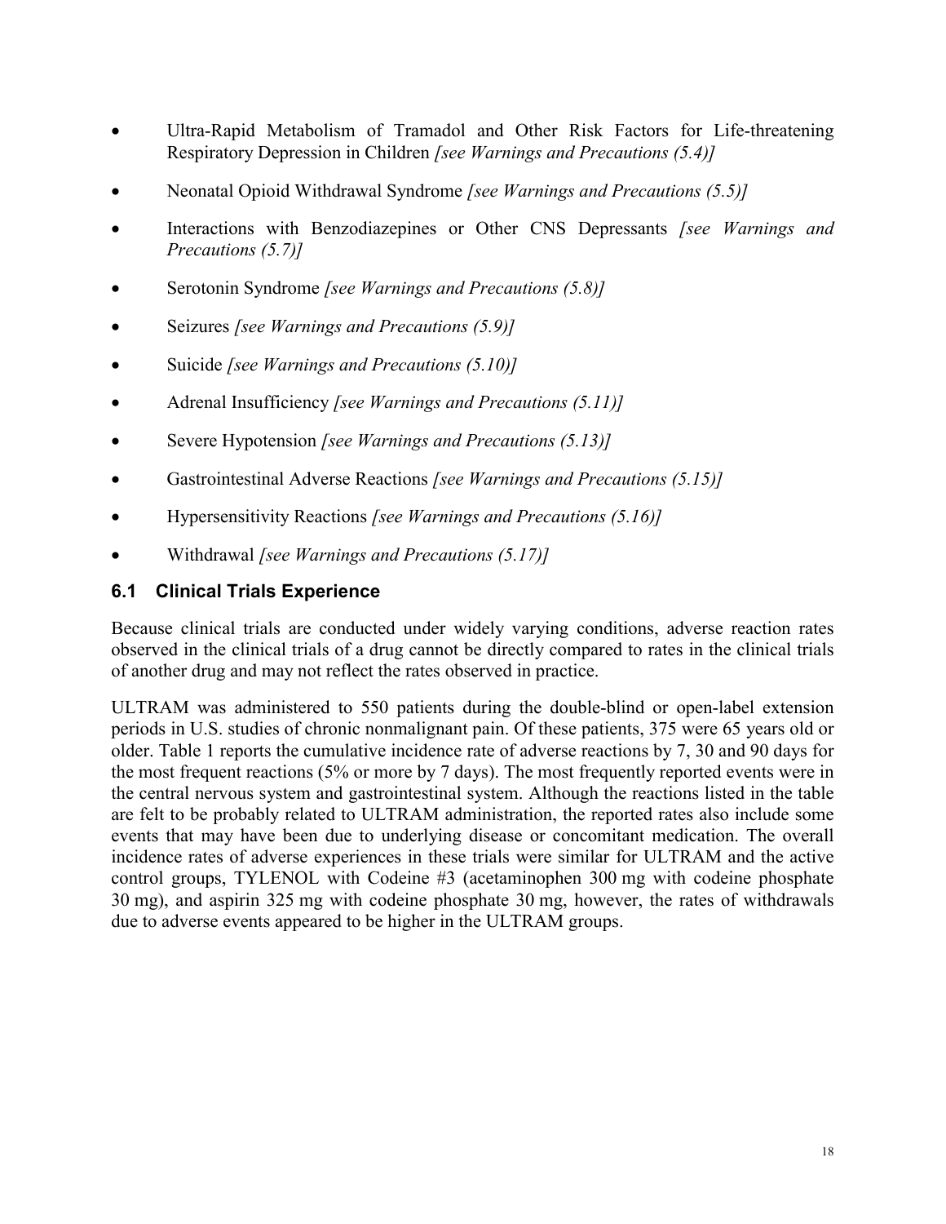- Ultra-Rapid Metabolism of Tramadol and Other Risk Factors for Life-threatening Respiratory Depression in Children *[see Warnings and Precautions (5.4)]*
- Neonatal Opioid Withdrawal Syndrome *[see Warnings and Precautions (5.5)]*
- Interactions with Benzodiazepines or Other CNS Depressants *[see Warnings and Precautions (5.7)]*
- Serotonin Syndrome *[see Warnings and Precautions (5.8)]*
- Seizures *[see Warnings and Precautions (5.9)]*
- Suicide *[see Warnings and Precautions (5.10)]*
- Adrenal Insufficiency *[see Warnings and Precautions (5.11)]*
- Severe Hypotension *[see Warnings and Precautions (5.13)]*
- Gastrointestinal Adverse Reactions *[see Warnings and Precautions (5.15)]*
- Hypersensitivity Reactions *[see Warnings and Precautions (5.16)]*
- Withdrawal *[see Warnings and Precautions (5.17)]*

# <span id="page-17-0"></span>**6.1 Clinical Trials Experience**

Because clinical trials are conducted under widely varying conditions, adverse reaction rates observed in the clinical trials of a drug cannot be directly compared to rates in the clinical trials of another drug and may not reflect the rates observed in practice.

ULTRAM was administered to 550 patients during the double-blind or open-label extension periods in U.S. studies of chronic nonmalignant pain. Of these patients, 375 were 65 years old or older. Table 1 reports the cumulative incidence rate of adverse reactions by 7, 30 and 90 days for the most frequent reactions (5% or more by 7 days). The most frequently reported events were in the central nervous system and gastrointestinal system. Although the reactions listed in the table are felt to be probably related to ULTRAM administration, the reported rates also include some events that may have been due to underlying disease or concomitant medication. The overall incidence rates of adverse experiences in these trials were similar for ULTRAM and the active control groups, TYLENOL with Codeine #3 (acetaminophen 300 mg with codeine phosphate 30 mg), and aspirin 325 mg with codeine phosphate 30 mg, however, the rates of withdrawals due to adverse events appeared to be higher in the ULTRAM groups.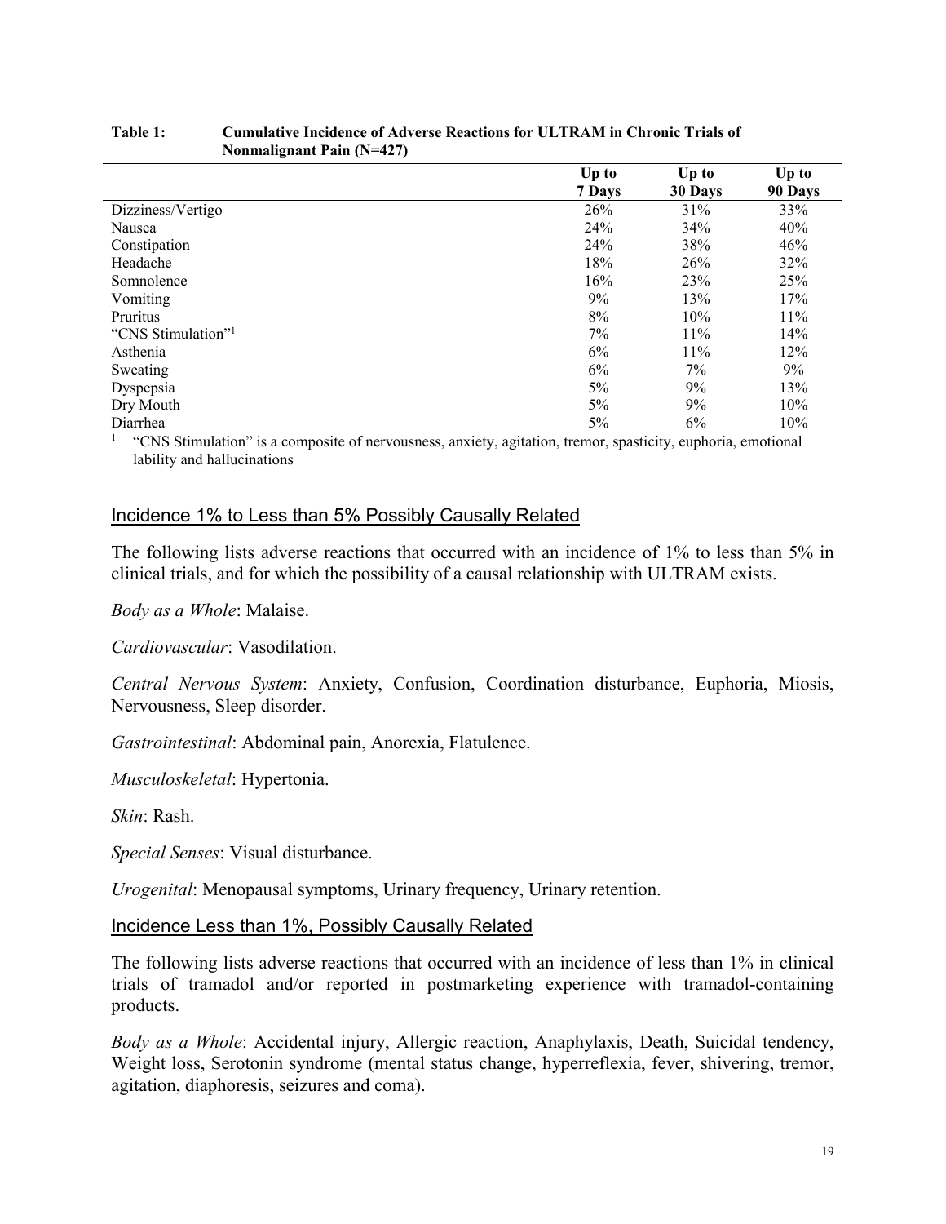|                                | $Up$ to | Up to   | Up to   |
|--------------------------------|---------|---------|---------|
|                                | 7 Days  | 30 Days | 90 Days |
| Dizziness/Vertigo              | 26%     | 31%     | 33%     |
| Nausea                         | 24%     | 34%     | 40%     |
| Constipation                   | 24%     | 38%     | 46%     |
| Headache                       | 18%     | 26%     | 32%     |
| Somnolence                     | 16%     | 23%     | 25%     |
| Vomiting                       | 9%      | 13%     | 17%     |
| Pruritus                       | 8%      | 10%     | 11%     |
| "CNS Stimulation" <sup>1</sup> | $7\%$   | 11%     | 14%     |
| Asthenia                       | 6%      | 11%     | 12%     |
| Sweating                       | 6%      | 7%      | 9%      |
| Dyspepsia                      | $5\%$   | 9%      | 13%     |
| Dry Mouth                      | 5%      | 9%      | 10%     |
| Diarrhea                       | 5%      | 6%      | 10%     |

#### **Table 1: Cumulative Incidence of Adverse Reactions for ULTRAM in Chronic Trials of Nonmalignant Pain (N=427)**

<sup>1</sup> "CNS Stimulation" is a composite of nervousness, anxiety, agitation, tremor, spasticity, euphoria, emotional lability and hallucinations

#### Incidence 1% to Less than 5% Possibly Causally Related

The following lists adverse reactions that occurred with an incidence of 1% to less than 5% in clinical trials, and for which the possibility of a causal relationship with ULTRAM exists.

*Body as a Whole*: Malaise.

*Cardiovascular*: Vasodilation.

*Central Nervous System*: Anxiety, Confusion, Coordination disturbance, Euphoria, Miosis, Nervousness, Sleep disorder.

*Gastrointestinal*: Abdominal pain, Anorexia, Flatulence.

*Musculoskeletal*: Hypertonia.

*Skin*: Rash.

*Special Senses*: Visual disturbance.

*Urogenital*: Menopausal symptoms, Urinary frequency, Urinary retention.

Incidence Less than 1%, Possibly Causally Related

The following lists adverse reactions that occurred with an incidence of less than 1% in clinical trials of tramadol and/or reported in postmarketing experience with tramadol-containing products.

*Body as a Whole*: Accidental injury, Allergic reaction, Anaphylaxis, Death, Suicidal tendency, Weight loss, Serotonin syndrome (mental status change, hyperreflexia, fever, shivering, tremor, agitation, diaphoresis, seizures and coma).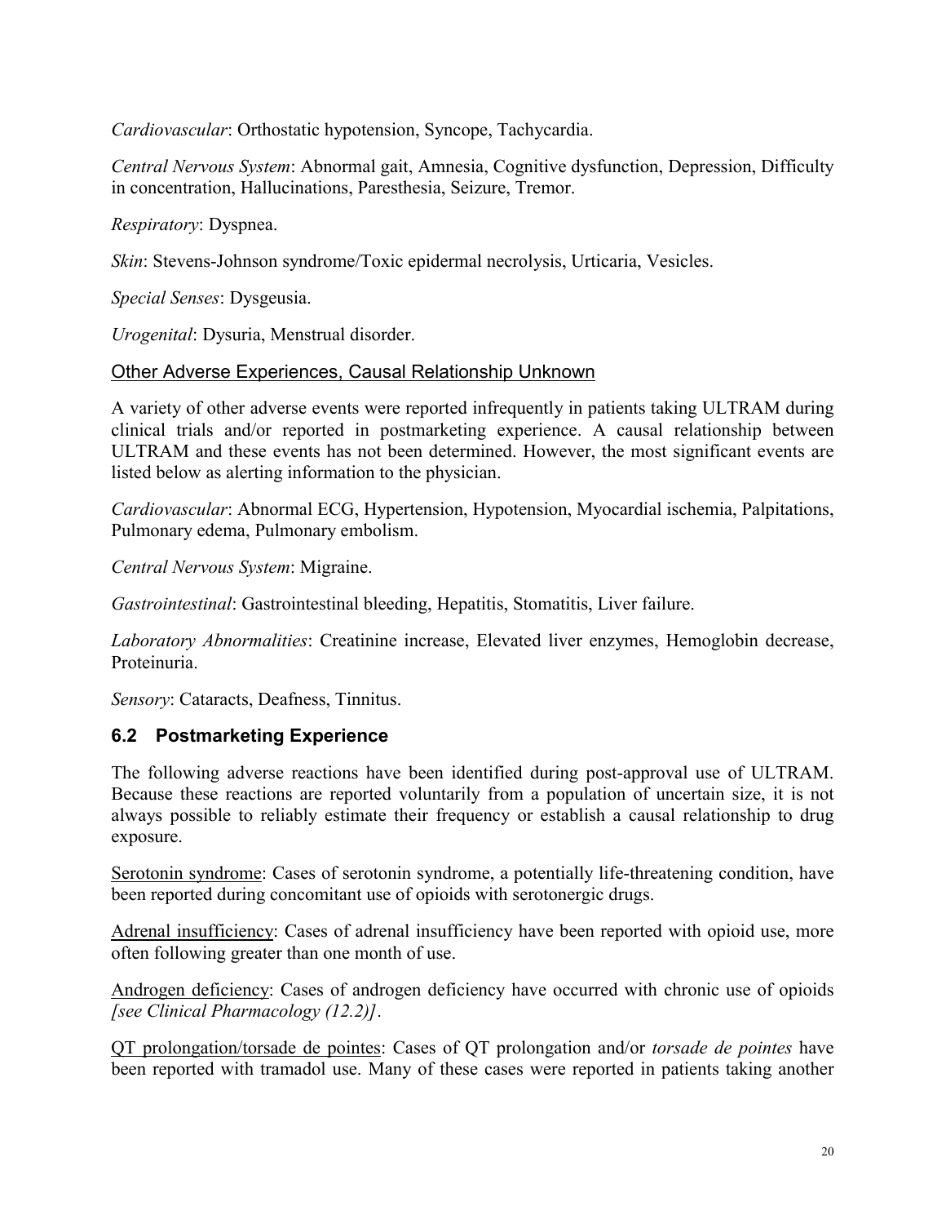*Cardiovascular*: Orthostatic hypotension, Syncope, Tachycardia.

*Central Nervous System*: Abnormal gait, Amnesia, Cognitive dysfunction, Depression, Difficulty in concentration, Hallucinations, Paresthesia, Seizure, Tremor.

*Respiratory*: Dyspnea.

*Skin*: Stevens-Johnson syndrome/Toxic epidermal necrolysis, Urticaria, Vesicles.

*Special Senses*: Dysgeusia.

*Urogenital*: Dysuria, Menstrual disorder.

#### Other Adverse Experiences, Causal Relationship Unknown

A variety of other adverse events were reported infrequently in patients taking ULTRAM during clinical trials and/or reported in postmarketing experience. A causal relationship between ULTRAM and these events has not been determined. However, the most significant events are listed below as alerting information to the physician.

*Cardiovascular*: Abnormal ECG, Hypertension, Hypotension, Myocardial ischemia, Palpitations, Pulmonary edema, Pulmonary embolism.

*Central Nervous System*: Migraine.

*Gastrointestinal*: Gastrointestinal bleeding, Hepatitis, Stomatitis, Liver failure.

*Laboratory Abnormalities*: Creatinine increase, Elevated liver enzymes, Hemoglobin decrease, Proteinuria.

*Sensory*: Cataracts, Deafness, Tinnitus.

#### <span id="page-19-0"></span>**6.2 Postmarketing Experience**

The following adverse reactions have been identified during post-approval use of ULTRAM. Because these reactions are reported voluntarily from a population of uncertain size, it is not always possible to reliably estimate their frequency or establish a causal relationship to drug exposure.

Serotonin syndrome: Cases of serotonin syndrome, a potentially life-threatening condition, have been reported during concomitant use of opioids with serotonergic drugs.

Adrenal insufficiency: Cases of adrenal insufficiency have been reported with opioid use, more often following greater than one month of use.

Androgen deficiency: Cases of androgen deficiency have occurred with chronic use of opioids *[see Clinical Pharmacology (12.2)]*.

QT prolongation/torsade de pointes: Cases of QT prolongation and/or *torsade de pointes* have been reported with tramadol use. Many of these cases were reported in patients taking another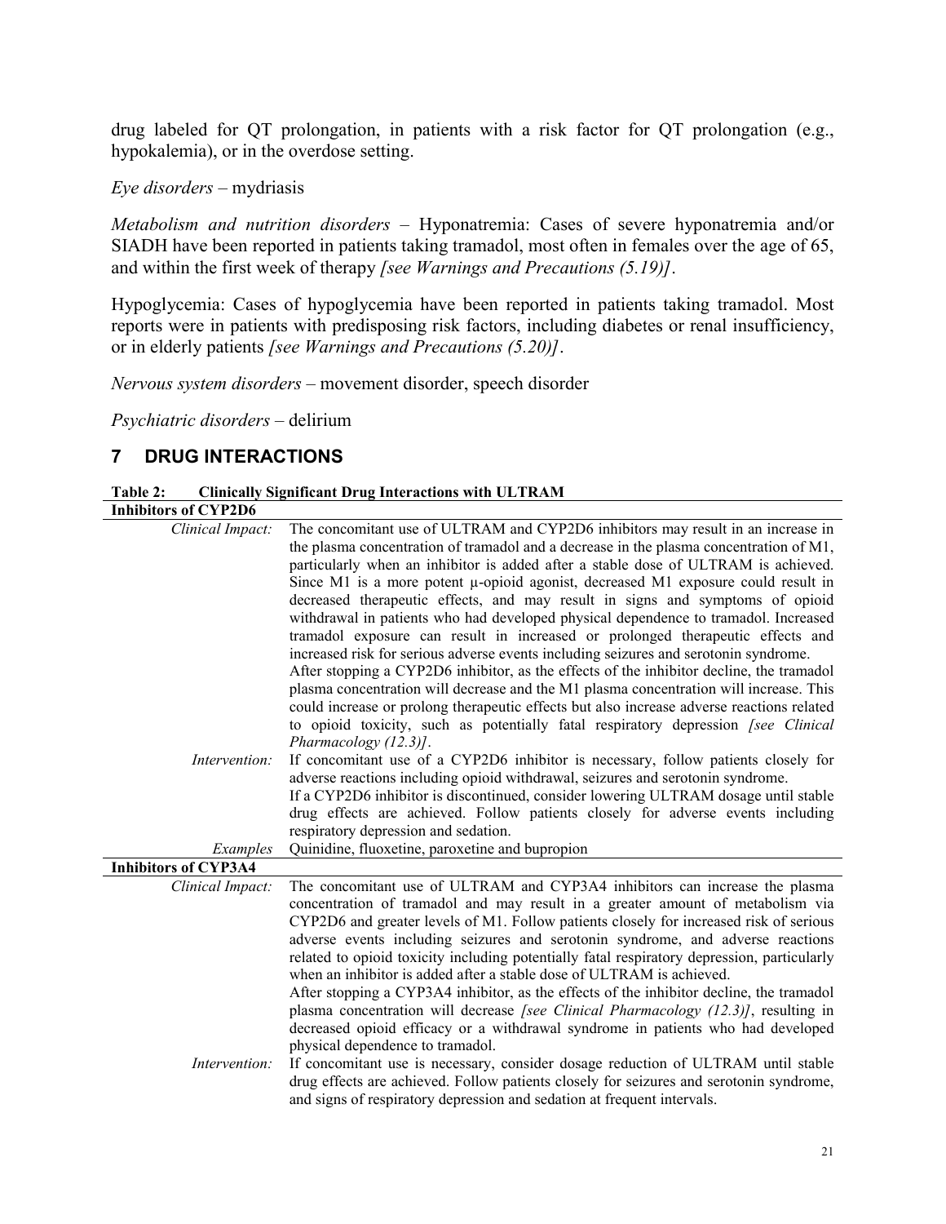drug labeled for QT prolongation, in patients with a risk factor for QT prolongation (e.g., hypokalemia), or in the overdose setting.

#### *Eye disorders* – mydriasis

*Metabolism and nutrition disorders* – Hyponatremia: Cases of severe hyponatremia and/or SIADH have been reported in patients taking tramadol, most often in females over the age of 65, and within the first week of therapy *[see Warnings and Precautions (5.19)]*.

Hypoglycemia: Cases of hypoglycemia have been reported in patients taking tramadol. Most reports were in patients with predisposing risk factors, including diabetes or renal insufficiency, or in elderly patients *[see Warnings and Precautions (5.20)]*.

*Nervous system disorders* – movement disorder, speech disorder

*Psychiatric disorders* – delirium

#### <span id="page-20-0"></span>**7 DRUG INTERACTIONS**

|  | Table 2: | <b>Clinically Significant Drug Interactions with ULTRAM</b> |
|--|----------|-------------------------------------------------------------|
|--|----------|-------------------------------------------------------------|

| <b>Inhibitors of CYP2D6</b>             |                                                                                                                                                                                                                                                                                                                                                                                                                                                                                                                                                                                                                                                                                                                                                                                                                                                                                                                                                                                                                                                                                                                |
|-----------------------------------------|----------------------------------------------------------------------------------------------------------------------------------------------------------------------------------------------------------------------------------------------------------------------------------------------------------------------------------------------------------------------------------------------------------------------------------------------------------------------------------------------------------------------------------------------------------------------------------------------------------------------------------------------------------------------------------------------------------------------------------------------------------------------------------------------------------------------------------------------------------------------------------------------------------------------------------------------------------------------------------------------------------------------------------------------------------------------------------------------------------------|
| Clinical Impact:                        | The concomitant use of ULTRAM and CYP2D6 inhibitors may result in an increase in<br>the plasma concentration of tramadol and a decrease in the plasma concentration of M1,<br>particularly when an inhibitor is added after a stable dose of ULTRAM is achieved.<br>Since M1 is a more potent $\mu$ -opioid agonist, decreased M1 exposure could result in<br>decreased therapeutic effects, and may result in signs and symptoms of opioid<br>withdrawal in patients who had developed physical dependence to tramadol. Increased<br>tramadol exposure can result in increased or prolonged therapeutic effects and<br>increased risk for serious adverse events including seizures and serotonin syndrome.<br>After stopping a CYP2D6 inhibitor, as the effects of the inhibitor decline, the tramadol<br>plasma concentration will decrease and the M1 plasma concentration will increase. This<br>could increase or prolong therapeutic effects but also increase adverse reactions related<br>to opioid toxicity, such as potentially fatal respiratory depression [see Clinical<br>Pharmacology (12.3)]. |
| Intervention:                           | If concomitant use of a CYP2D6 inhibitor is necessary, follow patients closely for<br>adverse reactions including opioid withdrawal, seizures and serotonin syndrome.<br>If a CYP2D6 inhibitor is discontinued, consider lowering ULTRAM dosage until stable<br>drug effects are achieved. Follow patients closely for adverse events including<br>respiratory depression and sedation.<br>Quinidine, fluoxetine, paroxetine and bupropion                                                                                                                                                                                                                                                                                                                                                                                                                                                                                                                                                                                                                                                                     |
| Examples<br><b>Inhibitors of CYP3A4</b> |                                                                                                                                                                                                                                                                                                                                                                                                                                                                                                                                                                                                                                                                                                                                                                                                                                                                                                                                                                                                                                                                                                                |
|                                         |                                                                                                                                                                                                                                                                                                                                                                                                                                                                                                                                                                                                                                                                                                                                                                                                                                                                                                                                                                                                                                                                                                                |
| Clinical Impact:                        | The concomitant use of ULTRAM and CYP3A4 inhibitors can increase the plasma<br>concentration of tramadol and may result in a greater amount of metabolism via<br>CYP2D6 and greater levels of M1. Follow patients closely for increased risk of serious<br>adverse events including seizures and serotonin syndrome, and adverse reactions<br>related to opioid toxicity including potentially fatal respiratory depression, particularly<br>when an inhibitor is added after a stable dose of ULTRAM is achieved.<br>After stopping a CYP3A4 inhibitor, as the effects of the inhibitor decline, the tramadol<br>plasma concentration will decrease <i>[see Clinical Pharmacology <math>(12.3)</math>]</i> , resulting in<br>decreased opioid efficacy or a withdrawal syndrome in patients who had developed<br>physical dependence to tramadol.                                                                                                                                                                                                                                                             |
| Intervention:                           | If concomitant use is necessary, consider dosage reduction of ULTRAM until stable<br>drug effects are achieved. Follow patients closely for seizures and serotonin syndrome,<br>and signs of respiratory depression and sedation at frequent intervals.                                                                                                                                                                                                                                                                                                                                                                                                                                                                                                                                                                                                                                                                                                                                                                                                                                                        |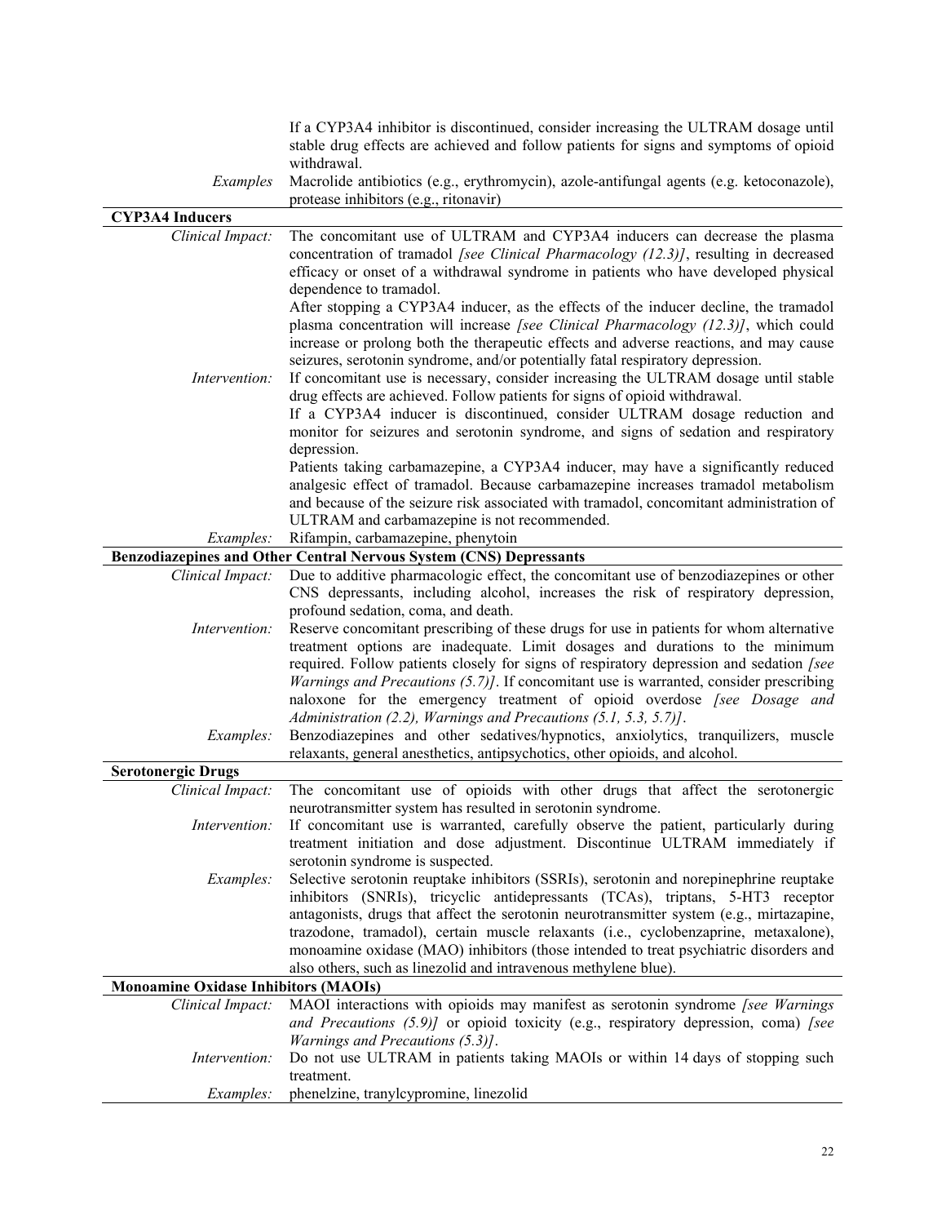|                                             | If a CYP3A4 inhibitor is discontinued, consider increasing the ULTRAM dosage until                                                                                       |
|---------------------------------------------|--------------------------------------------------------------------------------------------------------------------------------------------------------------------------|
|                                             | stable drug effects are achieved and follow patients for signs and symptoms of opioid<br>withdrawal.                                                                     |
| Examples                                    | Macrolide antibiotics (e.g., erythromycin), azole-antifungal agents (e.g. ketoconazole),                                                                                 |
|                                             | protease inhibitors (e.g., ritonavir)                                                                                                                                    |
| <b>CYP3A4 Inducers</b>                      |                                                                                                                                                                          |
| Clinical Impact:                            | The concomitant use of ULTRAM and CYP3A4 inducers can decrease the plasma                                                                                                |
|                                             | concentration of tramadol <i>[see Clinical Pharmacology (12.3)</i> ], resulting in decreased                                                                             |
|                                             | efficacy or onset of a withdrawal syndrome in patients who have developed physical                                                                                       |
|                                             | dependence to tramadol.                                                                                                                                                  |
|                                             | After stopping a CYP3A4 inducer, as the effects of the inducer decline, the tramadol                                                                                     |
|                                             | plasma concentration will increase [see Clinical Pharmacology (12.3)], which could                                                                                       |
|                                             | increase or prolong both the therapeutic effects and adverse reactions, and may cause                                                                                    |
|                                             | seizures, serotonin syndrome, and/or potentially fatal respiratory depression.                                                                                           |
| Intervention:                               | If concomitant use is necessary, consider increasing the ULTRAM dosage until stable                                                                                      |
|                                             | drug effects are achieved. Follow patients for signs of opioid withdrawal.                                                                                               |
|                                             | If a CYP3A4 inducer is discontinued, consider ULTRAM dosage reduction and                                                                                                |
|                                             | monitor for seizures and serotonin syndrome, and signs of sedation and respiratory                                                                                       |
|                                             | depression.                                                                                                                                                              |
|                                             | Patients taking carbamazepine, a CYP3A4 inducer, may have a significantly reduced                                                                                        |
|                                             | analgesic effect of tramadol. Because carbamazepine increases tramadol metabolism                                                                                        |
|                                             | and because of the seizure risk associated with tramadol, concomitant administration of                                                                                  |
|                                             | ULTRAM and carbamazepine is not recommended.                                                                                                                             |
| Examples:                                   | Rifampin, carbamazepine, phenytoin                                                                                                                                       |
|                                             | Benzodiazepines and Other Central Nervous System (CNS) Depressants                                                                                                       |
| Clinical Impact:                            | Due to additive pharmacologic effect, the concomitant use of benzodiazepines or other                                                                                    |
|                                             | CNS depressants, including alcohol, increases the risk of respiratory depression,                                                                                        |
| Intervention:                               | profound sedation, coma, and death.<br>Reserve concomitant prescribing of these drugs for use in patients for whom alternative                                           |
|                                             | treatment options are inadequate. Limit dosages and durations to the minimum                                                                                             |
|                                             | required. Follow patients closely for signs of respiratory depression and sedation [see                                                                                  |
|                                             | Warnings and Precautions (5.7)]. If concomitant use is warranted, consider prescribing                                                                                   |
|                                             | naloxone for the emergency treatment of opioid overdose [see Dosage and                                                                                                  |
|                                             | Administration (2.2), Warnings and Precautions (5.1, 5.3, 5.7)].                                                                                                         |
| Examples:                                   | Benzodiazepines and other sedatives/hypnotics, anxiolytics, tranquilizers, muscle                                                                                        |
|                                             | relaxants, general anesthetics, antipsychotics, other opioids, and alcohol.                                                                                              |
| <b>Serotonergic Drugs</b>                   |                                                                                                                                                                          |
| Clinical Impact:                            | The concomitant use of opioids with other drugs that affect the serotonergic                                                                                             |
|                                             | neurotransmitter system has resulted in serotonin syndrome.                                                                                                              |
| Intervention:                               | If concomitant use is warranted, carefully observe the patient, particularly during                                                                                      |
|                                             | treatment initiation and dose adjustment. Discontinue ULTRAM immediately if                                                                                              |
|                                             | serotonin syndrome is suspected.                                                                                                                                         |
| Examples:                                   | Selective serotonin reuptake inhibitors (SSRIs), serotonin and norepinephrine reuptake<br>inhibitors (SNRIs), tricyclic antidepressants (TCAs), triptans, 5-HT3 receptor |
|                                             | antagonists, drugs that affect the serotonin neurotransmitter system (e.g., mirtazapine,                                                                                 |
|                                             | trazodone, tramadol), certain muscle relaxants (i.e., cyclobenzaprine, metaxalone),                                                                                      |
|                                             | monoamine oxidase (MAO) inhibitors (those intended to treat psychiatric disorders and                                                                                    |
|                                             | also others, such as linezolid and intravenous methylene blue).                                                                                                          |
| <b>Monoamine Oxidase Inhibitors (MAOIs)</b> |                                                                                                                                                                          |
| Clinical Impact:                            | MAOI interactions with opioids may manifest as serotonin syndrome [see Warnings                                                                                          |
|                                             | and Precautions (5.9)] or opioid toxicity (e.g., respiratory depression, coma) [see                                                                                      |
|                                             | Warnings and Precautions (5.3)].                                                                                                                                         |
| Intervention:                               | Do not use ULTRAM in patients taking MAOIs or within 14 days of stopping such                                                                                            |
|                                             | treatment.                                                                                                                                                               |
| Examples:                                   | phenelzine, tranylcypromine, linezolid                                                                                                                                   |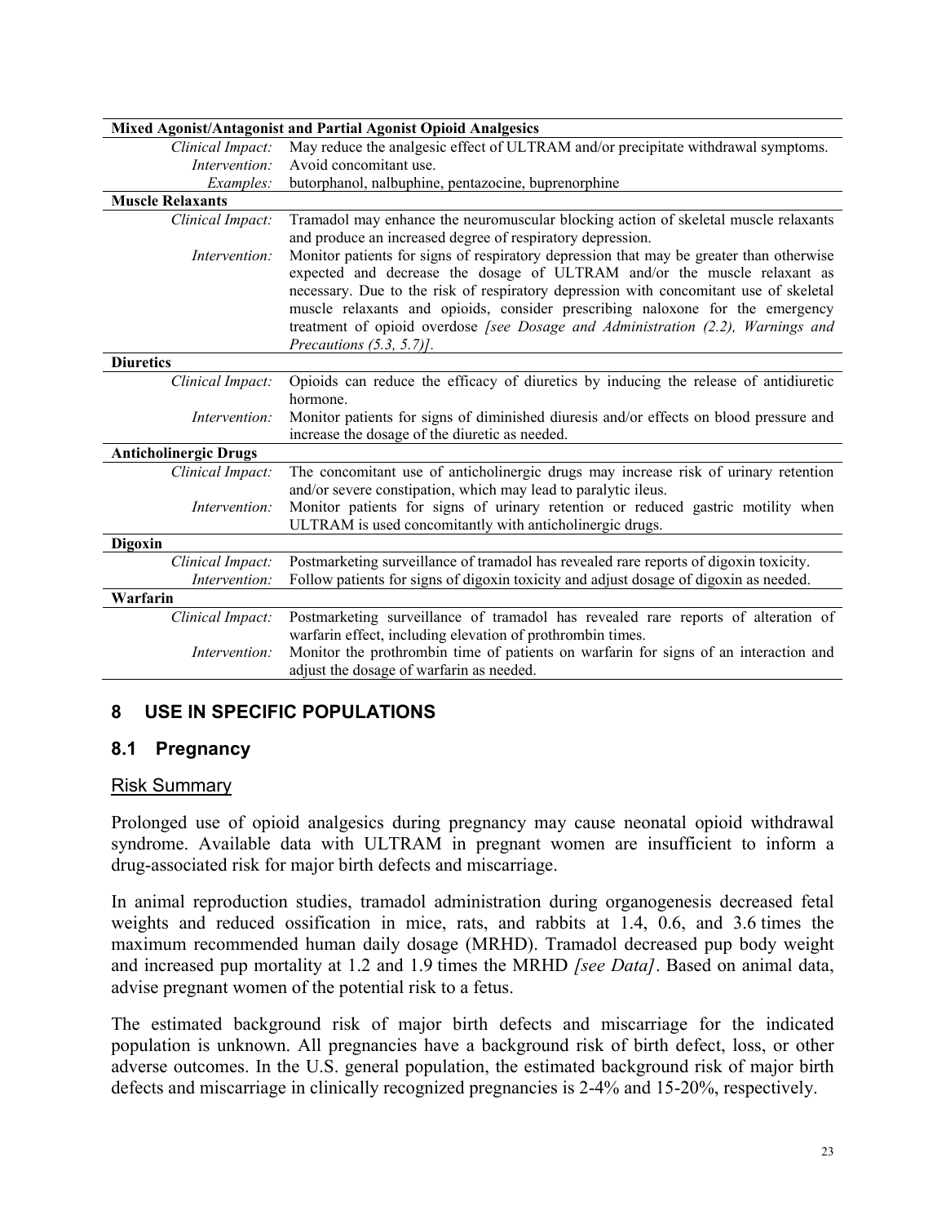|                              | Mixed Agonist/Antagonist and Partial Agonist Opioid Analgesics                                                                                                                                                                                                                                                                                                                                                                                                  |
|------------------------------|-----------------------------------------------------------------------------------------------------------------------------------------------------------------------------------------------------------------------------------------------------------------------------------------------------------------------------------------------------------------------------------------------------------------------------------------------------------------|
| Clinical Impact:             | May reduce the analgesic effect of ULTRAM and/or precipitate withdrawal symptoms.                                                                                                                                                                                                                                                                                                                                                                               |
| Intervention:                | Avoid concomitant use.                                                                                                                                                                                                                                                                                                                                                                                                                                          |
| Examples:                    | butorphanol, nalbuphine, pentazocine, buprenorphine                                                                                                                                                                                                                                                                                                                                                                                                             |
| <b>Muscle Relaxants</b>      |                                                                                                                                                                                                                                                                                                                                                                                                                                                                 |
| Clinical Impact:             | Tramadol may enhance the neuromuscular blocking action of skeletal muscle relaxants<br>and produce an increased degree of respiratory depression.                                                                                                                                                                                                                                                                                                               |
| Intervention:                | Monitor patients for signs of respiratory depression that may be greater than otherwise<br>expected and decrease the dosage of ULTRAM and/or the muscle relaxant as<br>necessary. Due to the risk of respiratory depression with concomitant use of skeletal<br>muscle relaxants and opioids, consider prescribing naloxone for the emergency<br>treatment of opioid overdose [see Dosage and Administration (2.2), Warnings and<br>Precautions $(5.3, 5.7)$ ]. |
| <b>Diuretics</b>             |                                                                                                                                                                                                                                                                                                                                                                                                                                                                 |
| Clinical Impact:             | Opioids can reduce the efficacy of diuretics by inducing the release of antidiuretic<br>hormone.                                                                                                                                                                                                                                                                                                                                                                |
| Intervention:                | Monitor patients for signs of diminished diuresis and/or effects on blood pressure and                                                                                                                                                                                                                                                                                                                                                                          |
|                              | increase the dosage of the diuretic as needed.                                                                                                                                                                                                                                                                                                                                                                                                                  |
| <b>Anticholinergic Drugs</b> |                                                                                                                                                                                                                                                                                                                                                                                                                                                                 |
| Clinical Impact:             | The concomitant use of anticholinergic drugs may increase risk of urinary retention<br>and/or severe constipation, which may lead to paralytic ileus.                                                                                                                                                                                                                                                                                                           |
| Intervention:                | Monitor patients for signs of urinary retention or reduced gastric motility when<br>ULTRAM is used concomitantly with anticholinergic drugs.                                                                                                                                                                                                                                                                                                                    |
| <b>Digoxin</b>               |                                                                                                                                                                                                                                                                                                                                                                                                                                                                 |
| Clinical Impact:             | Postmarketing surveillance of tramadol has revealed rare reports of digoxin toxicity.                                                                                                                                                                                                                                                                                                                                                                           |
| Intervention:                | Follow patients for signs of digoxin toxicity and adjust dosage of digoxin as needed.                                                                                                                                                                                                                                                                                                                                                                           |
| Warfarin                     |                                                                                                                                                                                                                                                                                                                                                                                                                                                                 |
| Clinical Impact:             | Postmarketing surveillance of tramadol has revealed rare reports of alteration of<br>warfarin effect, including elevation of prothrombin times.                                                                                                                                                                                                                                                                                                                 |
| Intervention:                | Monitor the prothrombin time of patients on warfarin for signs of an interaction and<br>adjust the dosage of warfarin as needed.                                                                                                                                                                                                                                                                                                                                |

# <span id="page-22-1"></span>**8 USE IN SPECIFIC POPULATIONS**

#### <span id="page-22-0"></span>**8.1 Pregnancy**

#### Risk Summary

Prolonged use of opioid analgesics during pregnancy may cause neonatal opioid withdrawal syndrome. Available data with ULTRAM in pregnant women are insufficient to inform a drug-associated risk for major birth defects and miscarriage.

In animal reproduction studies, tramadol administration during organogenesis decreased fetal weights and reduced ossification in mice, rats, and rabbits at 1.4, 0.6, and 3.6 times the maximum recommended human daily dosage (MRHD). Tramadol decreased pup body weight and increased pup mortality at 1.2 and 1.9 times the MRHD *[see Data]*. Based on animal data, advise pregnant women of the potential risk to a fetus.

The estimated background risk of major birth defects and miscarriage for the indicated population is unknown. All pregnancies have a background risk of birth defect, loss, or other adverse outcomes. In the U.S. general population, the estimated background risk of major birth defects and miscarriage in clinically recognized pregnancies is 2-4% and 15-20%, respectively.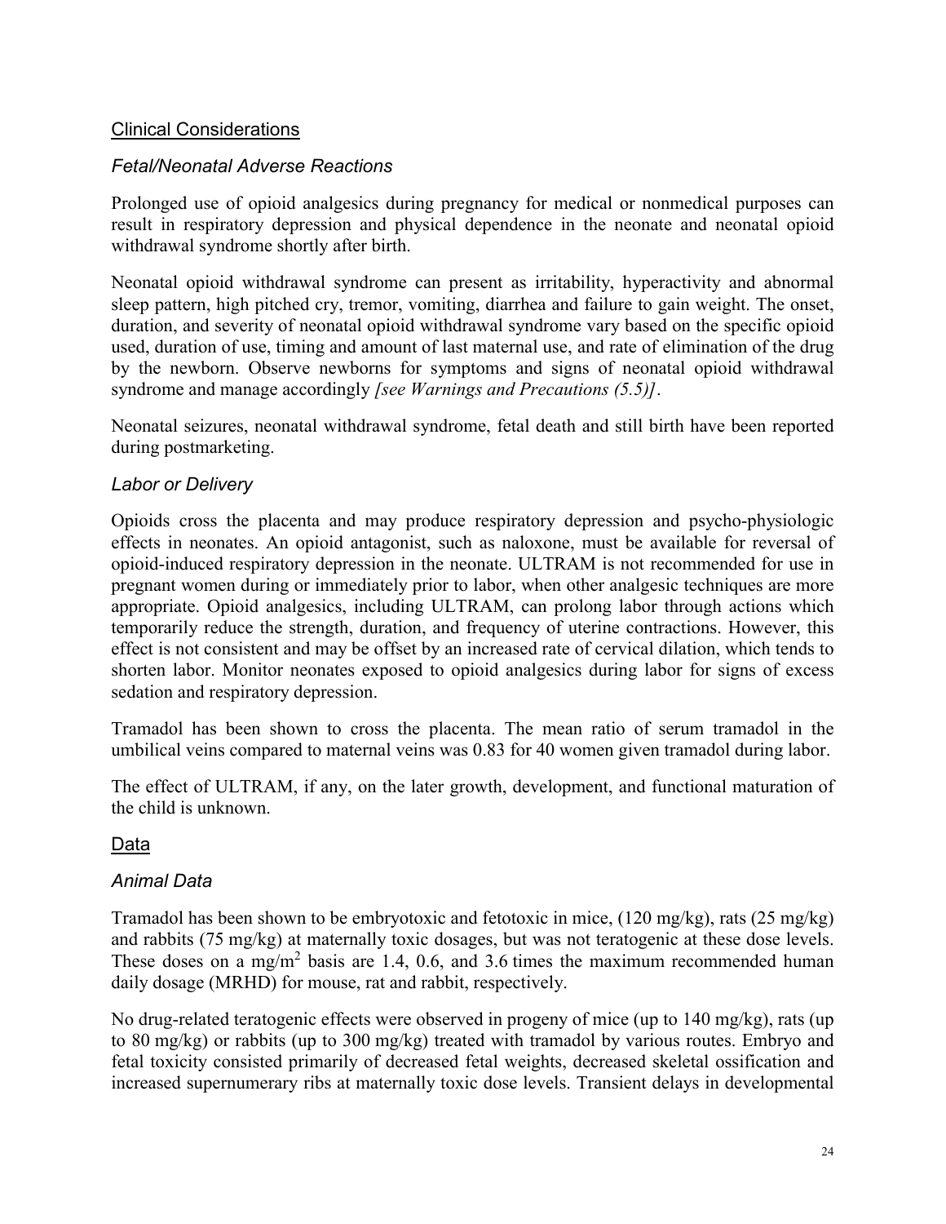#### Clinical Considerations

#### *Fetal/Neonatal Adverse Reactions*

Prolonged use of opioid analgesics during pregnancy for medical or nonmedical purposes can result in respiratory depression and physical dependence in the neonate and neonatal opioid withdrawal syndrome shortly after birth.

Neonatal opioid withdrawal syndrome can present as irritability, hyperactivity and abnormal sleep pattern, high pitched cry, tremor, vomiting, diarrhea and failure to gain weight. The onset, duration, and severity of neonatal opioid withdrawal syndrome vary based on the specific opioid used, duration of use, timing and amount of last maternal use, and rate of elimination of the drug by the newborn. Observe newborns for symptoms and signs of neonatal opioid withdrawal syndrome and manage accordingly *[see Warnings and Precautions (5.5)]*.

Neonatal seizures, neonatal withdrawal syndrome, fetal death and still birth have been reported during postmarketing.

#### *Labor or Delivery*

Opioids cross the placenta and may produce respiratory depression and psycho-physiologic effects in neonates. An opioid antagonist, such as naloxone, must be available for reversal of opioid-induced respiratory depression in the neonate. ULTRAM is not recommended for use in pregnant women during or immediately prior to labor, when other analgesic techniques are more appropriate. Opioid analgesics, including ULTRAM, can prolong labor through actions which temporarily reduce the strength, duration, and frequency of uterine contractions. However, this effect is not consistent and may be offset by an increased rate of cervical dilation, which tends to shorten labor. Monitor neonates exposed to opioid analgesics during labor for signs of excess sedation and respiratory depression.

Tramadol has been shown to cross the placenta. The mean ratio of serum tramadol in the umbilical veins compared to maternal veins was 0.83 for 40 women given tramadol during labor.

The effect of ULTRAM, if any, on the later growth, development, and functional maturation of the child is unknown.

#### Data

#### *Animal Data*

Tramadol has been shown to be embryotoxic and fetotoxic in mice, (120 mg/kg), rats (25 mg/kg) and rabbits (75 mg/kg) at maternally toxic dosages, but was not teratogenic at these dose levels. These doses on a mg/m<sup>2</sup> basis are 1.4, 0.6, and 3.6 times the maximum recommended human daily dosage (MRHD) for mouse, rat and rabbit, respectively.

No drug-related teratogenic effects were observed in progeny of mice (up to 140 mg/kg), rats (up to 80 mg/kg) or rabbits (up to 300 mg/kg) treated with tramadol by various routes. Embryo and fetal toxicity consisted primarily of decreased fetal weights, decreased skeletal ossification and increased supernumerary ribs at maternally toxic dose levels. Transient delays in developmental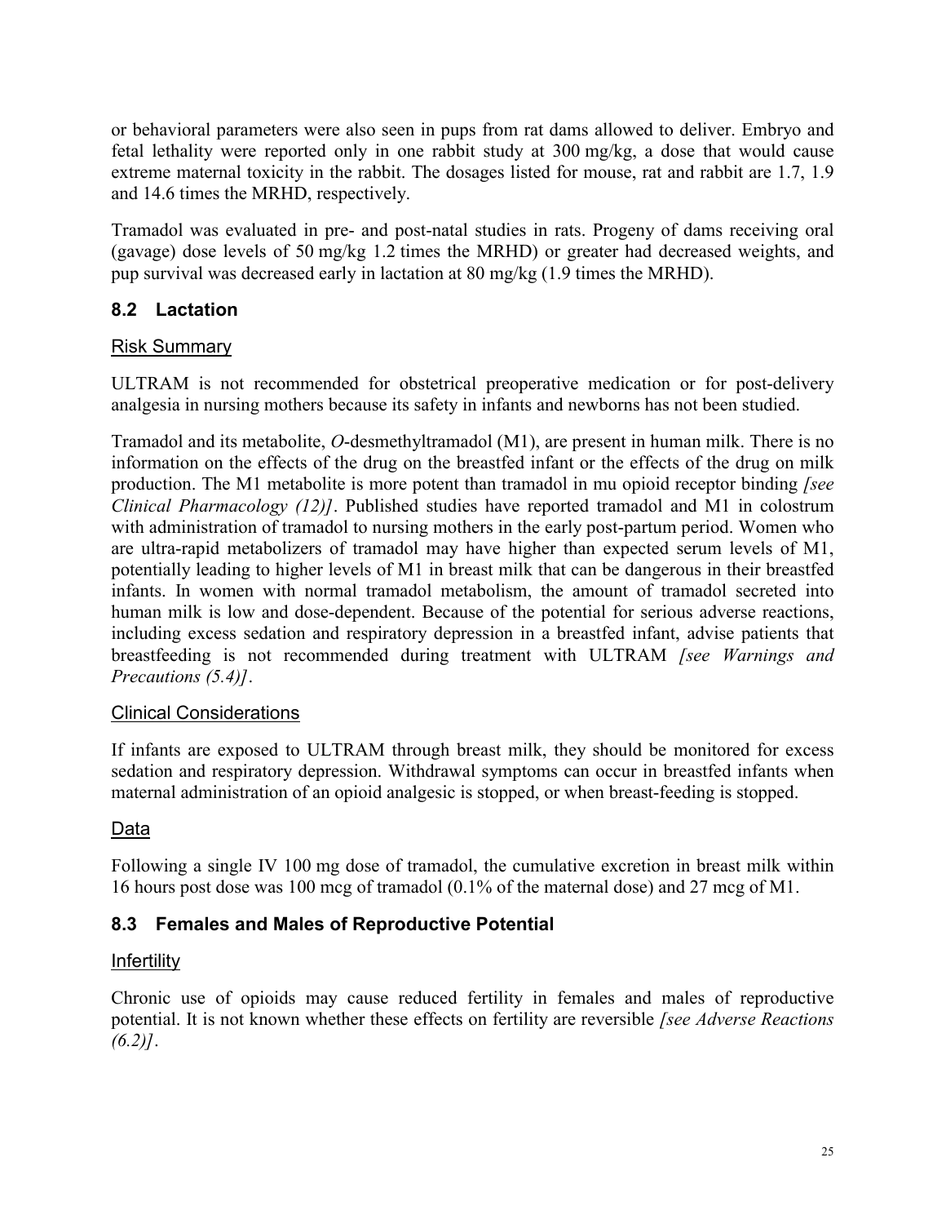or behavioral parameters were also seen in pups from rat dams allowed to deliver. Embryo and fetal lethality were reported only in one rabbit study at 300 mg/kg, a dose that would cause extreme maternal toxicity in the rabbit. The dosages listed for mouse, rat and rabbit are 1.7, 1.9 and 14.6 times the MRHD, respectively.

Tramadol was evaluated in pre- and post-natal studies in rats. Progeny of dams receiving oral (gavage) dose levels of 50 mg/kg 1.2 times the MRHD) or greater had decreased weights, and pup survival was decreased early in lactation at 80 mg/kg (1.9 times the MRHD).

# <span id="page-24-1"></span>**8.2 Lactation**

#### Risk Summary

ULTRAM is not recommended for obstetrical preoperative medication or for post-delivery analgesia in nursing mothers because its safety in infants and newborns has not been studied.

Tramadol and its metabolite, *O*-desmethyltramadol (M1), are present in human milk. There is no information on the effects of the drug on the breastfed infant or the effects of the drug on milk production. The M1 metabolite is more potent than tramadol in mu opioid receptor binding *[see Clinical Pharmacology (12)]*. Published studies have reported tramadol and M1 in colostrum with administration of tramadol to nursing mothers in the early post-partum period. Women who are ultra-rapid metabolizers of tramadol may have higher than expected serum levels of M1, potentially leading to higher levels of M1 in breast milk that can be dangerous in their breastfed infants. In women with normal tramadol metabolism, the amount of tramadol secreted into human milk is low and dose-dependent. Because of the potential for serious adverse reactions, including excess sedation and respiratory depression in a breastfed infant, advise patients that breastfeeding is not recommended during treatment with ULTRAM *[see Warnings and Precautions (5.4)]*.

#### Clinical Considerations

If infants are exposed to ULTRAM through breast milk, they should be monitored for excess sedation and respiratory depression. Withdrawal symptoms can occur in breastfed infants when maternal administration of an opioid analgesic is stopped, or when breast-feeding is stopped.

# Data

Following a single IV 100 mg dose of tramadol, the cumulative excretion in breast milk within 16 hours post dose was 100 mcg of tramadol (0.1% of the maternal dose) and 27 mcg of M1.

# <span id="page-24-0"></span>**8.3 Females and Males of Reproductive Potential**

#### **Infertility**

Chronic use of opioids may cause reduced fertility in females and males of reproductive potential. It is not known whether these effects on fertility are reversible *[see Adverse Reactions (6.2)]*.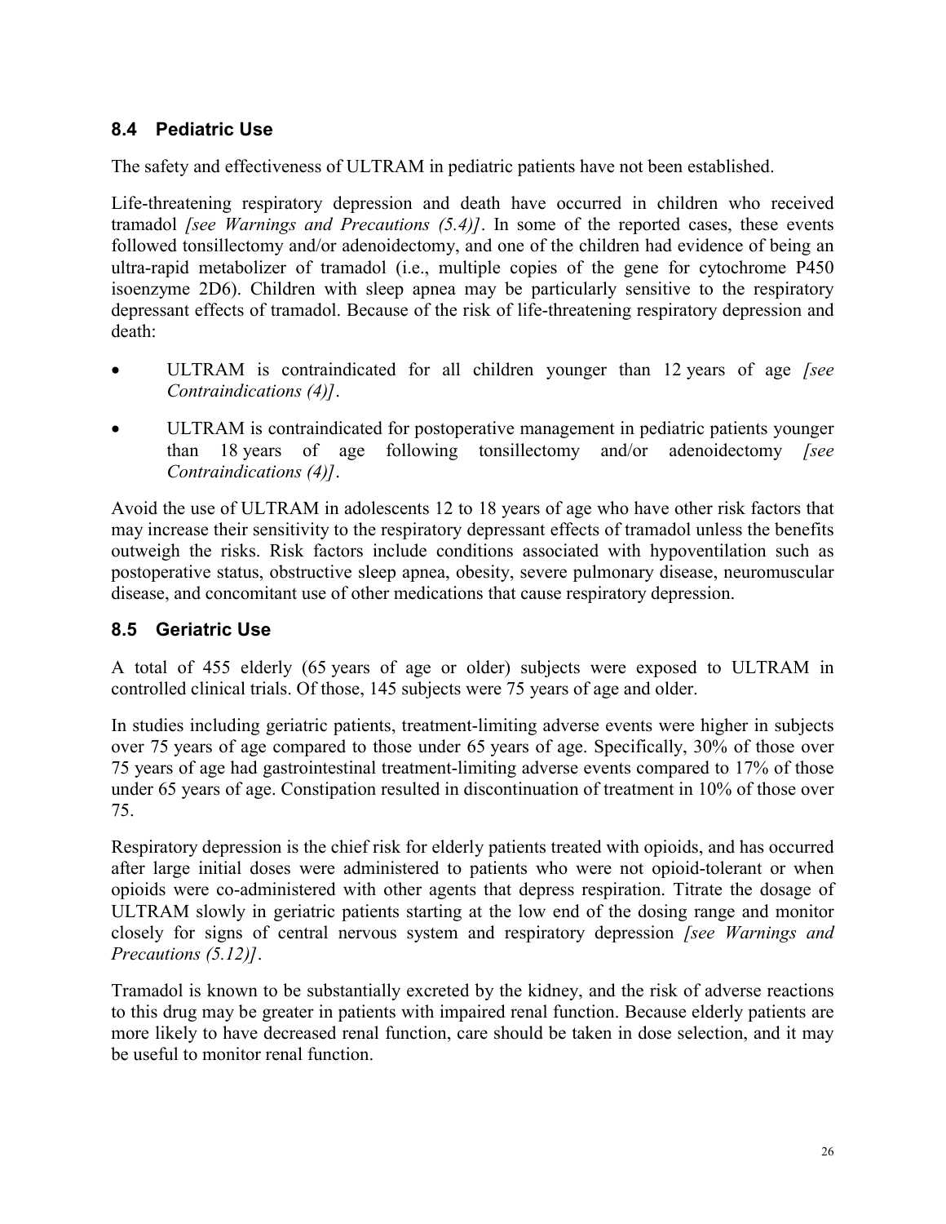# <span id="page-25-1"></span>**8.4 Pediatric Use**

The safety and effectiveness of ULTRAM in pediatric patients have not been established.

Life-threatening respiratory depression and death have occurred in children who received tramadol *[see Warnings and Precautions (5.4)]*. In some of the reported cases, these events followed tonsillectomy and/or adenoidectomy, and one of the children had evidence of being an ultra-rapid metabolizer of tramadol (i.e., multiple copies of the gene for cytochrome P450 isoenzyme 2D6). Children with sleep apnea may be particularly sensitive to the respiratory depressant effects of tramadol. Because of the risk of life-threatening respiratory depression and death:

- ULTRAM is contraindicated for all children younger than 12 years of age *[see Contraindications (4)]*.
- ULTRAM is contraindicated for postoperative management in pediatric patients younger than 18 years of age following tonsillectomy and/or adenoidectomy *[see Contraindications (4)]*.

Avoid the use of ULTRAM in adolescents 12 to 18 years of age who have other risk factors that may increase their sensitivity to the respiratory depressant effects of tramadol unless the benefits outweigh the risks. Risk factors include conditions associated with hypoventilation such as postoperative status, obstructive sleep apnea, obesity, severe pulmonary disease, neuromuscular disease, and concomitant use of other medications that cause respiratory depression.

# <span id="page-25-0"></span>**8.5 Geriatric Use**

A total of 455 elderly (65 years of age or older) subjects were exposed to ULTRAM in controlled clinical trials. Of those, 145 subjects were 75 years of age and older.

In studies including geriatric patients, treatment-limiting adverse events were higher in subjects over 75 years of age compared to those under 65 years of age. Specifically, 30% of those over 75 years of age had gastrointestinal treatment-limiting adverse events compared to 17% of those under 65 years of age. Constipation resulted in discontinuation of treatment in 10% of those over 75.

Respiratory depression is the chief risk for elderly patients treated with opioids, and has occurred after large initial doses were administered to patients who were not opioid-tolerant or when opioids were co-administered with other agents that depress respiration. Titrate the dosage of ULTRAM slowly in geriatric patients starting at the low end of the dosing range and monitor closely for signs of central nervous system and respiratory depression *[see Warnings and Precautions (5.12)]*.

Tramadol is known to be substantially excreted by the kidney, and the risk of adverse reactions to this drug may be greater in patients with impaired renal function. Because elderly patients are more likely to have decreased renal function, care should be taken in dose selection, and it may be useful to monitor renal function.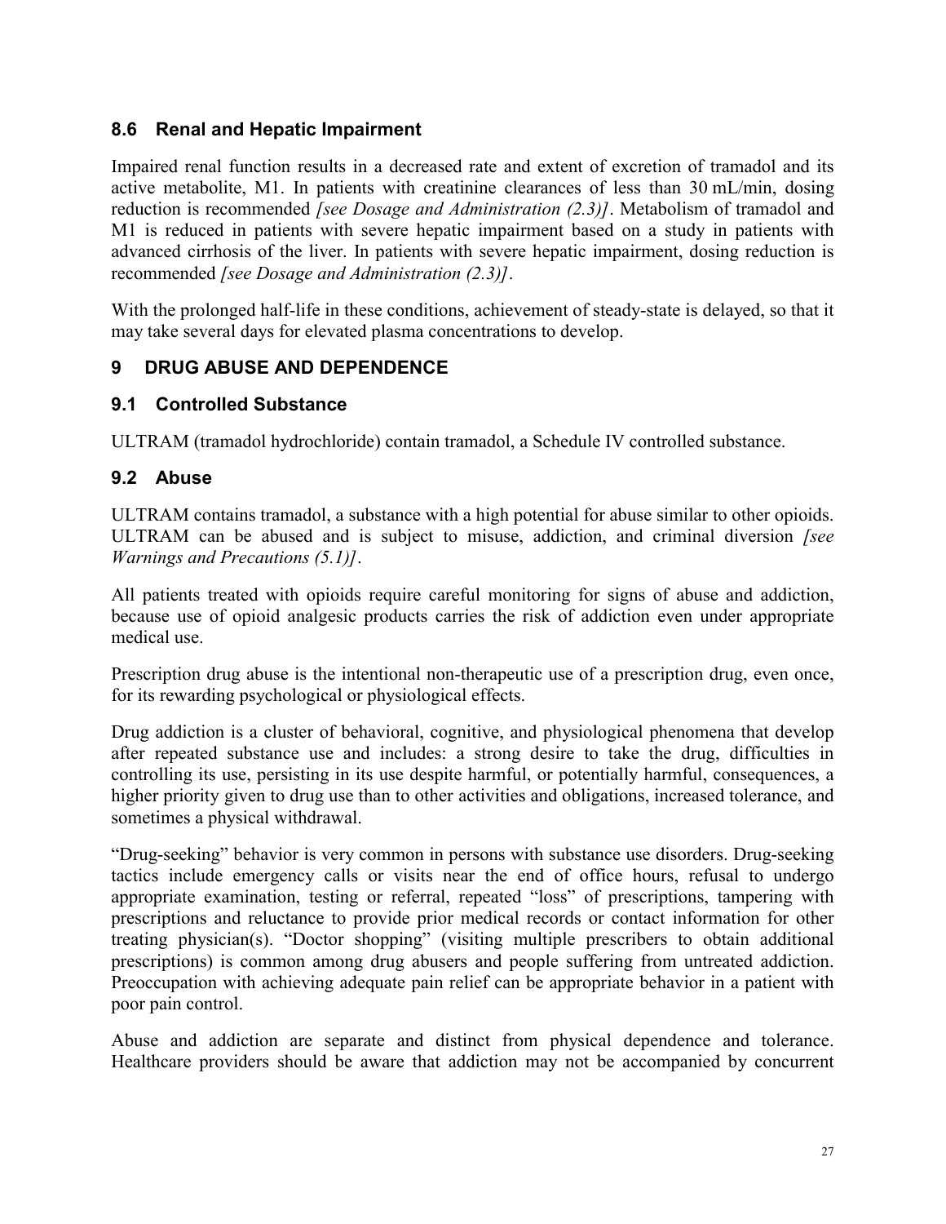# <span id="page-26-3"></span>**8.6 Renal and Hepatic Impairment**

Impaired renal function results in a decreased rate and extent of excretion of tramadol and its active metabolite, M1. In patients with creatinine clearances of less than 30 mL/min, dosing reduction is recommended *[see Dosage and Administration (2.3)]*. Metabolism of tramadol and M1 is reduced in patients with severe hepatic impairment based on a study in patients with advanced cirrhosis of the liver. In patients with severe hepatic impairment, dosing reduction is recommended *[see Dosage and Administration (2.3)]*.

With the prolonged half-life in these conditions, achievement of steady-state is delayed, so that it may take several days for elevated plasma concentrations to develop.

#### <span id="page-26-2"></span>**9 DRUG ABUSE AND DEPENDENCE**

#### <span id="page-26-1"></span>**9.1 Controlled Substance**

ULTRAM (tramadol hydrochloride) contain tramadol, a Schedule IV controlled substance.

#### <span id="page-26-0"></span>**9.2 Abuse**

ULTRAM contains tramadol, a substance with a high potential for abuse similar to other opioids. ULTRAM can be abused and is subject to misuse, addiction, and criminal diversion *[see Warnings and Precautions (5.1)]*.

All patients treated with opioids require careful monitoring for signs of abuse and addiction, because use of opioid analgesic products carries the risk of addiction even under appropriate medical use.

Prescription drug abuse is the intentional non-therapeutic use of a prescription drug, even once, for its rewarding psychological or physiological effects.

Drug addiction is a cluster of behavioral, cognitive, and physiological phenomena that develop after repeated substance use and includes: a strong desire to take the drug, difficulties in controlling its use, persisting in its use despite harmful, or potentially harmful, consequences, a higher priority given to drug use than to other activities and obligations, increased tolerance, and sometimes a physical withdrawal.

"Drug-seeking" behavior is very common in persons with substance use disorders. Drug-seeking tactics include emergency calls or visits near the end of office hours, refusal to undergo appropriate examination, testing or referral, repeated "loss" of prescriptions, tampering with prescriptions and reluctance to provide prior medical records or contact information for other treating physician(s). "Doctor shopping" (visiting multiple prescribers to obtain additional prescriptions) is common among drug abusers and people suffering from untreated addiction. Preoccupation with achieving adequate pain relief can be appropriate behavior in a patient with poor pain control.

Abuse and addiction are separate and distinct from physical dependence and tolerance. Healthcare providers should be aware that addiction may not be accompanied by concurrent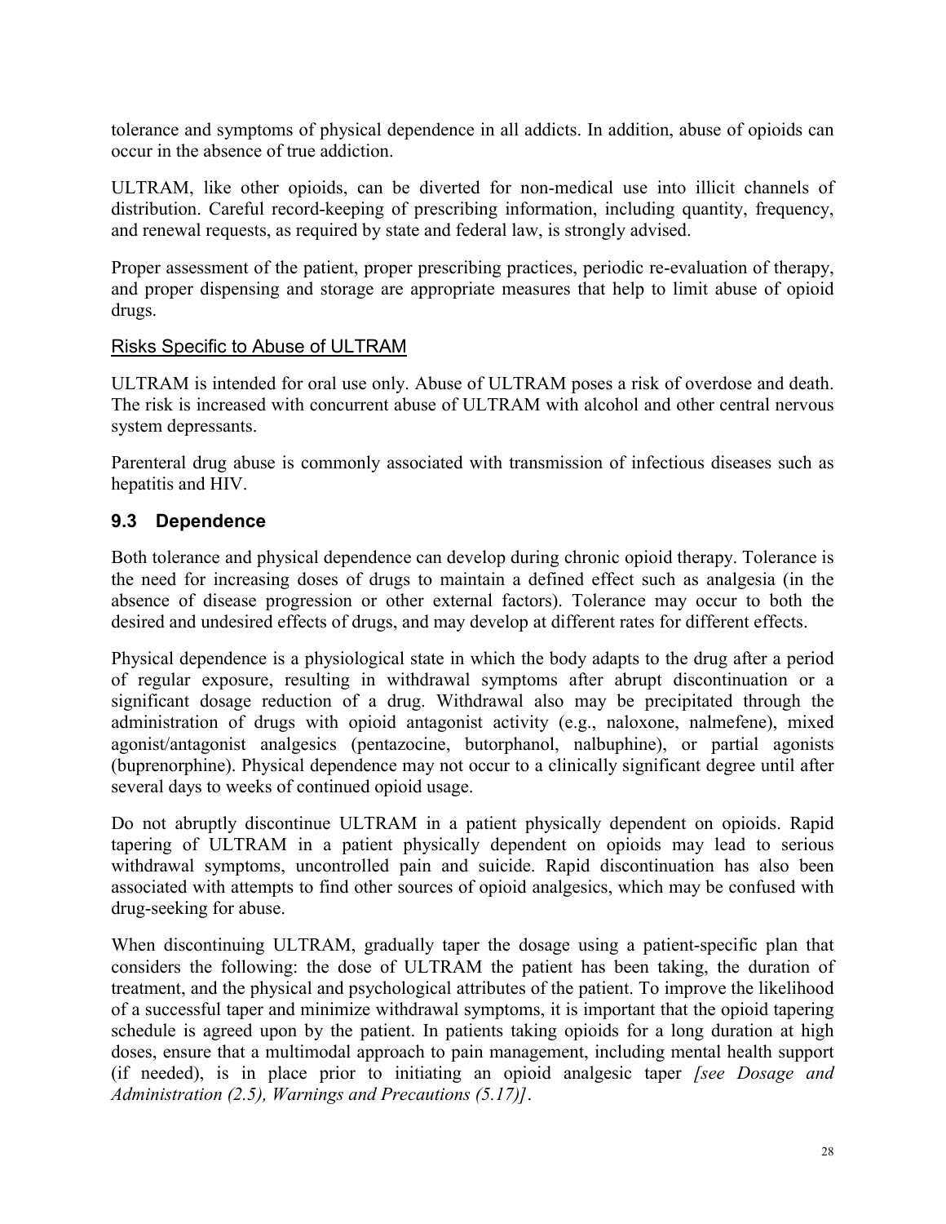tolerance and symptoms of physical dependence in all addicts. In addition, abuse of opioids can occur in the absence of true addiction.

ULTRAM, like other opioids, can be diverted for non-medical use into illicit channels of distribution. Careful record-keeping of prescribing information, including quantity, frequency, and renewal requests, as required by state and federal law, is strongly advised.

Proper assessment of the patient, proper prescribing practices, periodic re-evaluation of therapy, and proper dispensing and storage are appropriate measures that help to limit abuse of opioid drugs.

#### Risks Specific to Abuse of ULTRAM

ULTRAM is intended for oral use only. Abuse of ULTRAM poses a risk of overdose and death. The risk is increased with concurrent abuse of ULTRAM with alcohol and other central nervous system depressants.

Parenteral drug abuse is commonly associated with transmission of infectious diseases such as hepatitis and HIV.

#### <span id="page-27-0"></span>**9.3 Dependence**

Both tolerance and physical dependence can develop during chronic opioid therapy. Tolerance is the need for increasing doses of drugs to maintain a defined effect such as analgesia (in the absence of disease progression or other external factors). Tolerance may occur to both the desired and undesired effects of drugs, and may develop at different rates for different effects.

Physical dependence is a physiological state in which the body adapts to the drug after a period of regular exposure, resulting in withdrawal symptoms after abrupt discontinuation or a significant dosage reduction of a drug. Withdrawal also may be precipitated through the administration of drugs with opioid antagonist activity (e.g., naloxone, nalmefene), mixed agonist/antagonist analgesics (pentazocine, butorphanol, nalbuphine), or partial agonists (buprenorphine). Physical dependence may not occur to a clinically significant degree until after several days to weeks of continued opioid usage.

Do not abruptly discontinue ULTRAM in a patient physically dependent on opioids. Rapid tapering of ULTRAM in a patient physically dependent on opioids may lead to serious withdrawal symptoms, uncontrolled pain and suicide. Rapid discontinuation has also been associated with attempts to find other sources of opioid analgesics, which may be confused with drug-seeking for abuse.

When discontinuing ULTRAM, gradually taper the dosage using a patient-specific plan that considers the following: the dose of ULTRAM the patient has been taking, the duration of treatment, and the physical and psychological attributes of the patient. To improve the likelihood of a successful taper and minimize withdrawal symptoms, it is important that the opioid tapering schedule is agreed upon by the patient. In patients taking opioids for a long duration at high doses, ensure that a multimodal approach to pain management, including mental health support (if needed), is in place prior to initiating an opioid analgesic taper *[see Dosage and Administration (2.5), Warnings and Precautions (5.17)]*.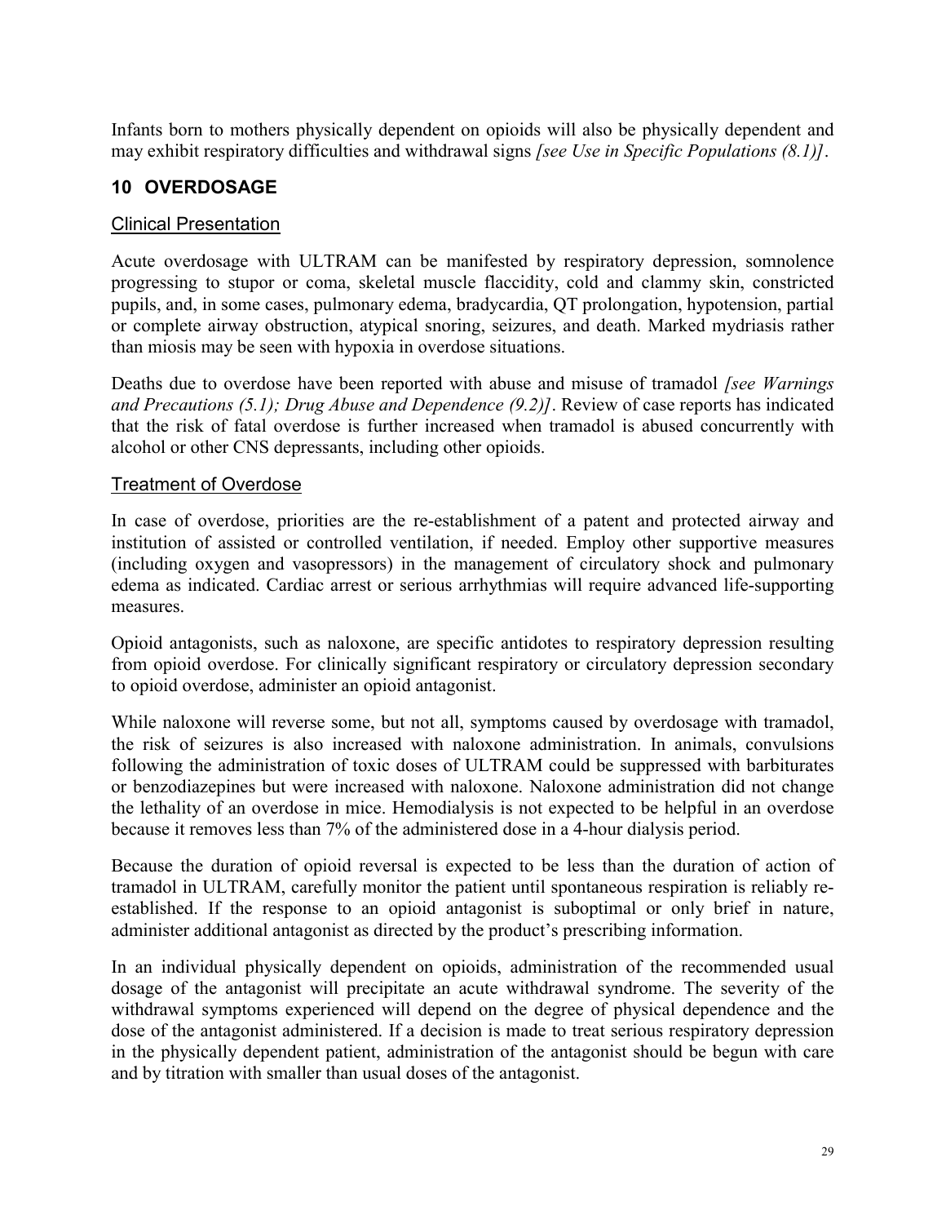Infants born to mothers physically dependent on opioids will also be physically dependent and may exhibit respiratory difficulties and withdrawal signs *[see Use in Specific Populations (8.1)]*.

# <span id="page-28-0"></span>**10 OVERDOSAGE**

#### Clinical Presentation

Acute overdosage with ULTRAM can be manifested by respiratory depression, somnolence progressing to stupor or coma, skeletal muscle flaccidity, cold and clammy skin, constricted pupils, and, in some cases, pulmonary edema, bradycardia, QT prolongation, hypotension, partial or complete airway obstruction, atypical snoring, seizures, and death. Marked mydriasis rather than miosis may be seen with hypoxia in overdose situations.

Deaths due to overdose have been reported with abuse and misuse of tramadol *[see Warnings and Precautions (5.1); Drug Abuse and Dependence (9.2)]*. Review of case reports has indicated that the risk of fatal overdose is further increased when tramadol is abused concurrently with alcohol or other CNS depressants, including other opioids.

#### Treatment of Overdose

In case of overdose, priorities are the re-establishment of a patent and protected airway and institution of assisted or controlled ventilation, if needed. Employ other supportive measures (including oxygen and vasopressors) in the management of circulatory shock and pulmonary edema as indicated. Cardiac arrest or serious arrhythmias will require advanced life-supporting measures.

Opioid antagonists, such as naloxone, are specific antidotes to respiratory depression resulting from opioid overdose. For clinically significant respiratory or circulatory depression secondary to opioid overdose, administer an opioid antagonist.

While naloxone will reverse some, but not all, symptoms caused by overdosage with tramadol, the risk of seizures is also increased with naloxone administration. In animals, convulsions following the administration of toxic doses of ULTRAM could be suppressed with barbiturates or benzodiazepines but were increased with naloxone. Naloxone administration did not change the lethality of an overdose in mice. Hemodialysis is not expected to be helpful in an overdose because it removes less than 7% of the administered dose in a 4-hour dialysis period.

Because the duration of opioid reversal is expected to be less than the duration of action of tramadol in ULTRAM, carefully monitor the patient until spontaneous respiration is reliably reestablished. If the response to an opioid antagonist is suboptimal or only brief in nature, administer additional antagonist as directed by the product's prescribing information.

In an individual physically dependent on opioids, administration of the recommended usual dosage of the antagonist will precipitate an acute withdrawal syndrome. The severity of the withdrawal symptoms experienced will depend on the degree of physical dependence and the dose of the antagonist administered. If a decision is made to treat serious respiratory depression in the physically dependent patient, administration of the antagonist should be begun with care and by titration with smaller than usual doses of the antagonist.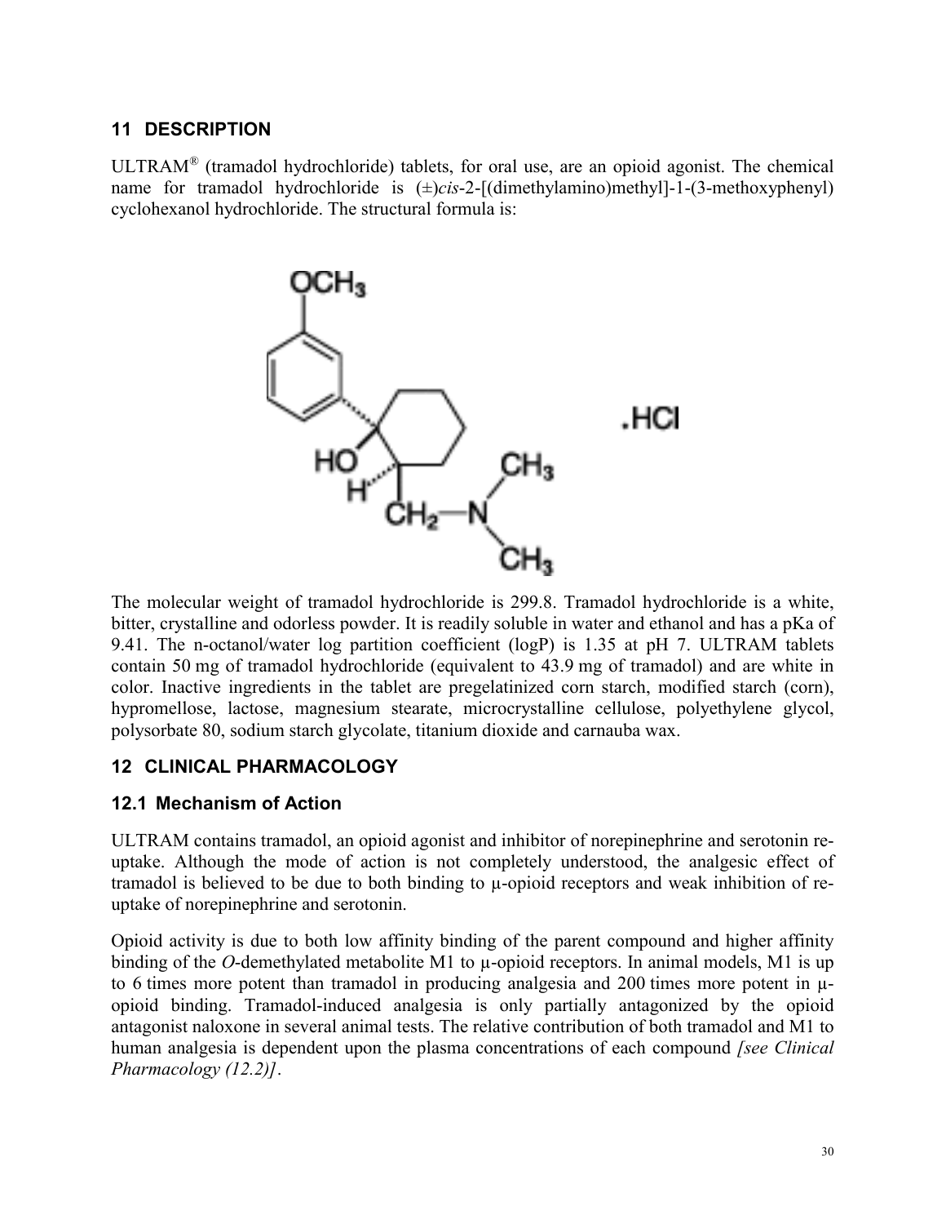#### <span id="page-29-2"></span>**11 DESCRIPTION**

ULTRAM® (tramadol hydrochloride) tablets, for oral use, are an opioid agonist. The chemical name for tramadol hydrochloride is (±)*cis*-2-[(dimethylamino)methyl]-1-(3-methoxyphenyl) cyclohexanol hydrochloride. The structural formula is:



The molecular weight of tramadol hydrochloride is 299.8. Tramadol hydrochloride is a white, bitter, crystalline and odorless powder. It is readily soluble in water and ethanol and has a pKa of 9.41. The n-octanol/water log partition coefficient (logP) is 1.35 at pH 7. ULTRAM tablets contain 50 mg of tramadol hydrochloride (equivalent to 43.9 mg of tramadol) and are white in color. Inactive ingredients in the tablet are pregelatinized corn starch, modified starch (corn), hypromellose, lactose, magnesium stearate, microcrystalline cellulose, polyethylene glycol, polysorbate 80, sodium starch glycolate, titanium dioxide and carnauba wax.

#### <span id="page-29-1"></span>**12 CLINICAL PHARMACOLOGY**

#### <span id="page-29-0"></span>**12.1 Mechanism of Action**

ULTRAM contains tramadol, an opioid agonist and inhibitor of norepinephrine and serotonin reuptake. Although the mode of action is not completely understood, the analgesic effect of tramadol is believed to be due to both binding to µ-opioid receptors and weak inhibition of reuptake of norepinephrine and serotonin.

Opioid activity is due to both low affinity binding of the parent compound and higher affinity binding of the *O*-demethylated metabolite M1 to µ-opioid receptors. In animal models, M1 is up to 6 times more potent than tramadol in producing analgesia and 200 times more potent in µopioid binding. Tramadol-induced analgesia is only partially antagonized by the opioid antagonist naloxone in several animal tests. The relative contribution of both tramadol and M1 to human analgesia is dependent upon the plasma concentrations of each compound *[see Clinical Pharmacology (12.2)]*.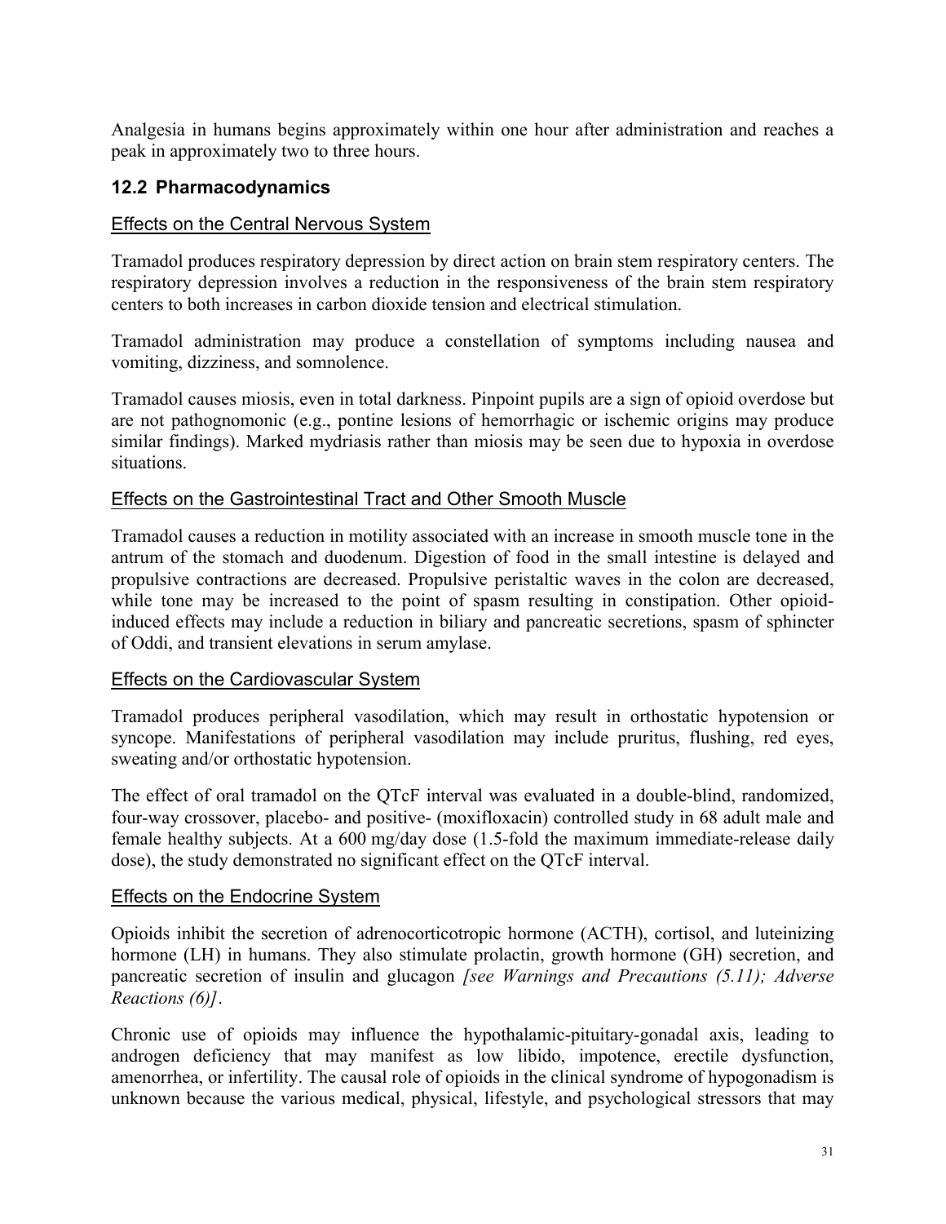Analgesia in humans begins approximately within one hour after administration and reaches a peak in approximately two to three hours.

#### <span id="page-30-0"></span>**12.2 Pharmacodynamics**

#### Effects on the Central Nervous System

Tramadol produces respiratory depression by direct action on brain stem respiratory centers. The respiratory depression involves a reduction in the responsiveness of the brain stem respiratory centers to both increases in carbon dioxide tension and electrical stimulation.

Tramadol administration may produce a constellation of symptoms including nausea and vomiting, dizziness, and somnolence.

Tramadol causes miosis, even in total darkness. Pinpoint pupils are a sign of opioid overdose but are not pathognomonic (e.g., pontine lesions of hemorrhagic or ischemic origins may produce similar findings). Marked mydriasis rather than miosis may be seen due to hypoxia in overdose situations.

#### Effects on the Gastrointestinal Tract and Other Smooth Muscle

Tramadol causes a reduction in motility associated with an increase in smooth muscle tone in the antrum of the stomach and duodenum. Digestion of food in the small intestine is delayed and propulsive contractions are decreased. Propulsive peristaltic waves in the colon are decreased, while tone may be increased to the point of spasm resulting in constipation. Other opioidinduced effects may include a reduction in biliary and pancreatic secretions, spasm of sphincter of Oddi, and transient elevations in serum amylase.

#### Effects on the Cardiovascular System

Tramadol produces peripheral vasodilation, which may result in orthostatic hypotension or syncope. Manifestations of peripheral vasodilation may include pruritus, flushing, red eyes, sweating and/or orthostatic hypotension.

The effect of oral tramadol on the QTcF interval was evaluated in a double-blind, randomized, four-way crossover, placebo- and positive- (moxifloxacin) controlled study in 68 adult male and female healthy subjects. At a 600 mg/day dose (1.5-fold the maximum immediate-release daily dose), the study demonstrated no significant effect on the QTcF interval.

#### Effects on the Endocrine System

Opioids inhibit the secretion of adrenocorticotropic hormone (ACTH), cortisol, and luteinizing hormone (LH) in humans. They also stimulate prolactin, growth hormone (GH) secretion, and pancreatic secretion of insulin and glucagon *[see Warnings and Precautions (5.11); Adverse Reactions (6)]*.

Chronic use of opioids may influence the hypothalamic-pituitary-gonadal axis, leading to androgen deficiency that may manifest as low libido, impotence, erectile dysfunction, amenorrhea, or infertility. The causal role of opioids in the clinical syndrome of hypogonadism is unknown because the various medical, physical, lifestyle, and psychological stressors that may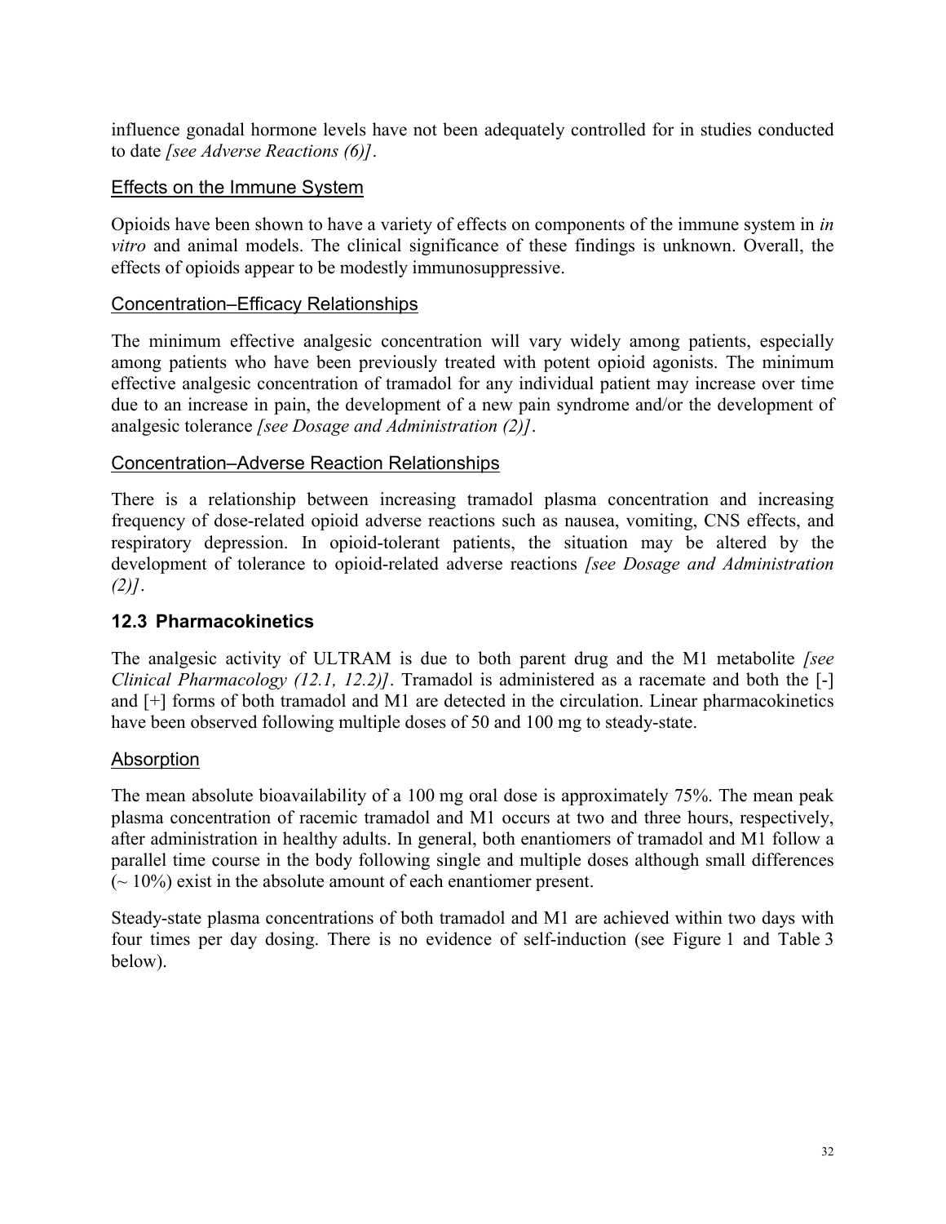influence gonadal hormone levels have not been adequately controlled for in studies conducted to date *[see Adverse Reactions (6)]*.

#### Effects on the Immune System

Opioids have been shown to have a variety of effects on components of the immune system in *in vitro* and animal models. The clinical significance of these findings is unknown. Overall, the effects of opioids appear to be modestly immunosuppressive.

#### Concentration–Efficacy Relationships

The minimum effective analgesic concentration will vary widely among patients, especially among patients who have been previously treated with potent opioid agonists. The minimum effective analgesic concentration of tramadol for any individual patient may increase over time due to an increase in pain, the development of a new pain syndrome and/or the development of analgesic tolerance *[see Dosage and Administration (2)]*.

#### Concentration–Adverse Reaction Relationships

There is a relationship between increasing tramadol plasma concentration and increasing frequency of dose-related opioid adverse reactions such as nausea, vomiting, CNS effects, and respiratory depression. In opioid-tolerant patients, the situation may be altered by the development of tolerance to opioid-related adverse reactions *[see Dosage and Administration (2)]*.

#### <span id="page-31-0"></span>**12.3 Pharmacokinetics**

The analgesic activity of ULTRAM is due to both parent drug and the M1 metabolite *[see Clinical Pharmacology (12.1, 12.2)]*. Tramadol is administered as a racemate and both the [-] and [+] forms of both tramadol and M1 are detected in the circulation. Linear pharmacokinetics have been observed following multiple doses of 50 and 100 mg to steady-state.

# Absorption

The mean absolute bioavailability of a 100 mg oral dose is approximately 75%. The mean peak plasma concentration of racemic tramadol and M1 occurs at two and three hours, respectively, after administration in healthy adults. In general, both enantiomers of tramadol and M1 follow a parallel time course in the body following single and multiple doses although small differences  $(\sim 10\%)$  exist in the absolute amount of each enantiomer present.

Steady-state plasma concentrations of both tramadol and M1 are achieved within two days with four times per day dosing. There is no evidence of self-induction (see Figure 1 and Table 3 below).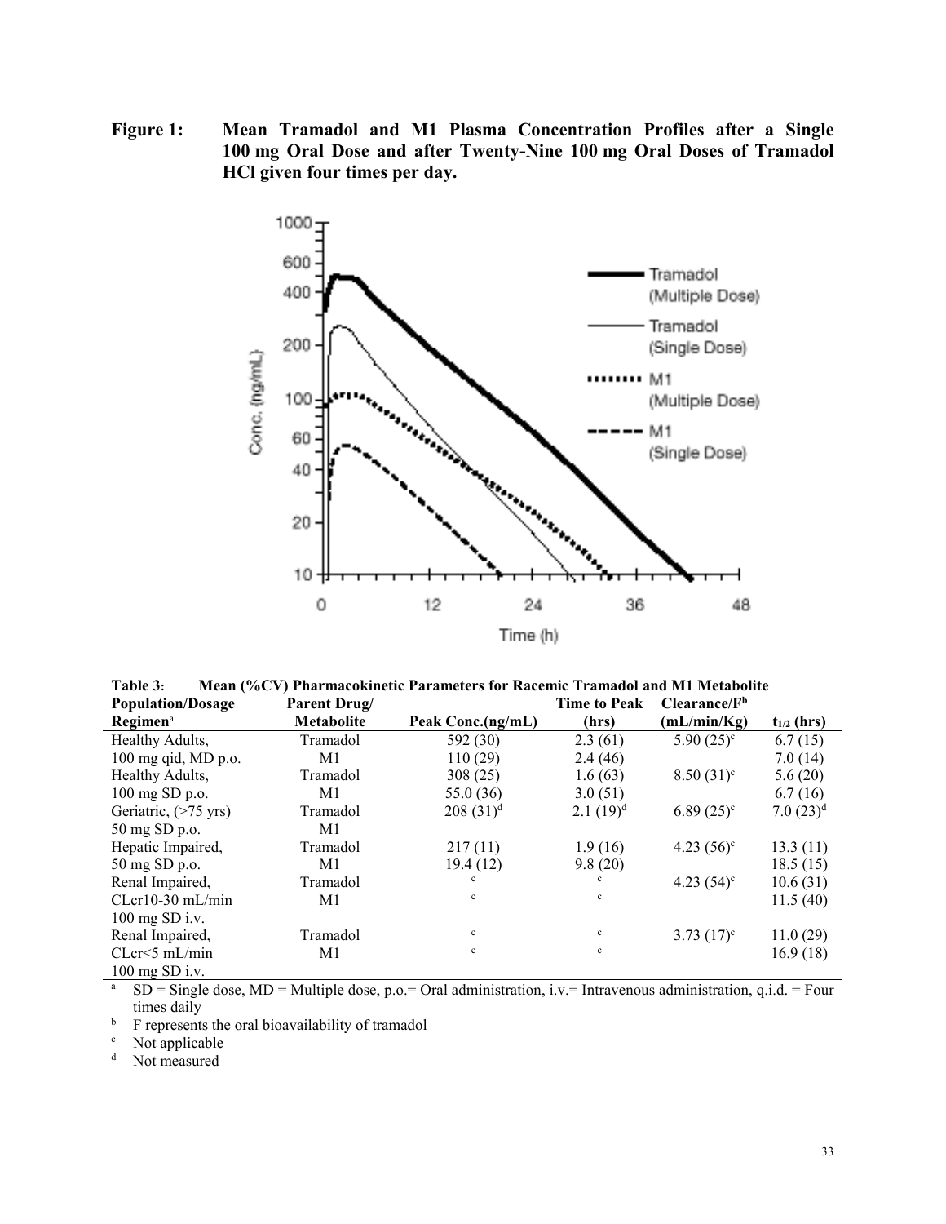**Figure 1: Mean Tramadol and M1 Plasma Concentration Profiles after a Single 100 mg Oral Dose and after Twenty-Nine 100 mg Oral Doses of Tramadol HCl given four times per day.**



**Table 3: Mean (%CV) Pharmacokinetic Parameters for Racemic Tramadol and M1 Metabolite**

| <b>Population/Dosage</b>    | Parent Drug/      |                   | <b>Time to Peak</b> | Clearance/F <sup>b</sup> |                 |
|-----------------------------|-------------------|-------------------|---------------------|--------------------------|-----------------|
| <b>Regimen</b> <sup>a</sup> | <b>Metabolite</b> | Peak Conc.(ng/mL) | (hrs)               | (mL/min/Kg)              | $t_{1/2}$ (hrs) |
| Healthy Adults,             | Tramadol          | 592 (30)          | 2.3(61)             | $5.90(25)$ <sup>c</sup>  | 6.7(15)         |
| 100 mg qid, MD p.o.         | M1                | 110(29)           | 2.4(46)             |                          | 7.0(14)         |
| Healthy Adults,             | Tramadol          | 308(25)           | 1.6(63)             | $8.50(31)^c$             | 5.6(20)         |
| 100 mg SD p.o.              | M1                | 55.0 (36)         | 3.0(51)             |                          | 6.7(16)         |
| Geriatric, (>75 yrs)        | Tramadol          | $208(31)^d$       | $2.1(19)^d$         | $6.89(25)$ <sup>c</sup>  | $(2.3)^d$       |
| 50 mg SD p.o.               | M1                |                   |                     |                          |                 |
| Hepatic Impaired,           | Tramadol          | 217(11)           | 1.9(16)             | 4.23 $(56)^{\circ}$      | 13.3(11)        |
| 50 mg SD p.o.               | M1                | 19.4 (12)         | 9.8(20)             |                          | 18.5(15)        |
| Renal Impaired,             | Tramadol          | $\mathbf c$       | $\mathbf{c}$        | $4.23(54)^{\circ}$       | 10.6(31)        |
| $CLcr10-30$ mL/min          | M1                | $\mathbf{c}$      | $\mathbf{c}$        |                          | 11.5(40)        |
| $100 \text{ mg SD i.v.}$    |                   |                   |                     |                          |                 |
| Renal Impaired,             | Tramadol          | $\mathbf c$       | $\mathbf c$         | $3.73(17)^e$             | 11.0(29)        |
| $C_{Lcr}$ mL/min            | M1                | $\mathbf c$       | $\mathbf c$         |                          | 16.9(18)        |
| $100 \text{ mg SD}$ i.v.    |                   |                   |                     |                          |                 |

<sup>a</sup> SD = Single dose, MD = Multiple dose, p.o.= Oral administration, i.v.= Intravenous administration, q.i.d. = Four times daily

 $\frac{b}{c}$  F represents the oral bioavailability of tramadol

 $\frac{c}{d}$  Not applicable

Not measured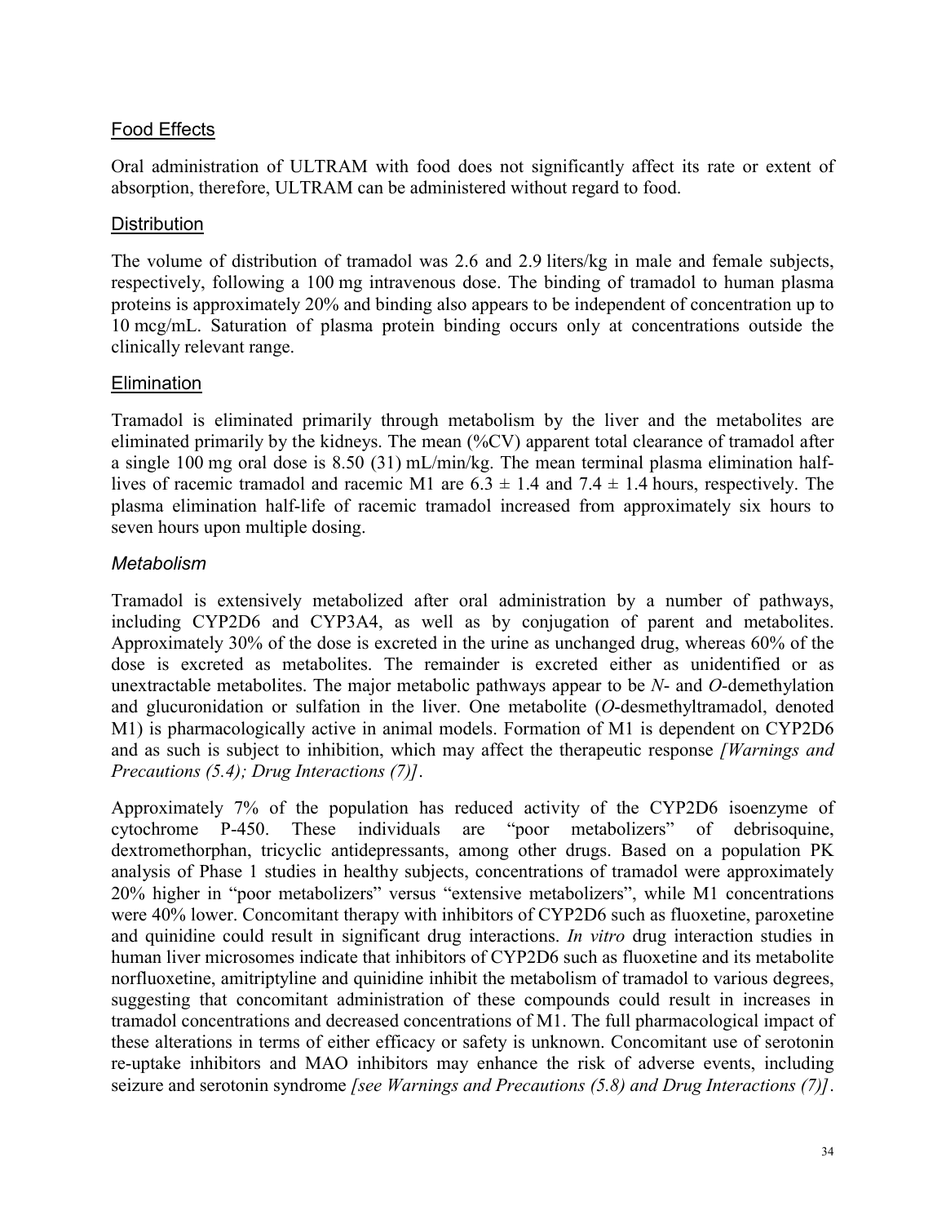#### Food Effects

Oral administration of ULTRAM with food does not significantly affect its rate or extent of absorption, therefore, ULTRAM can be administered without regard to food.

#### **Distribution**

The volume of distribution of tramadol was 2.6 and 2.9 liters/kg in male and female subjects, respectively, following a 100 mg intravenous dose. The binding of tramadol to human plasma proteins is approximately 20% and binding also appears to be independent of concentration up to 10 mcg/mL. Saturation of plasma protein binding occurs only at concentrations outside the clinically relevant range.

#### **Elimination**

Tramadol is eliminated primarily through metabolism by the liver and the metabolites are eliminated primarily by the kidneys. The mean (%CV) apparent total clearance of tramadol after a single 100 mg oral dose is 8.50 (31) mL/min/kg. The mean terminal plasma elimination halflives of racemic tramadol and racemic M1 are  $6.3 \pm 1.4$  and  $7.4 \pm 1.4$  hours, respectively. The plasma elimination half-life of racemic tramadol increased from approximately six hours to seven hours upon multiple dosing.

#### *Metabolism*

Tramadol is extensively metabolized after oral administration by a number of pathways, including CYP2D6 and CYP3A4, as well as by conjugation of parent and metabolites. Approximately 30% of the dose is excreted in the urine as unchanged drug, whereas 60% of the dose is excreted as metabolites. The remainder is excreted either as unidentified or as unextractable metabolites. The major metabolic pathways appear to be *N*- and *O-*demethylation and glucuronidation or sulfation in the liver. One metabolite (*O*-desmethyltramadol, denoted M1) is pharmacologically active in animal models. Formation of M1 is dependent on CYP2D6 and as such is subject to inhibition, which may affect the therapeutic response *[Warnings and Precautions (5.4); Drug Interactions (7)]*.

Approximately 7% of the population has reduced activity of the CYP2D6 isoenzyme of cytochrome P-450. These individuals are "poor metabolizers" of debrisoquine, dextromethorphan, tricyclic antidepressants, among other drugs. Based on a population PK analysis of Phase 1 studies in healthy subjects, concentrations of tramadol were approximately 20% higher in "poor metabolizers" versus "extensive metabolizers", while M1 concentrations were 40% lower. Concomitant therapy with inhibitors of CYP2D6 such as fluoxetine, paroxetine and quinidine could result in significant drug interactions. *In vitro* drug interaction studies in human liver microsomes indicate that inhibitors of CYP2D6 such as fluoxetine and its metabolite norfluoxetine, amitriptyline and quinidine inhibit the metabolism of tramadol to various degrees, suggesting that concomitant administration of these compounds could result in increases in tramadol concentrations and decreased concentrations of M1. The full pharmacological impact of these alterations in terms of either efficacy or safety is unknown. Concomitant use of serotonin re-uptake inhibitors and MAO inhibitors may enhance the risk of adverse events, including seizure and serotonin syndrome *[see Warnings and Precautions (5.8) and Drug Interactions (7)]*.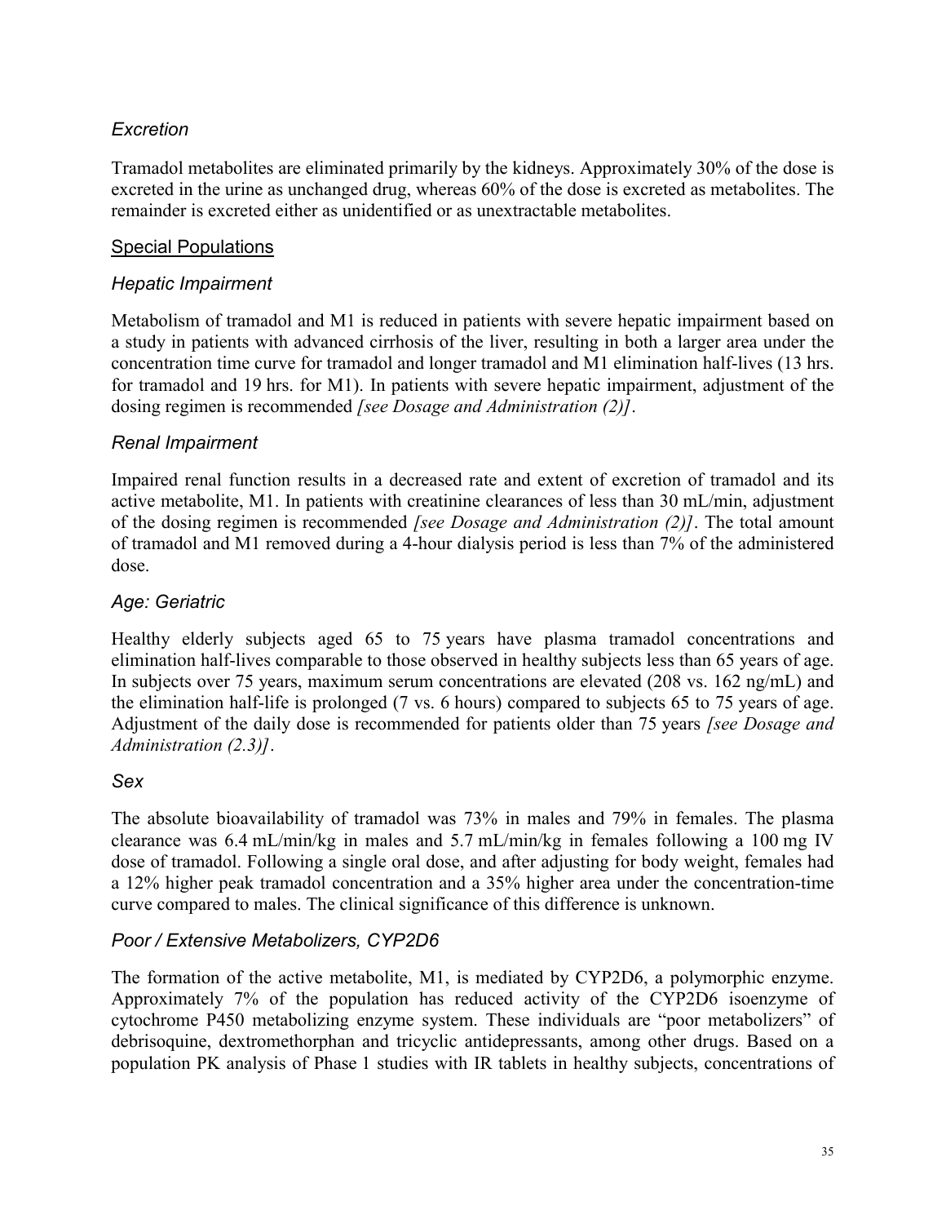# *Excretion*

Tramadol metabolites are eliminated primarily by the kidneys. Approximately 30% of the dose is excreted in the urine as unchanged drug, whereas 60% of the dose is excreted as metabolites. The remainder is excreted either as unidentified or as unextractable metabolites.

#### Special Populations

#### *Hepatic Impairment*

Metabolism of tramadol and M1 is reduced in patients with severe hepatic impairment based on a study in patients with advanced cirrhosis of the liver, resulting in both a larger area under the concentration time curve for tramadol and longer tramadol and M1 elimination half-lives (13 hrs. for tramadol and 19 hrs. for M1). In patients with severe hepatic impairment, adjustment of the dosing regimen is recommended *[see Dosage and Administration (2)]*.

#### *Renal Impairment*

Impaired renal function results in a decreased rate and extent of excretion of tramadol and its active metabolite, M1. In patients with creatinine clearances of less than 30 mL/min, adjustment of the dosing regimen is recommended *[see Dosage and Administration (2)]*. The total amount of tramadol and M1 removed during a 4-hour dialysis period is less than 7% of the administered dose.

#### *Age: Geriatric*

Healthy elderly subjects aged 65 to 75 years have plasma tramadol concentrations and elimination half-lives comparable to those observed in healthy subjects less than 65 years of age. In subjects over 75 years, maximum serum concentrations are elevated (208 vs. 162 ng/mL) and the elimination half-life is prolonged (7 vs. 6 hours) compared to subjects 65 to 75 years of age. Adjustment of the daily dose is recommended for patients older than 75 years *[see Dosage and Administration (2.3)]*.

#### *Sex*

The absolute bioavailability of tramadol was 73% in males and 79% in females. The plasma clearance was 6.4 mL/min/kg in males and 5.7 mL/min/kg in females following a 100 mg IV dose of tramadol. Following a single oral dose, and after adjusting for body weight, females had a 12% higher peak tramadol concentration and a 35% higher area under the concentration-time curve compared to males. The clinical significance of this difference is unknown.

# *Poor / Extensive Metabolizers, CYP2D6*

The formation of the active metabolite, M1, is mediated by CYP2D6, a polymorphic enzyme. Approximately 7% of the population has reduced activity of the CYP2D6 isoenzyme of cytochrome P450 metabolizing enzyme system. These individuals are "poor metabolizers" of debrisoquine, dextromethorphan and tricyclic antidepressants, among other drugs. Based on a population PK analysis of Phase 1 studies with IR tablets in healthy subjects, concentrations of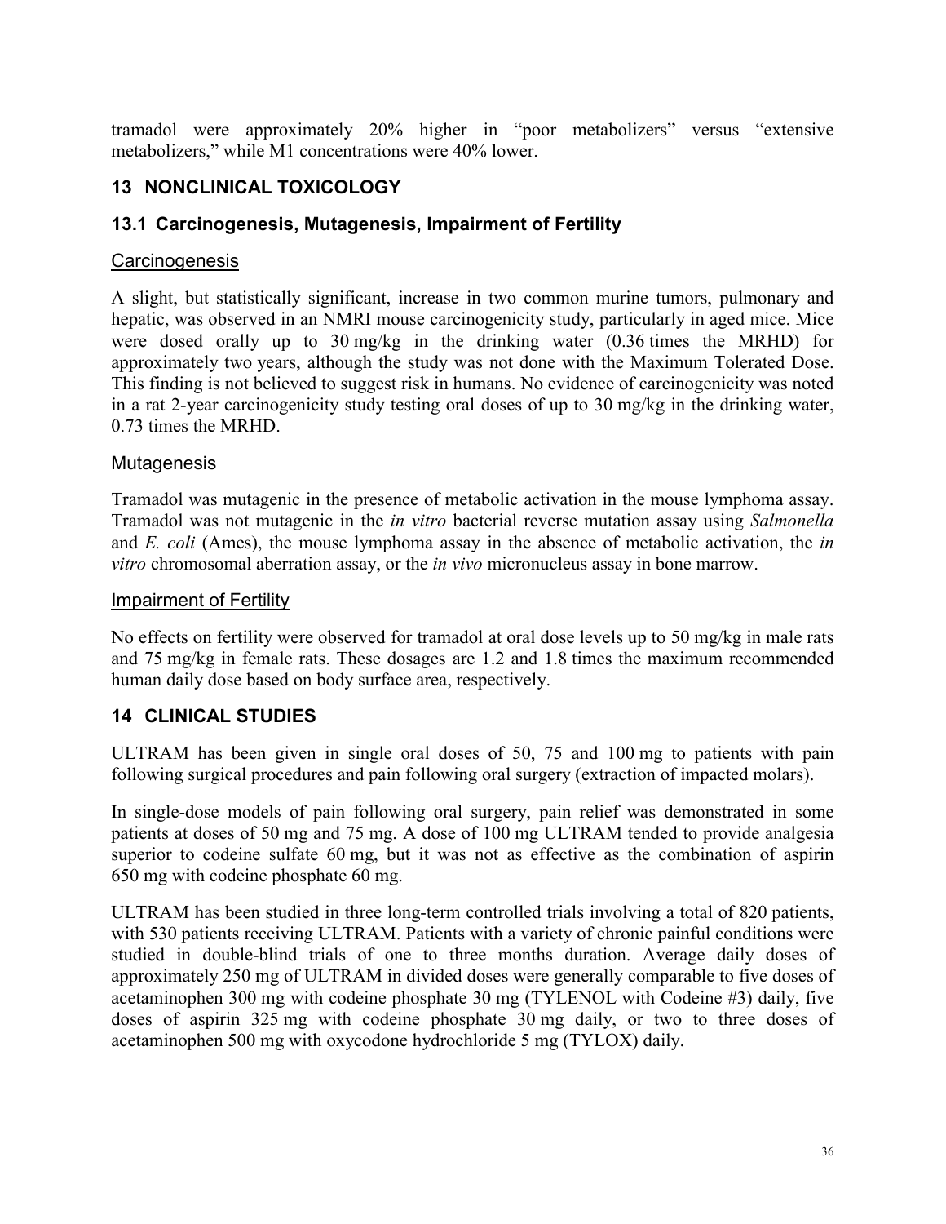tramadol were approximately 20% higher in "poor metabolizers" versus "extensive metabolizers," while M1 concentrations were 40% lower.

# <span id="page-35-2"></span>**13 NONCLINICAL TOXICOLOGY**

#### <span id="page-35-1"></span>**13.1 Carcinogenesis, Mutagenesis, Impairment of Fertility**

#### Carcinogenesis

A slight, but statistically significant, increase in two common murine tumors, pulmonary and hepatic, was observed in an NMRI mouse carcinogenicity study, particularly in aged mice. Mice were dosed orally up to 30 mg/kg in the drinking water (0.36 times the MRHD) for approximately two years, although the study was not done with the Maximum Tolerated Dose. This finding is not believed to suggest risk in humans. No evidence of carcinogenicity was noted in a rat 2-year carcinogenicity study testing oral doses of up to 30 mg/kg in the drinking water, 0.73 times the MRHD.

#### **Mutagenesis**

Tramadol was mutagenic in the presence of metabolic activation in the mouse lymphoma assay. Tramadol was not mutagenic in the *in vitro* bacterial reverse mutation assay using *Salmonella* and *E. coli* (Ames), the mouse lymphoma assay in the absence of metabolic activation, the *in vitro* chromosomal aberration assay, or the *in vivo* micronucleus assay in bone marrow.

#### Impairment of Fertility

No effects on fertility were observed for tramadol at oral dose levels up to 50 mg/kg in male rats and 75 mg/kg in female rats. These dosages are 1.2 and 1.8 times the maximum recommended human daily dose based on body surface area, respectively.

# <span id="page-35-0"></span>**14 CLINICAL STUDIES**

ULTRAM has been given in single oral doses of 50, 75 and 100 mg to patients with pain following surgical procedures and pain following oral surgery (extraction of impacted molars).

In single-dose models of pain following oral surgery, pain relief was demonstrated in some patients at doses of 50 mg and 75 mg. A dose of 100 mg ULTRAM tended to provide analgesia superior to codeine sulfate 60 mg, but it was not as effective as the combination of aspirin 650 mg with codeine phosphate 60 mg.

ULTRAM has been studied in three long-term controlled trials involving a total of 820 patients, with 530 patients receiving ULTRAM. Patients with a variety of chronic painful conditions were studied in double-blind trials of one to three months duration. Average daily doses of approximately 250 mg of ULTRAM in divided doses were generally comparable to five doses of acetaminophen 300 mg with codeine phosphate 30 mg (TYLENOL with Codeine #3) daily, five doses of aspirin 325 mg with codeine phosphate 30 mg daily, or two to three doses of acetaminophen 500 mg with oxycodone hydrochloride 5 mg (TYLOX) daily.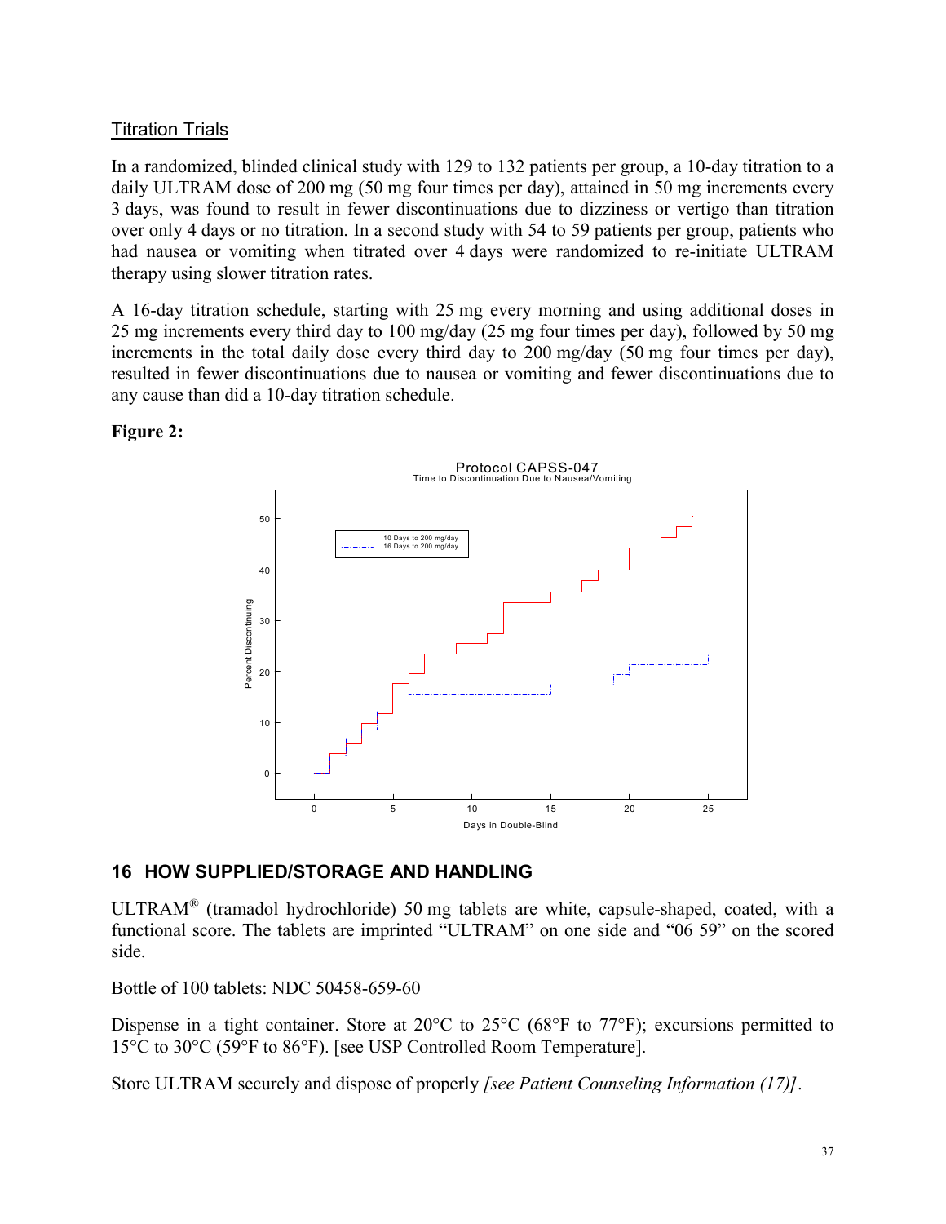#### Titration Trials

In a randomized, blinded clinical study with 129 to 132 patients per group, a 10-day titration to a daily ULTRAM dose of 200 mg (50 mg four times per day), attained in 50 mg increments every 3 days, was found to result in fewer discontinuations due to dizziness or vertigo than titration over only 4 days or no titration. In a second study with 54 to 59 patients per group, patients who had nausea or vomiting when titrated over 4 days were randomized to re-initiate ULTRAM therapy using slower titration rates.

A 16-day titration schedule, starting with 25 mg every morning and using additional doses in 25 mg increments every third day to 100 mg/day (25 mg four times per day), followed by 50 mg increments in the total daily dose every third day to 200 mg/day (50 mg four times per day), resulted in fewer discontinuations due to nausea or vomiting and fewer discontinuations due to any cause than did a 10-day titration schedule.



#### **Figure 2:**

#### <span id="page-36-0"></span>**16 HOW SUPPLIED/STORAGE AND HANDLING**

ULTRAM® (tramadol hydrochloride) 50 mg tablets are white, capsule-shaped, coated, with a functional score. The tablets are imprinted "ULTRAM" on one side and "06 59" on the scored side.

Bottle of 100 tablets: NDC 50458-659-60

Dispense in a tight container. Store at 20 $\degree$ C to 25 $\degree$ C (68 $\degree$ F to 77 $\degree$ F); excursions permitted to 15°C to 30°C (59°F to 86°F). [see USP Controlled Room Temperature].

Store ULTRAM securely and dispose of properly *[see Patient Counseling Information (17)]*.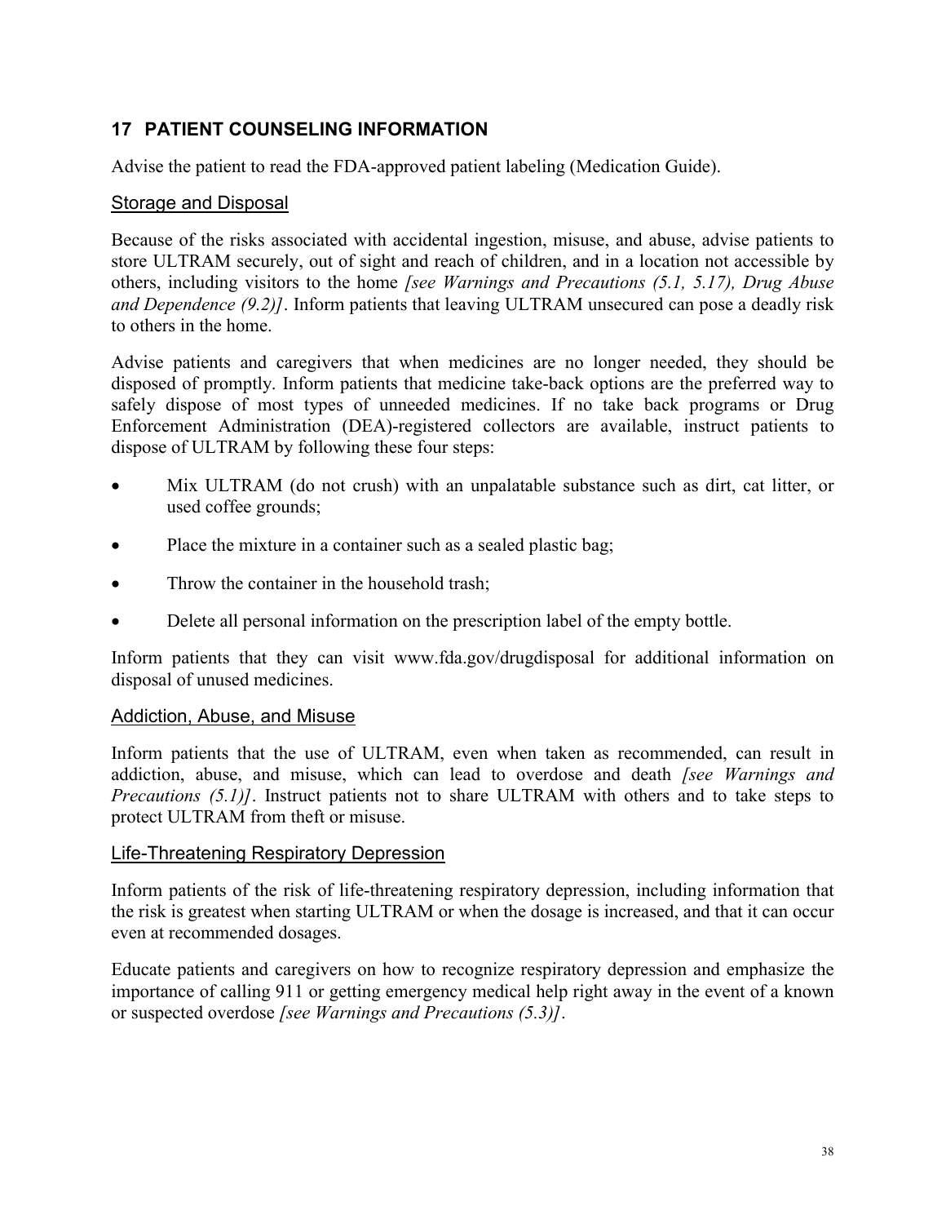# <span id="page-37-0"></span>**17 PATIENT COUNSELING INFORMATION**

Advise the patient to read the FDA-approved patient labeling (Medication Guide).

#### Storage and Disposal

Because of the risks associated with accidental ingestion, misuse, and abuse, advise patients to store ULTRAM securely, out of sight and reach of children, and in a location not accessible by others, including visitors to the home *[see Warnings and Precautions (5.1, 5.17), Drug Abuse and Dependence (9.2)]*. Inform patients that leaving ULTRAM unsecured can pose a deadly risk to others in the home.

Advise patients and caregivers that when medicines are no longer needed, they should be disposed of promptly. Inform patients that medicine take-back options are the preferred way to safely dispose of most types of unneeded medicines. If no take back programs or Drug Enforcement Administration (DEA)-registered collectors are available, instruct patients to dispose of ULTRAM by following these four steps:

- Mix ULTRAM (do not crush) with an unpalatable substance such as dirt, cat litter, or used coffee grounds;
- Place the mixture in a container such as a sealed plastic bag;
- Throw the container in the household trash:
- Delete all personal information on the prescription label of the empty bottle.

Inform patients that they can visit www.fda.gov/drugdisposal for additional information on disposal of unused medicines.

#### Addiction, Abuse, and Misuse

Inform patients that the use of ULTRAM, even when taken as recommended, can result in addiction, abuse, and misuse, which can lead to overdose and death *[see Warnings and Precautions (5.1)]*. Instruct patients not to share ULTRAM with others and to take steps to protect ULTRAM from theft or misuse.

#### Life-Threatening Respiratory Depression

Inform patients of the risk of life-threatening respiratory depression, including information that the risk is greatest when starting ULTRAM or when the dosage is increased, and that it can occur even at recommended dosages.

Educate patients and caregivers on how to recognize respiratory depression and emphasize the importance of calling 911 or getting emergency medical help right away in the event of a known or suspected overdose *[see Warnings and Precautions (5.3)]*.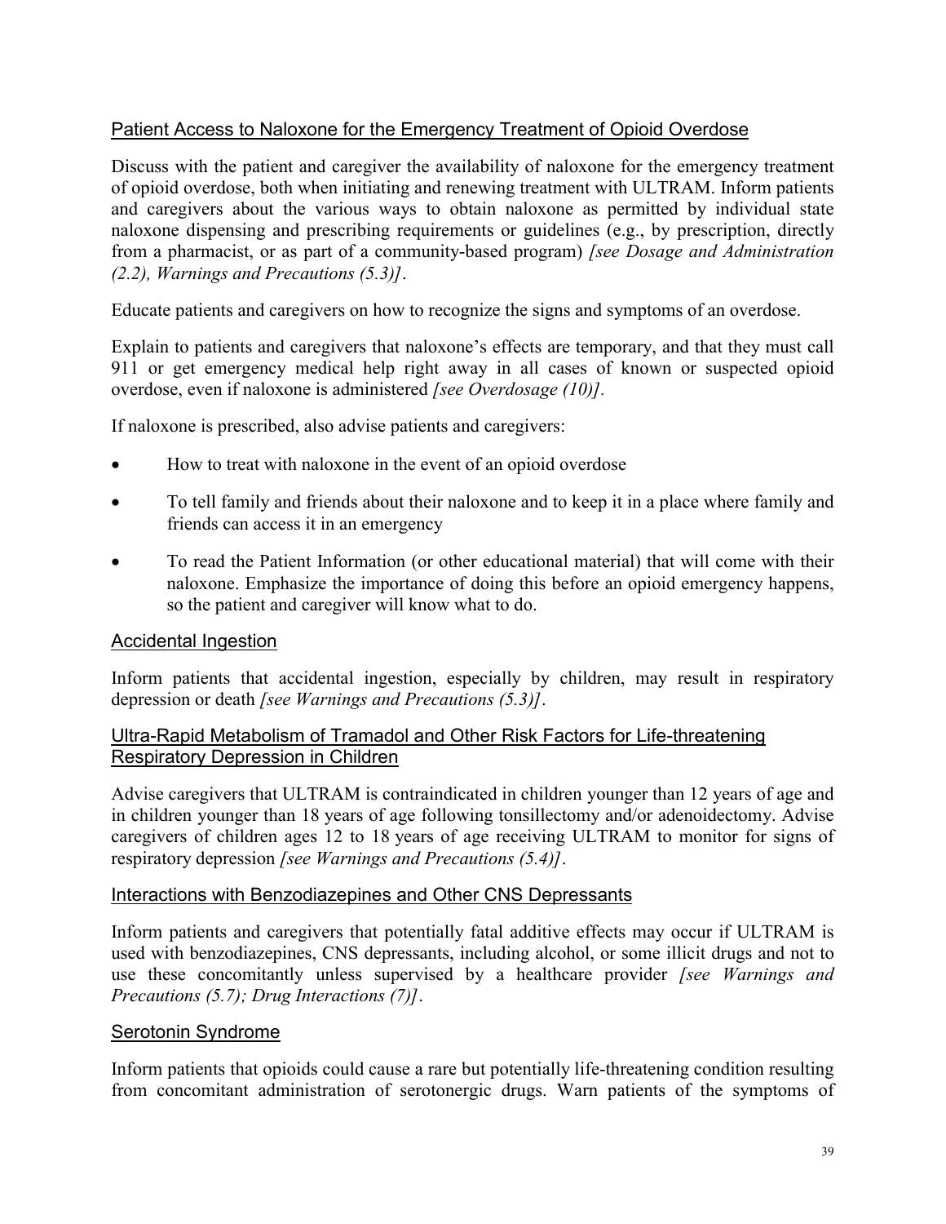#### Patient Access to Naloxone for the Emergency Treatment of Opioid Overdose

Discuss with the patient and caregiver the availability of naloxone for the emergency treatment of opioid overdose, both when initiating and renewing treatment with ULTRAM. Inform patients and caregivers about the various ways to obtain naloxone as permitted by individual state naloxone dispensing and prescribing requirements or guidelines (e.g., by prescription, directly from a pharmacist, or as part of a community-based program) *[see Dosage and Administration (2.2), Warnings and Precautions (5.3)]*.

Educate patients and caregivers on how to recognize the signs and symptoms of an overdose.

Explain to patients and caregivers that naloxone's effects are temporary, and that they must call 911 or get emergency medical help right away in all cases of known or suspected opioid overdose, even if naloxone is administered *[see Overdosage (10)].*

If naloxone is prescribed, also advise patients and caregivers:

- How to treat with naloxone in the event of an opioid overdose
- To tell family and friends about their naloxone and to keep it in a place where family and friends can access it in an emergency
- To read the Patient Information (or other educational material) that will come with their naloxone. Emphasize the importance of doing this before an opioid emergency happens, so the patient and caregiver will know what to do.

#### Accidental Ingestion

Inform patients that accidental ingestion, especially by children, may result in respiratory depression or death *[see Warnings and Precautions (5.3)]*.

#### Ultra-Rapid Metabolism of Tramadol and Other Risk Factors for Life-threatening Respiratory Depression in Children

Advise caregivers that ULTRAM is contraindicated in children younger than 12 years of age and in children younger than 18 years of age following tonsillectomy and/or adenoidectomy. Advise caregivers of children ages 12 to 18 years of age receiving ULTRAM to monitor for signs of respiratory depression *[see Warnings and Precautions (5.4)]*.

#### Interactions with Benzodiazepines and Other CNS Depressants

Inform patients and caregivers that potentially fatal additive effects may occur if ULTRAM is used with benzodiazepines, CNS depressants, including alcohol, or some illicit drugs and not to use these concomitantly unless supervised by a healthcare provider *[see Warnings and Precautions (5.7); Drug Interactions (7)]*.

#### Serotonin Syndrome

Inform patients that opioids could cause a rare but potentially life-threatening condition resulting from concomitant administration of serotonergic drugs. Warn patients of the symptoms of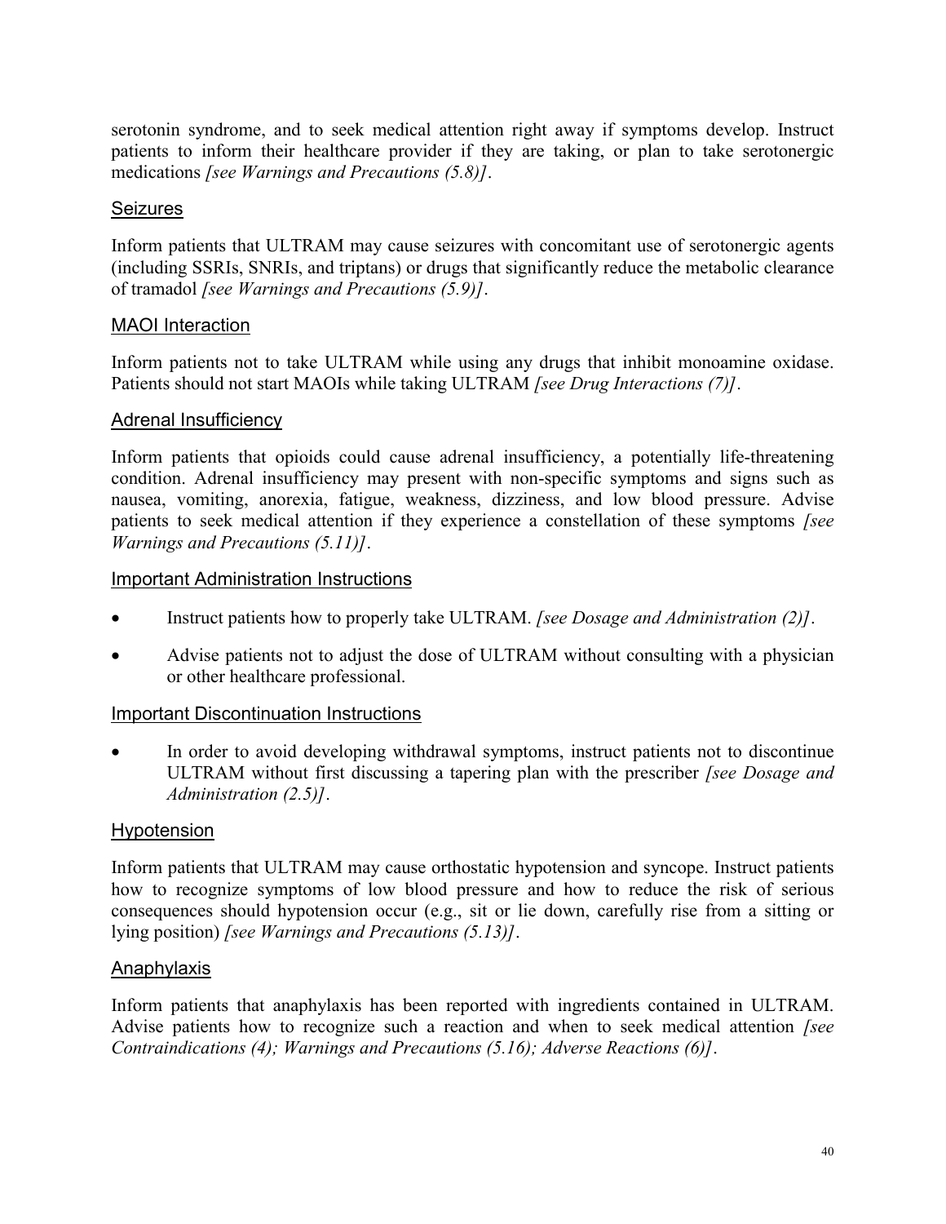serotonin syndrome, and to seek medical attention right away if symptoms develop. Instruct patients to inform their healthcare provider if they are taking, or plan to take serotonergic medications *[see Warnings and Precautions (5.8)]*.

#### **Seizures**

Inform patients that ULTRAM may cause seizures with concomitant use of serotonergic agents (including SSRIs, SNRIs, and triptans) or drugs that significantly reduce the metabolic clearance of tramadol *[see Warnings and Precautions (5.9)]*.

#### MAOI Interaction

Inform patients not to take ULTRAM while using any drugs that inhibit monoamine oxidase. Patients should not start MAOIs while taking ULTRAM *[see Drug Interactions (7)]*.

#### Adrenal Insufficiency

Inform patients that opioids could cause adrenal insufficiency, a potentially life-threatening condition. Adrenal insufficiency may present with non-specific symptoms and signs such as nausea, vomiting, anorexia, fatigue, weakness, dizziness, and low blood pressure. Advise patients to seek medical attention if they experience a constellation of these symptoms *[see Warnings and Precautions (5.11)]*.

#### Important Administration Instructions

- Instruct patients how to properly take ULTRAM. *[see Dosage and Administration (2)]*.
- Advise patients not to adjust the dose of ULTRAM without consulting with a physician or other healthcare professional.

#### Important Discontinuation Instructions

 In order to avoid developing withdrawal symptoms, instruct patients not to discontinue ULTRAM without first discussing a tapering plan with the prescriber *[see Dosage and Administration (2.5)]*.

#### Hypotension

Inform patients that ULTRAM may cause orthostatic hypotension and syncope. Instruct patients how to recognize symptoms of low blood pressure and how to reduce the risk of serious consequences should hypotension occur (e.g., sit or lie down, carefully rise from a sitting or lying position) *[see Warnings and Precautions (5.13)]*.

#### Anaphylaxis

Inform patients that anaphylaxis has been reported with ingredients contained in ULTRAM. Advise patients how to recognize such a reaction and when to seek medical attention *[see Contraindications (4); Warnings and Precautions (5.16); Adverse Reactions (6)]*.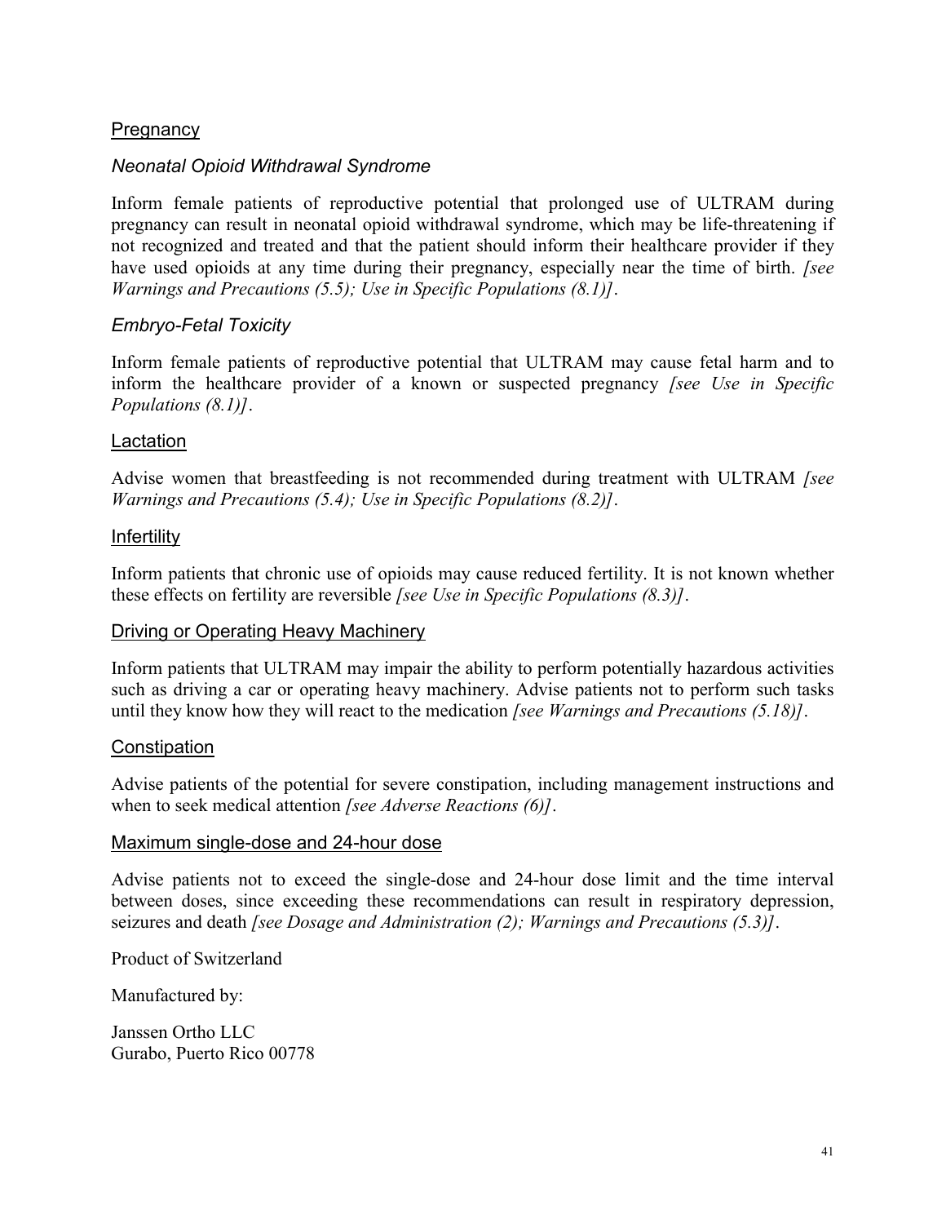#### **Pregnancy**

#### *Neonatal Opioid Withdrawal Syndrome*

Inform female patients of reproductive potential that prolonged use of ULTRAM during pregnancy can result in neonatal opioid withdrawal syndrome, which may be life-threatening if not recognized and treated and that the patient should inform their healthcare provider if they have used opioids at any time during their pregnancy, especially near the time of birth. *[see Warnings and Precautions (5.5); Use in Specific Populations (8.1)]*.

#### *Embryo-Fetal Toxicity*

Inform female patients of reproductive potential that ULTRAM may cause fetal harm and to inform the healthcare provider of a known or suspected pregnancy *[see Use in Specific Populations (8.1)]*.

#### Lactation

Advise women that breastfeeding is not recommended during treatment with ULTRAM *[see Warnings and Precautions (5.4); Use in Specific Populations (8.2)]*.

#### Infertility

Inform patients that chronic use of opioids may cause reduced fertility. It is not known whether these effects on fertility are reversible *[see Use in Specific Populations (8.3)]*.

#### Driving or Operating Heavy Machinery

Inform patients that ULTRAM may impair the ability to perform potentially hazardous activities such as driving a car or operating heavy machinery. Advise patients not to perform such tasks until they know how they will react to the medication *[see Warnings and Precautions (5.18)]*.

#### **Constipation**

Advise patients of the potential for severe constipation, including management instructions and when to seek medical attention *[see Adverse Reactions (6)]*.

#### Maximum single-dose and 24-hour dose

Advise patients not to exceed the single-dose and 24-hour dose limit and the time interval between doses, since exceeding these recommendations can result in respiratory depression, seizures and death *[see Dosage and Administration (2); Warnings and Precautions (5.3)]*.

Product of Switzerland

Manufactured by:

Janssen Ortho LLC Gurabo, Puerto Rico 00778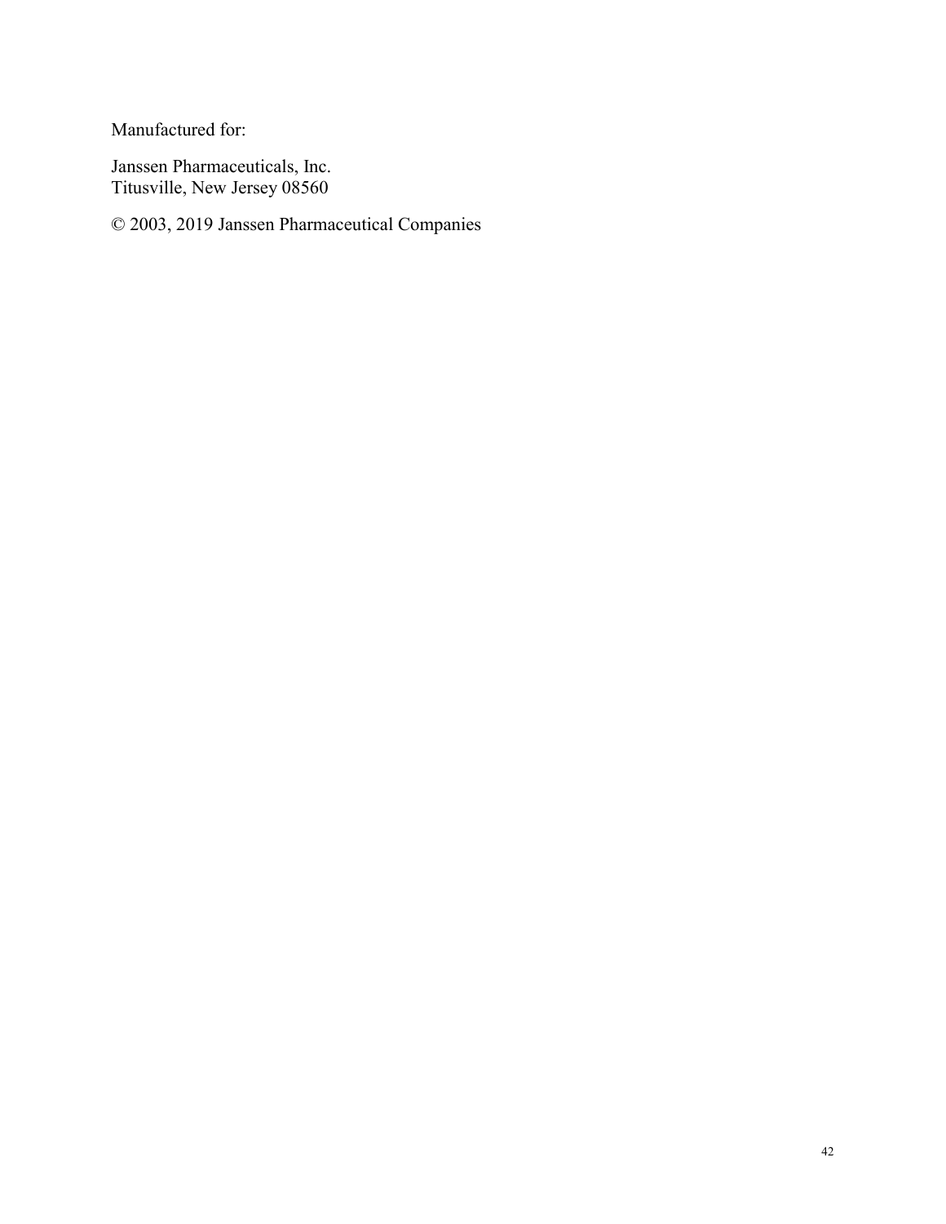Manufactured for:

Janssen Pharmaceuticals, Inc. Titusville, New Jersey 08560

© 2003, 2019 Janssen Pharmaceutical Companies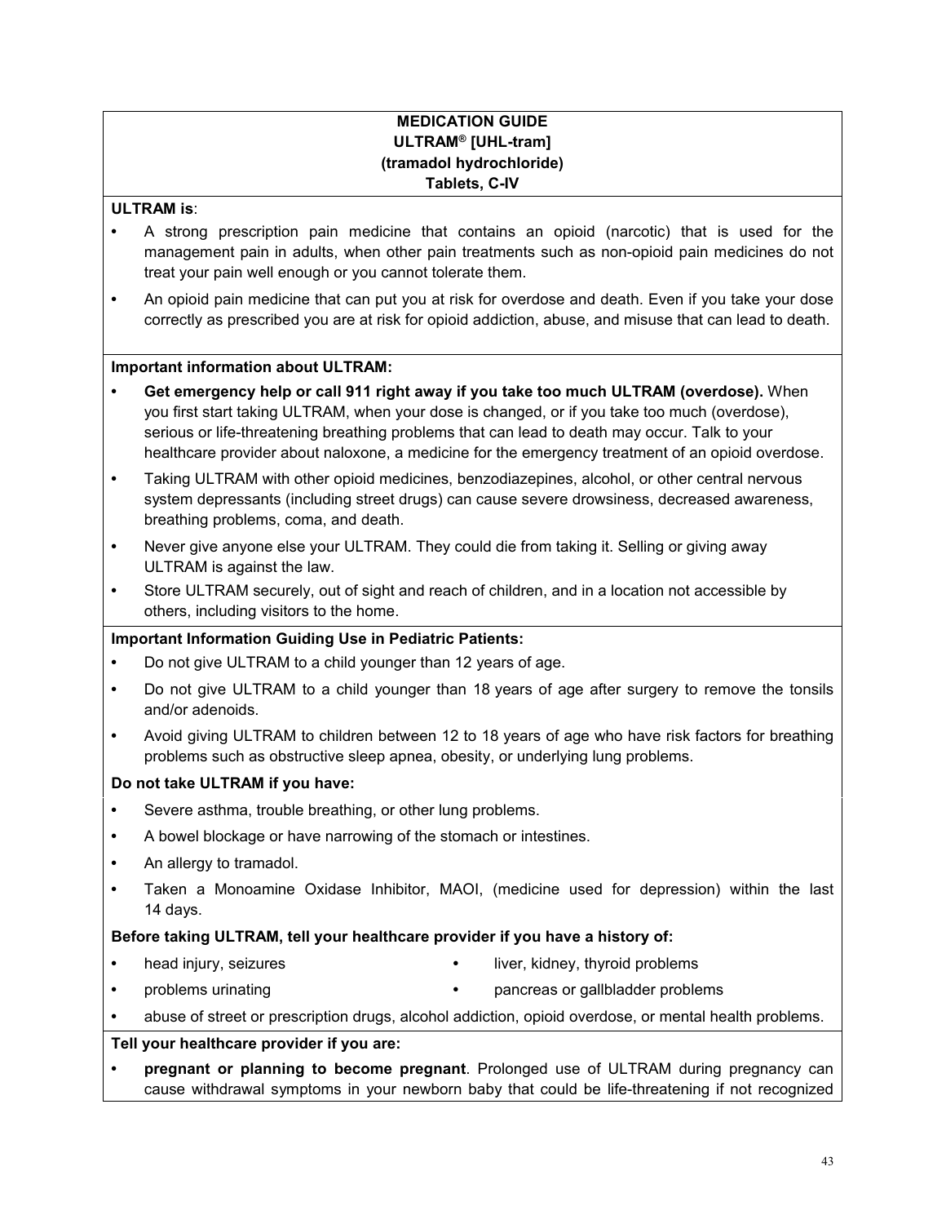#### **MEDICATION GUIDE ULTRAM® [UHL-tram] (tramadol hydrochloride) Tablets, C-IV**

#### **ULTRAM is**:

- **•** A strong prescription pain medicine that contains an opioid (narcotic) that is used for the management pain in adults, when other pain treatments such as non-opioid pain medicines do not treat your pain well enough or you cannot tolerate them.
- **•** An opioid pain medicine that can put you at risk for overdose and death. Even if you take your dose correctly as prescribed you are at risk for opioid addiction, abuse, and misuse that can lead to death.

#### **Important information about ULTRAM:**

- **• Get emergency help or call 911 right away if you take too much ULTRAM (overdose).** When you first start taking ULTRAM, when your dose is changed, or if you take too much (overdose), serious or life-threatening breathing problems that can lead to death may occur. Talk to your healthcare provider about naloxone, a medicine for the emergency treatment of an opioid overdose.
- **•** Taking ULTRAM with other opioid medicines, benzodiazepines, alcohol, or other central nervous system depressants (including street drugs) can cause severe drowsiness, decreased awareness, breathing problems, coma, and death.
- **•** Never give anyone else your ULTRAM. They could die from taking it. Selling or giving away ULTRAM is against the law.
- **•** Store ULTRAM securely, out of sight and reach of children, and in a location not accessible by others, including visitors to the home.

#### **Important Information Guiding Use in Pediatric Patients:**

- **•** Do not give ULTRAM to a child younger than 12 years of age.
- **•** Do not give ULTRAM to a child younger than 18 years of age after surgery to remove the tonsils and/or adenoids.
- **•** Avoid giving ULTRAM to children between 12 to 18 years of age who have risk factors for breathing problems such as obstructive sleep apnea, obesity, or underlying lung problems.

#### **Do not take ULTRAM if you have:**

- **•** Severe asthma, trouble breathing, or other lung problems.
- **•** A bowel blockage or have narrowing of the stomach or intestines.
- **•** An allergy to tramadol.
- **•** Taken a Monoamine Oxidase Inhibitor, MAOI, (medicine used for depression) within the last 14 days.

#### **Before taking ULTRAM, tell your healthcare provider if you have a history of:**

- **•** head injury, seizures **•** liver, kidney, thyroid problems
- **•** problems urinating **•** pancreas or gallbladder problems
- **•** abuse of street or prescription drugs, alcohol addiction, opioid overdose, or mental health problems.

#### **Tell your healthcare provider if you are:**

**• pregnant or planning to become pregnant**. Prolonged use of ULTRAM during pregnancy can cause withdrawal symptoms in your newborn baby that could be life-threatening if not recognized